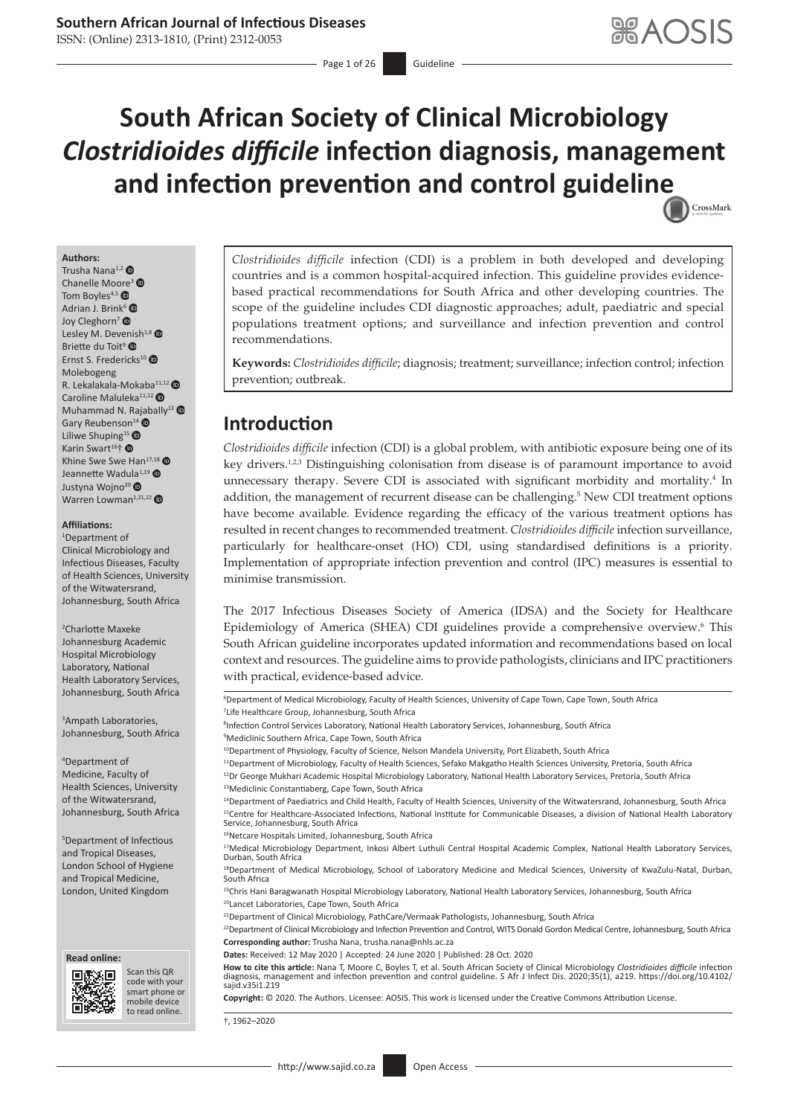## **Southern African Journal of Infectious Diseases**

ISSN: (Online) 2313-1810, (Print) 2312-0053

Page 1 of 26 Guideline

# **South African Society of Clinical Microbiology**  *Clostridioides difficile* **infection diagnosis, management and infection prevention and control guideli[ne](http://crossmark.crossref.org/dialog/?doi=10.4102/sajid.v35i1.219=pdf&date_stamp=2020-10-28)**  CrossMark

#### **Authors:**

Trusha Nana<sup>1,[2](https://orcid.org/0000-0002-0216-1575)</sup> Chanelle Mo[ore](https://orcid.org/0000-0002-5676-8081)<sup>[3](https://orcid.org/0000-0003-4228-207X)</sup> Tom Boyles<sup>4,5</sup> Adrian J. Brink<sup>[6](https://orcid.org/0000-0002-5350-9690)</sup> Joy Cleghorn<sup>[7](https://orcid.org/0000-0003-4934-8078)</sup> <sup>®</sup> Lesley M. Dev[enish](https://orcid.org/0000-0002-2419-3295) $1,8$   $\bullet$ Briette du Toit<sup>9</sup> Ernst S. Fredericks<sup>1[0](https://orcid.org/0000-0003-4366-4598)</sup> Molebogeng R. Lek[a](https://orcid.org/0000-0003-3700-9669)lakala-Mokaba<sup>11,12</sup> Caroline Maluleka<sup>11,12</sup> <sup>O</sup> Muhammad N. R[ajab](https://orcid.org/0000-0003-2541-4165)ally<sup>1[3](https://orcid.org/0000-0001-5093-1960)</sup>  $\bullet$ Gary Reubenson<sup>14</sup> <sup>®</sup> Liliwe Shuping<sup>15</sup> Karin Swart<sup>16</sup>[†](https://orcid.org/0000-0003-2521-5780) <sup>®</sup> Khine Swe Swe Han<sup>17,1[8](https://orcid.org/0000-0002-4574-6258)</sup> Jeannette Wad[ula](https://orcid.org/0000-0003-3315-5298)<sup>1,1[9](https://orcid.org/0000-0002-1083-6173)</sup> Justyna Wojno<sup>20</sup> <sup>O</sup> Warren Lowman<sup>1,21,22</sup>

#### **Affiliations:**

1 Department of Clinical Microbiology and Infectious Diseases, Faculty of Health Sciences, University of the Witwatersrand, Johannesburg, South Africa

2 Charlotte Maxeke Johannesburg Academic Hospital Microbiology Laboratory, National Health Laboratory Services, Johannesburg, South Africa

3 Ampath Laboratories, Johannesburg, South Africa

4 Department of Medicine, Faculty of Health Sciences, University of the Witwatersrand, Johannesburg, South Africa

5 Department of Infectious and Tropical Diseases, London School of Hygiene and Tropical Medicine, London, United Kingdom





Scan this QR code with your Scan this QR<br>code with your<br>smart phone or<br>mobile device mobile device to read online. to read online.

*Clostridioides difficile* infection (CDI) is a problem in both developed and developing countries and is a common hospital-acquired infection. This guideline provides evidencebased practical recommendations for South Africa and other developing countries. The scope of the guideline includes CDI diagnostic approaches; adult, paediatric and special populations treatment options; and surveillance and infection prevention and control recommendations.

**Keywords:** *Clostridioides difficile*; diagnosis; treatment; surveillance; infection control; infection prevention; outbreak.

### **Introduction**

<span id="page-0-3"></span><span id="page-0-2"></span><span id="page-0-1"></span><span id="page-0-0"></span>*Clostridioides difficile* infection (CDI) is a global problem, with antibiotic exposure being one of its key drivers.<sup>1[,2,](#page-21-1)[3](#page-21-2)</sup> Distinguishing colonisation from disease is of paramount importance to avoid unnecessary therapy. Severe CDI is associated with significant morbidity and mortality.[4](#page-21-3) In addition, the management of recurrent disease can be challenging.<sup>5</sup> New CDI treatment options have become available. Evidence regarding the efficacy of the various treatment options has resulted in recent changes to recommended treatment. *Clostridioides difficile* infection surveillance, particularly for healthcare-onset (HO) CDI, using standardised definitions is a priority. Implementation of appropriate infection prevention and control (IPC) measures is essential to minimise transmission.

<span id="page-0-4"></span>The 2017 Infectious Diseases Society of America (IDSA) and the Society for Healthcare Epidemiology of America (SHEA) CDI guidelines provide a comprehensive overview.<sup>[6](#page-21-5)</sup> This South African guideline incorporates updated information and recommendations based on local context and resources. The guideline aims to provide pathologists, clinicians and IPC practitioners with practical, evidence-based advice.

6 Department of Medical Microbiology, Faculty of Health Sciences, University of Cape Town, Cape Town, South Africa 7 Life Healthcare Group, Johannesburg, South Africa

<sup>8</sup>Infection Control Services Laboratory, National Health Laboratory Services, Johannesburg, South Africa

9 Mediclinic Southern Africa, Cape Town, South Africa

10 Department of Physiology, Faculty of Science, Nelson Mandela University, Port Elizabeth, South Africa

<sup>11</sup>Department of Microbiology, Faculty of Health Sciences, Sefako Makgatho Health Sciences University, Pretoria, South Africa <sup>12</sup>Dr George Mukhari Academic Hospital Microbiology Laboratory, National Health Laboratory Services, Pretoria, South Africa <sup>13</sup>Mediclinic Constantiaberg, Cape Town, South Africa

<sup>14</sup>Department of Paediatrics and Child Health, Faculty of Health Sciences, University of the Witwatersrand, Johannesburg, South Africa <sup>15</sup>Centre for Healthcare-Associated Infections, National Institute for Communicable Diseases, a division of National Health Laboratory<br>Service, Johannesburg, South Africa

<sup>16</sup>Netcare Hospitals Limited, Johannesburg, South Africa

18Department of Medical Microbiology, School of Laboratory Medicine and Medical Sciences, University of KwaZulu-Natal, Durban, South Africa

<sup>19</sup>Chris Hani Baragwanath Hospital Microbiology Laboratory, National Health Laboratory Services, Johannesburg, South Africa <sup>20</sup>Lancet Laboratories, Cape Town, South Africa

<sup>21</sup>Department of Clinical Microbiology, PathCare/Vermaak Pathologists, Johannesburg, South Africa

<sup>22</sup>Department of Clinical Microbiology and Infection Prevention and Control, WITS Donald Gordon Medical Centre, Johannesburg, South Africa **Corresponding author:** Trusha Nana, [trusha.nana@nhls.ac.za](mailto:trusha.nana@nhls.ac.za)

**Dates:** Received: 12 May 2020 | Accepted: 24 June 2020 | Published: 28 Oct. 2020

**How to cite this article:** Nana T, Moore C, Boyles T, et al. South African Society of Clinical Microbiology *Clostridioides difficile* infection diagnosis, management and infection prevention and control guideline. S Afr J Infect Dis. 2020;35(1), a219. [https://doi.org/10.4102/](https://doi.org/10.4102/sajid.v35i1.219) [sajid.v35i1.219](https://doi.org/10.4102/sajid.v35i1.219)

**Copyright:** © 2020. The Authors. Licensee: AOSIS. This work is licensed under the Creative Commons Attribution License.

†, 1962–2020

<sup>17</sup>Medical Microbiology Department, Inkosi Albert Luthuli Central Hospital Academic Complex, National Health Laboratory Services, Durban, South Africa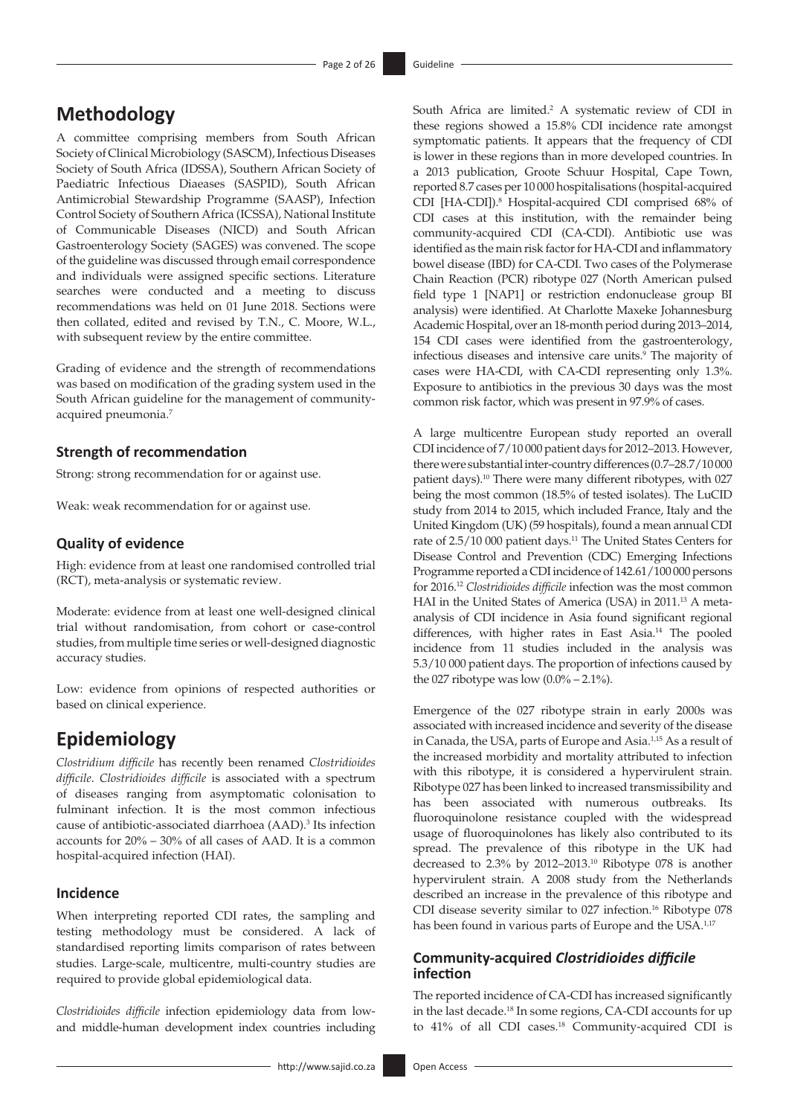# **Methodology**

A committee comprising members from South African Society of Clinical Microbiology (SASCM), Infectious Diseases Society of South Africa (IDSSA), Southern African Society of Paediatric Infectious Diaeases (SASPID), South African Antimicrobial Stewardship Programme (SAASP), Infection Control Society of Southern Africa (ICSSA), National Institute of Communicable Diseases (NICD) and South African Gastroenterology Society (SAGES) was convened. The scope of the guideline was discussed through email correspondence and individuals were assigned specific sections. Literature searches were conducted and a meeting to discuss recommendations was held on 01 June 2018. Sections were then collated, edited and revised by T.N., C. Moore, W.L., with subsequent review by the entire committee.

Grading of evidence and the strength of recommendations was based on modification of the grading system used in the South African guideline for the management of communityacquired pneumonia.[7](#page-21-6)

### <span id="page-1-0"></span>**Strength of recommendation**

Strong: strong recommendation for or against use.

Weak: weak recommendation for or against use.

### **Quality of evidence**

High: evidence from at least one randomised controlled trial (RCT), meta-analysis or systematic review.

Moderate: evidence from at least one well-designed clinical trial without randomisation, from cohort or case-control studies, from multiple time series or well-designed diagnostic accuracy studies.

Low: evidence from opinions of respected authorities or based on clinical experience.

### **Epidemiology**

*Clostridium difficile* has recently been renamed *Clostridioides difficile*. *Clostridioides difficile* is associated with a spectrum of diseases ranging from asymptomatic colonisation to fulminant infection. It is the most common infectious cause of antibiotic-associated diarrhoea (AAD)[.3](#page-21-2) Its infection accounts for 20% – 30% of all cases of AAD. It is a common hospital-acquired infection (HAI).

### **Incidence**

When interpreting reported CDI rates, the sampling and testing methodology must be considered. A lack of standardised reporting limits comparison of rates between studies. Large-scale, multicentre, multi-country studies are required to provide global epidemiological data.

*Clostridioides difficile* infection epidemiology data from lowand middle-human development index countries including

<span id="page-1-1"></span>South Africa are limited.<sup>2</sup> A systematic review of CDI in these regions showed a 15.8% CDI incidence rate amongst symptomatic patients. It appears that the frequency of CDI is lower in these regions than in more developed countries. In a 2013 publication, Groote Schuur Hospital, Cape Town, reported 8.7 cases per 10 000 hospitalisations (hospital-acquired CDI [HA-CDI]).<sup>8</sup> Hospital-acquired CDI comprised 68% of CDI cases at this institution, with the remainder being community-acquired CDI (CA-CDI). Antibiotic use was identified as the main risk factor for HA-CDI and inflammatory bowel disease (IBD) for CA-CDI. Two cases of the Polymerase Chain Reaction (PCR) ribotype 027 (North American pulsed field type 1 [NAP1] or restriction endonuclease group BI analysis) were identified. At Charlotte Maxeke Johannesburg Academic Hospital, over an 18-month period during 2013–2014, 154 CDI cases were identified from the gastroenterology, infectious diseases and intensive care units.<sup>9</sup> The majority of cases were HA-CDI, with CA-CDI representing only 1.3%. Exposure to antibiotics in the previous 30 days was the most common risk factor, which was present in 97.9% of cases.

<span id="page-1-4"></span><span id="page-1-3"></span><span id="page-1-2"></span>A large multicentre European study reported an overall CDIincidence of 7/10 000 patient days for 2012–2013. However, there were substantial inter-country differences (0.7–28.7/10000 patient days).<sup>10</sup> There were many different ribotypes, with 027 being the most common (18.5% of tested isolates). The LuCID study from 2014 to 2015, which included France, Italy and the United Kingdom (UK) (59 hospitals), found a mean annual CDI rate of 2.5/10 000 patient days.<sup>11</sup> The United States Centers for Disease Control and Prevention (CDC) Emerging Infections Programme reported a CDI incidence of 142.61/100 000 persons for 2016.[12](#page-22-1) *Clostridioides difficile* infection was the most common HAI in the United States of America (USA) in 2011[.13](#page-22-2) A metaanalysis of CDI incidence in Asia found significant regional differences, with higher rates in East Asia.[14](#page-22-3) The pooled incidence from 11 studies included in the analysis was 5.3/10 000 patient days. The proportion of infections caused by the 027 ribotype was low  $(0.0\% - 2.1\%)$ .

<span id="page-1-8"></span><span id="page-1-7"></span><span id="page-1-6"></span><span id="page-1-5"></span>Emergence of the 027 ribotype strain in early 2000s was associated with increased incidence and severity of the disease in Canada, the USA, parts of Europe and Asia[.1,](#page-21-0)[15](#page-22-4) As a result of the increased morbidity and mortality attributed to infection with this ribotype, it is considered a hypervirulent strain. Ribotype 027 has been linked to increased transmissibility and has been associated with numerous outbreaks. Its fluoroquinolone resistance coupled with the widespread usage of fluoroquinolones has likely also contributed to its spread. The prevalence of this ribotype in the UK had decreased to 2.3% by 2012–2013.[10](#page-21-9) Ribotype 078 is another hypervirulent strain. A 2008 study from the Netherlands described an increase in the prevalence of this ribotype and CDI disease severity similar to 027 infection.<sup>16</sup> Ribotype 078 has been found in various parts of Europe and the USA.<sup>1,[17](#page-22-6)</sup>

### <span id="page-1-10"></span><span id="page-1-9"></span>**Community-acquired** *Clostridioides difficile* **infection**

<span id="page-1-11"></span>The reported incidence of CA-CDI has increased significantly in the last decade[.18](#page-22-7) In some regions, CA-CDI accounts for up to 41% of all CDI cases.<sup>18</sup> Community-acquired CDI is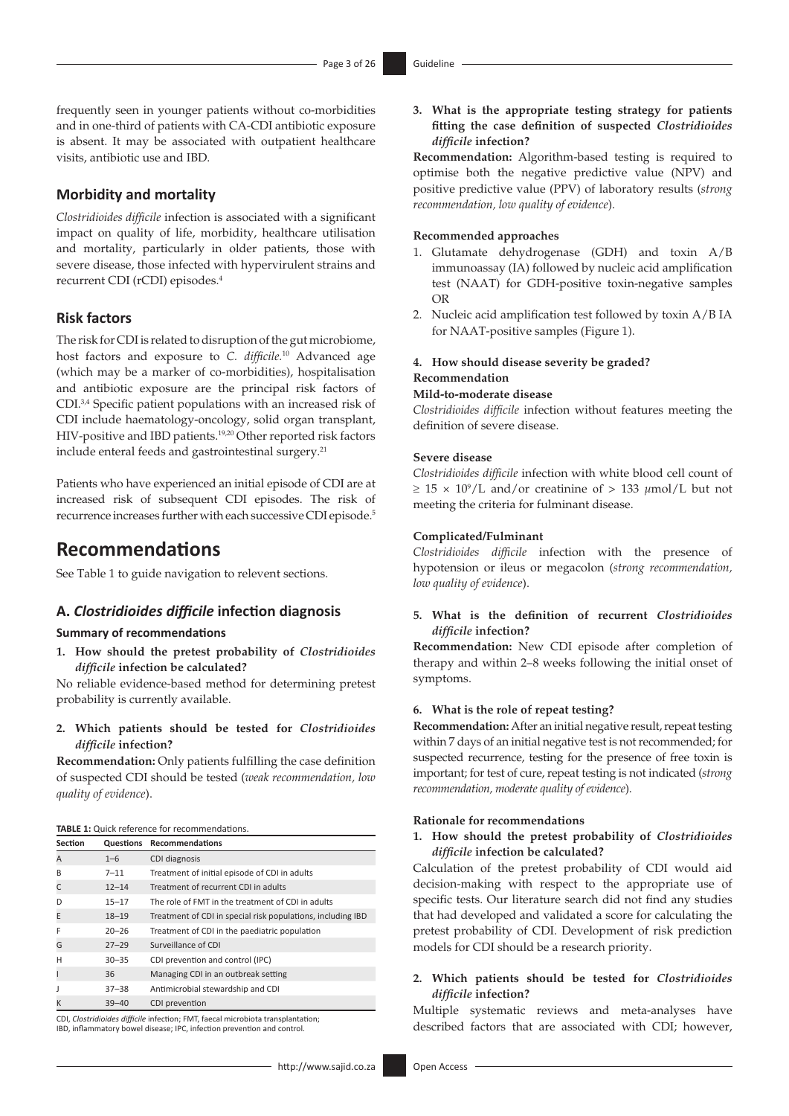frequently seen in younger patients without co-morbidities and in one-third of patients with CA-CDI antibiotic exposure is absent. It may be associated with outpatient healthcare visits, antibiotic use and IBD.

### **Morbidity and mortality**

*Clostridioides difficile* infection is associated with a significant impact on quality of life, morbidity, healthcare utilisation and mortality, particularly in older patients, those with severe disease, those infected with hypervirulent strains and recurrent CDI (rCDI) episodes[.4](#page-21-3)

### **Risk factors**

The risk for CDI is related to disruption of the gut microbiome, host factors and exposure to *C. difficile.*[10](#page-21-9) Advanced age (which may be a marker of co-morbidities), hospitalisation and antibiotic exposure are the principal risk factors of CDI[.3,](#page-21-2)[4](#page-21-3) Specific patient populations with an increased risk of CDI include haematology-oncology, solid organ transplant, HIV-positive and IBD patients.[19](#page-22-8)[,20](#page-22-9) Other reported risk factors include enteral feeds and gastrointestinal surgery.<sup>[21](#page-22-10)</sup>

<span id="page-2-2"></span><span id="page-2-0"></span>Patients who have experienced an initial episode of CDI are at increased risk of subsequent CDI episodes. The risk of recurrence increases further with each successive CDI episode.[5](#page-21-4)

## **Recommendations**

See Table 1 to guide navigation to relevent sections.

### **A.** *Clostridioides difficile* **infection diagnosis**

#### **Summary of recommendations**

**1. How should the pretest probability of** *Clostridioides difficile* **infection be calculated?**

No reliable evidence-based method for determining pretest probability is currently available.

**2. Which patients should be tested for** *Clostridioides difficile* **infection?**

**Recommendation:** Only patients fulfilling the case definition of suspected CDI should be tested (*weak recommendation, low quality of evidence*).

| <b>TABLE 1:</b> Quick reference for recommendations. |  |
|------------------------------------------------------|--|
|------------------------------------------------------|--|

| Section |           | <b>Questions Recommendations</b>                            |
|---------|-----------|-------------------------------------------------------------|
| A       | $1 - 6$   | CDI diagnosis                                               |
| B       | $7 - 11$  | Treatment of initial episode of CDI in adults               |
| C       | $12 - 14$ | Treatment of recurrent CDI in adults                        |
| D       | $15 - 17$ | The role of FMT in the treatment of CDI in adults           |
| E       | $18 - 19$ | Treatment of CDI in special risk populations, including IBD |
| F       | $20 - 26$ | Treatment of CDI in the paediatric population               |
| G       | $27 - 29$ | Surveillance of CDI                                         |
| Н       | $30 - 35$ | CDI prevention and control (IPC)                            |
|         | 36        | Managing CDI in an outbreak setting                         |
|         | $37 - 38$ | Antimicrobial stewardship and CDI                           |
|         | $39 - 40$ | CDI prevention                                              |

CDI, *Clostridioides difficile* infection; FMT, faecal microbiota transplantation; IBD, inflammatory bowel disease; IPC, infection prevention and control.

**3. What is the appropriate testing strategy for patients fitting the case definition of suspected** *Clostridioides difficile* **infection?**

**Recommendation:** Algorithm-based testing is required to optimise both the negative predictive value (NPV) and positive predictive value (PPV) of laboratory results (*strong recommendation, low quality of evidence*).

#### **Recommended approaches**

- 1. Glutamate dehydrogenase (GDH) and toxin A/B immunoassay (IA) followed by nucleic acid amplification test (NAAT) for GDH-positive toxin-negative samples OR
- 2. Nucleic acid amplification test followed by toxin A/B IA for NAAT-positive samples (Figure 1).

### **4. How should disease severity be graded? Recommendation**

#### **Mild-to-moderate disease**

<span id="page-2-1"></span>*Clostridioides difficile* infection without features meeting the definition of severe disease.

#### **Severe disease**

*Clostridioides difficile* infection with white blood cell count of  $\geq 15 \times 10^9$  $\geq 15 \times 10^9$ /L and/or creatinine of > 133  $\mu$ mol/L but not meeting the criteria for fulminant disease.

### **Complicated/Fulminant**

*Clostridioides difficile* infection with the presence of hypotension or ileus or megacolon (*strong recommendation, low quality of evidence*).

### **5. What is the definition of recurrent** *Clostridioides difficile* **infection?**

**Recommendation:** New CDI episode after completion of therapy and within 2–8 weeks following the initial onset of symptoms.

#### **6. What is the role of repeat testing?**

**Recommendation:** After an initial negative result, repeat testing within 7 days of an initial negative test is not recommended; for suspected recurrence, testing for the presence of free toxin is important; for test of cure, repeat testing is not indicated (*strong recommendation, moderate quality of evidence*).

#### **Rationale for recommendations**

### **1. How should the pretest probability of** *Clostridioides difficile* **infection be calculated?**

Calculation of the pretest probability of CDI would aid decision-making with respect to the appropriate use of specific tests. Our literature search did not find any studies that had developed and validated a score for calculating the pretest probability of CDI. Development of risk prediction models for CDI should be a research priority.

### **2. Which patients should be tested for** *Clostridioides difficile* **infection?**

Multiple systematic reviews and meta-analyses have described factors that are associated with CDI; however,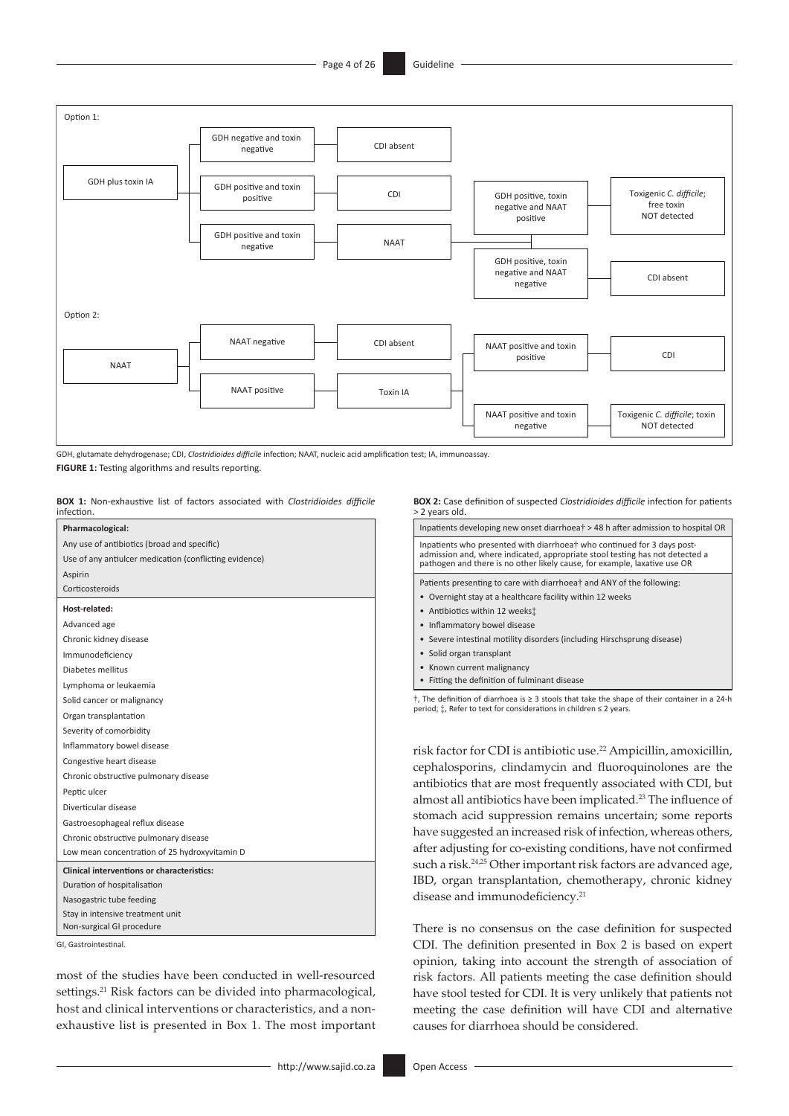

GDH, glutamate dehydrogenase; CDI, *Clostridioides difficile* infection; NAAT, nucleic acid amplification test; IA, immunoassay. **FIGURE 1:** Testing algorithms and results reporting.

**BOX 1:** Non-exhaustive list of factors associated with *Clostridioides difficile* infection.

| Pharmacological:                                       |
|--------------------------------------------------------|
| Any use of antibiotics (broad and specific)            |
| Use of any antiulcer medication (conflicting evidence) |
| Aspirin                                                |
| Corticosteroids                                        |
| Host-related:                                          |
| Advanced age                                           |
| Chronic kidney disease                                 |
| Immunodeficiency                                       |
| Diabetes mellitus                                      |
| Lymphoma or leukaemia                                  |
| Solid cancer or malignancy                             |
| Organ transplantation                                  |
| Severity of comorbidity                                |
| Inflammatory bowel disease                             |
| Congestive heart disease                               |
| Chronic obstructive pulmonary disease                  |
| Peptic ulcer                                           |
| Diverticular disease                                   |
| Gastroesophageal reflux disease                        |
| Chronic obstructive pulmonary disease                  |
| Low mean concentration of 25 hydroxyvitamin D          |
| <b>Clinical interventions or characteristics:</b>      |
| Duration of hospitalisation                            |
| Nasogastric tube feeding                               |
| Stay in intensive treatment unit                       |
| Non-surgical GI procedure                              |
| GI. Gastrointestinal.                                  |

most of the studies have been conducted in well-resourced settings.<sup>21</sup> Risk factors can be divided into pharmacological, host and clinical interventions or characteristics, and a nonexhaustive list is presented in Box 1. The most important **BOX 2:** Case definition of suspected *Clostridioides difficile* infection for patients > 2 years old.

| Inpatients developing new onset diarrhoea† > 48 h after admission to hospital OR                                                                                                                                                                                                                                                                                                           |
|--------------------------------------------------------------------------------------------------------------------------------------------------------------------------------------------------------------------------------------------------------------------------------------------------------------------------------------------------------------------------------------------|
| Inpatients who presented with diarrhoea† who continued for 3 days post-<br>admission and, where indicated, appropriate stool testing has not detected a<br>pathogen and there is no other likely cause, for example, laxative use OR                                                                                                                                                       |
| Patients presenting to care with diarrhoea† and ANY of the following:<br>• Overnight stay at a healthcare facility within 12 weeks<br>• Antibiotics within 12 weeks:<br>• Inflammatory bowel disease<br>• Severe intestinal motility disorders (including Hirschsprung disease)<br>• Solid organ transplant<br>• Known current malignancy<br>• Fitting the definition of fulminant disease |
| $\dagger$ , The definition of diarrhoea is $\geq 3$ stools that take the shape of their container in a 24-h<br>period; $\ddagger$ , Refer to text for considerations in children $\leq 2$ years.                                                                                                                                                                                           |

<span id="page-3-1"></span><span id="page-3-0"></span>risk factor for CDI is antibiotic use[.22](#page-22-11) Ampicillin, amoxicillin, cephalosporins, clindamycin and fluoroquinolones are the antibiotics that are most frequently associated with CDI, but almost all antibiotics have been implicated.<sup>[23](#page-22-12)</sup> The influence of stomach acid suppression remains uncertain; some reports have suggested an increased risk of infection, whereas others, after adjusting for co-existing conditions, have not confirmed such a risk.<sup>[24](#page-22-13),25</sup> Other important risk factors are advanced age, IBD, organ transplantation, chemotherapy, chronic kidney disease and immunodeficiency.<sup>21</sup>

<span id="page-3-3"></span><span id="page-3-2"></span>There is no consensus on the case definition for suspected CDI. The definition presented in Box 2 is based on expert opinion, taking into account the strength of association of risk factors. All patients meeting the case definition should have stool tested for CDI. It is very unlikely that patients not meeting the case definition will have CDI and alternative causes for diarrhoea should be considered.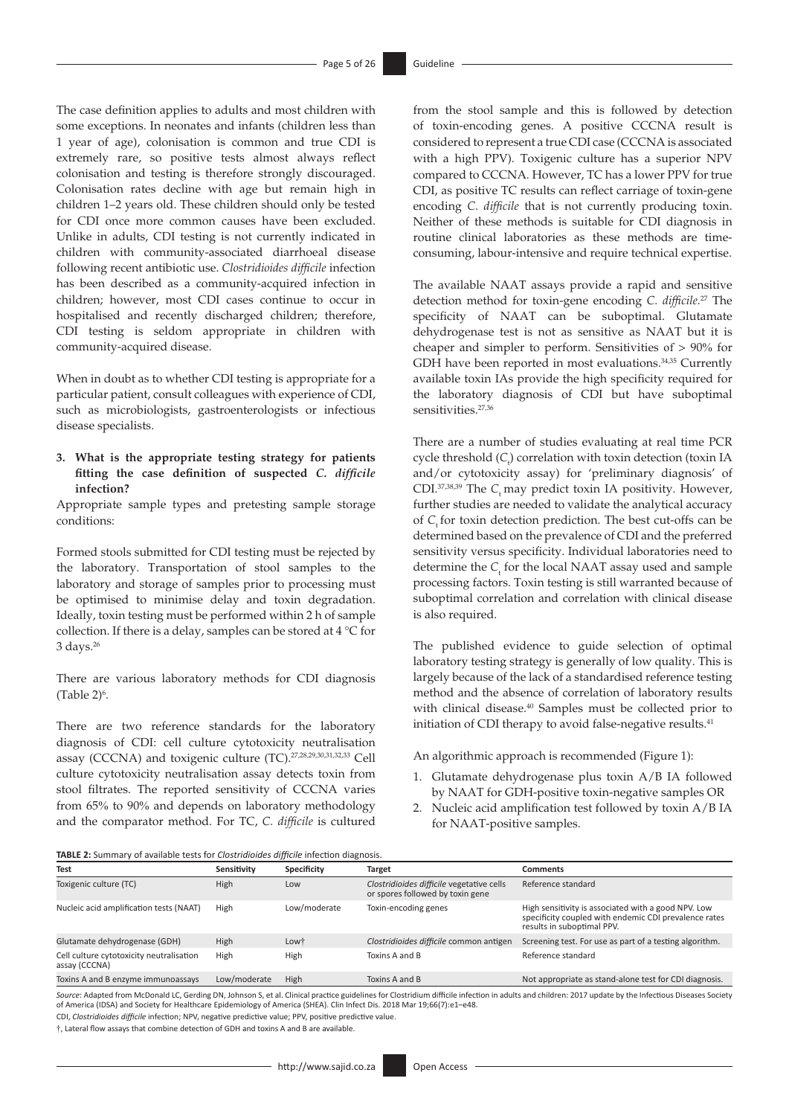The case definition applies to adults and most children with some exceptions. In neonates and infants (children less than 1 year of age), colonisation is common and true CDI is extremely rare, so positive tests almost always reflect colonisation and testing is therefore strongly discouraged. Colonisation rates decline with age but remain high in children 1–2 years old. These children should only be tested for CDI once more common causes have been excluded. Unlike in adults, CDI testing is not currently indicated in children with community-associated diarrhoeal disease following recent antibiotic use. *Clostridioides difficile* infection has been described as a community-acquired infection in children; however, most CDI cases continue to occur in hospitalised and recently discharged children; therefore, CDI testing is seldom appropriate in children with community-acquired disease.

When in doubt as to whether CDI testing is appropriate for a particular patient, consult colleagues with experience of CDI, such as microbiologists, gastroenterologists or infectious disease specialists.

**3. What is the appropriate testing strategy for patients fitting the case definition of suspected** *C. difficile*  **infection?** 

Appropriate sample types and pretesting sample storage conditions:

Formed stools submitted for CDI testing must be rejected by the laboratory. Transportation of stool samples to the laboratory and storage of samples prior to processing must be optimised to minimise delay and toxin degradation. Ideally, toxin testing must be performed within 2 h of sample collection. If there is a delay, samples can be stored at 4 °C for 3 days[.26](#page-22-15)

<span id="page-4-0"></span>There are various laboratory methods for CDI diagnosis  $(Table 2)<sup>6</sup>$ .

<span id="page-4-1"></span>There are two reference standards for the laboratory diagnosis of CDI: cell culture cytotoxicity neutralisation assay (CCCNA) and toxigenic culture (TC).[27](#page-22-16)[,28,](#page-22-17)[29](#page-22-18)[,30,](#page-22-19)[31](#page-22-20),[32,](#page-22-21)[33](#page-22-22) Cell culture cytotoxicity neutralisation assay detects toxin from stool filtrates. The reported sensitivity of CCCNA varies from 65% to 90% and depends on laboratory methodology and the comparator method. For TC, *C. difficile* is cultured

from the stool sample and this is followed by detection of toxin-encoding genes. A positive CCCNA result is considered to represent a true CDI case (CCCNA is associated with a high PPV). Toxigenic culture has a superior NPV compared to CCCNA. However, TC has a lower PPV for true CDI, as positive TC results can reflect carriage of toxin-gene encoding *C. difficile* that is not currently producing toxin. Neither of these methods is suitable for CDI diagnosis in routine clinical laboratories as these methods are timeconsuming, labour-intensive and require technical expertise.

<span id="page-4-4"></span><span id="page-4-3"></span>The available NAAT assays provide a rapid and sensitive detection method for toxin-gene encoding *C. difficile.*[27](#page-22-16) The specificity of NAAT can be suboptimal. Glutamate dehydrogenase test is not as sensitive as NAAT but it is cheaper and simpler to perform. Sensitivities of > 90% for GDH have been reported in most evaluations.<sup>[34](#page-22-23),35</sup> Currently available toxin IAs provide the high specificity required for the laboratory diagnosis of CDI but have suboptimal sensitivities.<sup>[27](#page-22-16)[,36](#page-22-25)</sup>

<span id="page-4-7"></span><span id="page-4-6"></span><span id="page-4-5"></span>There are a number of studies evaluating at real time PCR cycle threshold (*C*<sub>t</sub>) correlation with toxin detection (toxin IA and/or cytotoxicity assay) for 'preliminary diagnosis' of CDI.<sup>37,[38](#page-22-27),39</sup> The *C*<sub>t</sub> may predict toxin IA positivity. However, further studies are needed to validate the analytical accuracy of *C*<sub>t</sub> for toxin detection prediction. The best cut-offs can be determined based on the prevalence of CDI and the preferred sensitivity versus specificity. Individual laboratories need to determine the  $C_t$  for the local NAAT assay used and sample processing factors. Toxin testing is still warranted because of suboptimal correlation and correlation with clinical disease is also required.

The published evidence to guide selection of optimal laboratory testing strategy is generally of low quality. This is largely because of the lack of a standardised reference testing method and the absence of correlation of laboratory results with clinical disease.<sup>40</sup> Samples must be collected prior to initiation of CDI therapy to avoid false-negative results.<sup>41</sup>

<span id="page-4-9"></span><span id="page-4-8"></span><span id="page-4-2"></span>An algorithmic approach is recommended (Figure 1):

- 1. Glutamate dehydrogenase plus toxin A/B IA followed by NAAT for GDH-positive toxin-negative samples OR
- 2. Nucleic acid amplification test followed by toxin A/B IA for NAAT-positive samples.

**TABLE 2:** Summary of available tests for *Clostridioides difficile* infection diagnosis.

| <b>IADLE 2.</b> Suffitually be available tests for <i>crostrigiolaes difficul</i> e intection diagnosis. |              |              |                                                                               |                                                                                                                                            |
|----------------------------------------------------------------------------------------------------------|--------------|--------------|-------------------------------------------------------------------------------|--------------------------------------------------------------------------------------------------------------------------------------------|
| <b>Test</b>                                                                                              | Sensitivity  | Specificity  | Target                                                                        | <b>Comments</b>                                                                                                                            |
| Toxigenic culture (TC)                                                                                   | High         | Low          | Clostridioides difficile vegetative cells<br>or spores followed by toxin gene | Reference standard                                                                                                                         |
| Nucleic acid amplification tests (NAAT)                                                                  | High         | Low/moderate | Toxin-encoding genes                                                          | High sensitivity is associated with a good NPV. Low<br>specificity coupled with endemic CDI prevalence rates<br>results in suboptimal PPV. |
| Glutamate dehydrogenase (GDH)                                                                            | High         | Lowt         | Clostridioides difficile common antigen                                       | Screening test. For use as part of a testing algorithm.                                                                                    |
| Cell culture cytotoxicity neutralisation<br>assay (CCCNA)                                                | High         | High         | Toxins A and B                                                                | Reference standard                                                                                                                         |
| Toxins A and B enzyme immunoassays                                                                       | Low/moderate | High         | Toxins A and B                                                                | Not appropriate as stand-alone test for CDI diagnosis.                                                                                     |
|                                                                                                          |              |              |                                                                               |                                                                                                                                            |

*Source:* Adapted from McDonald LC, Gerding DN, Johnson S, et al. Clinical practice guidelines for Clostridium difficile infection in adults and children: 2017 update by the Infectious Diseases Society<br>of America (IDSA) an

CDI, *Clostridioides difficile* infection; NPV, negative predictive value; PPV, positive predictive value.

†, Lateral flow assays that combine detection of GDH and toxins A and B are available.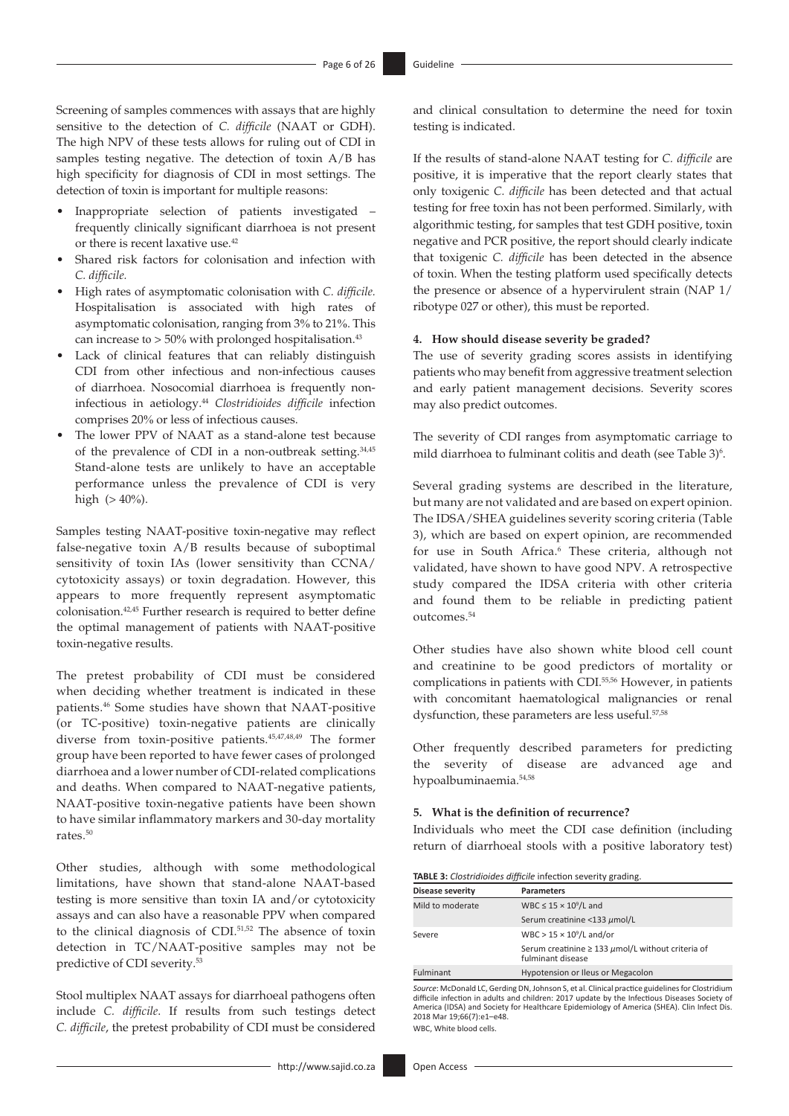Screening of samples commences with assays that are highly sensitive to the detection of *C. difficile* (NAAT or GDH). The high NPV of these tests allows for ruling out of CDI in samples testing negative. The detection of toxin A/B has high specificity for diagnosis of CDI in most settings. The detection of toxin is important for multiple reasons:

- Inappropriate selection of patients investigated frequently clinically significant diarrhoea is not present or there is recent laxative use.[42](#page-22-31)
- <span id="page-5-0"></span>Shared risk factors for colonisation and infection with *C. difficile.*
- High rates of asymptomatic colonisation with *C. difficile.* Hospitalisation is associated with high rates of asymptomatic colonisation, ranging from 3% to 21%. This can increase to  $> 50\%$  with prolonged hospitalisation.<sup>43</sup>
- Lack of clinical features that can reliably distinguish CDI from other infectious and non-infectious causes of diarrhoea. Nosocomial diarrhoea is frequently noninfectious in aetiology[.44](#page-22-33) *Clostridioides difficile* infection comprises 20% or less of infectious causes.
- <span id="page-5-2"></span>The lower PPV of NAAT as a stand-alone test because of the prevalence of CDI in a non-outbreak setting.<sup>[34](#page-22-23)[,45](#page-22-34)</sup> Stand-alone tests are unlikely to have an acceptable performance unless the prevalence of CDI is very high (> 40%).

Samples testing NAAT-positive toxin-negative may reflect false-negative toxin A/B results because of suboptimal sensitivity of toxin IAs (lower sensitivity than CCNA/ cytotoxicity assays) or toxin degradation. However, this appears to more frequently represent asymptomatic colonisation[.42](#page-22-31),[45](#page-22-34) Further research is required to better define the optimal management of patients with NAAT-positive toxin-negative results.

<span id="page-5-4"></span>The pretest probability of CDI must be considered when deciding whether treatment is indicated in these patients.[46](#page-22-35) Some studies have shown that NAAT-positive (or TC-positive) toxin-negative patients are clinically diverse from toxin-positive patients[.45](#page-22-34)[,47,](#page-22-36)[48](#page-22-37),[49](#page-22-38) The former group have been reported to have fewer cases of prolonged diarrhoea and a lower number of CDI-related complications and deaths. When compared to NAAT-negative patients, NAAT-positive toxin-negative patients have been shown to have similar inflammatory markers and 30-day mortality rates.[50](#page-22-39)

<span id="page-5-7"></span><span id="page-5-6"></span>Other studies, although with some methodological limitations, have shown that stand-alone NAAT-based testing is more sensitive than toxin IA and/or cytotoxicity assays and can also have a reasonable PPV when compared to the clinical diagnosis of CDI.<sup>[51](#page-22-40),[52](#page-22-41)</sup> The absence of toxin detection in TC/NAAT-positive samples may not be predictive of CDI severity.[53](#page-22-42)

<span id="page-5-9"></span>Stool multiplex NAAT assays for diarrhoeal pathogens often include *C. difficile*. If results from such testings detect *C. difficile*, the pretest probability of CDI must be considered

and clinical consultation to determine the need for toxin testing is indicated.

If the results of stand-alone NAAT testing for *C. difficile* are positive, it is imperative that the report clearly states that only toxigenic *C. difficile* has been detected and that actual testing for free toxin has not been performed. Similarly, with algorithmic testing, for samples that test GDH positive, toxin negative and PCR positive, the report should clearly indicate that toxigenic *C. difficile* has been detected in the absence of toxin. When the testing platform used specifically detects the presence or absence of a hypervirulent strain (NAP 1/ ribotype 027 or other), this must be reported.

### <span id="page-5-1"></span>**4. How should disease severity be graded?**

The use of severity grading scores assists in identifying patients who may benefit from aggressive treatment selection and early patient management decisions. Severity scores may also predict outcomes.

<span id="page-5-3"></span>The severity of CDI ranges from asymptomatic carriage to mild diarrhoea to fulminant colitis and death (see Table 3)<sup>[6](#page-21-5)</sup>.

Several grading systems are described in the literature, but many are not validated and are based on expert opinion. The IDSA/SHEA guidelines severity scoring criteria (Table 3), which are based on expert opinion, are recommended for use in South Africa.<sup>[6](#page-21-5)</sup> These criteria, although not validated, have shown to have good NPV. A retrospective study compared the IDSA criteria with other criteria and found them to be reliable in predicting patient outcomes.[54](#page-22-43)

<span id="page-5-12"></span><span id="page-5-11"></span><span id="page-5-10"></span>Other studies have also shown white blood cell count and creatinine to be good predictors of mortality or complications in patients with CDI.<sup>55,56</sup> However, in patients with concomitant haematological malignancies or renal dysfunction, these parameters are less useful.<sup>57,[58](#page-22-47)</sup>

<span id="page-5-14"></span><span id="page-5-13"></span><span id="page-5-5"></span>Other frequently described parameters for predicting the severity of disease are advanced age and hypoalbuminaemia.[54](#page-22-43)[,58](#page-22-47)

#### **5. What is the definition of recurrence?**

Individuals who meet the CDI case definition (including return of diarrhoeal stools with a positive laboratory test)

| TABLE 3: Clostridioides difficile infection severity grading. |  |
|---------------------------------------------------------------|--|
|---------------------------------------------------------------|--|

<span id="page-5-8"></span>

| Disease severity | <b>Parameters</b>                                                              |
|------------------|--------------------------------------------------------------------------------|
| Mild to moderate | WBC $\leq 15 \times 10^9$ /L and                                               |
|                  | Serum creatinine <133 µmol/L                                                   |
| Severe           | $WBC > 15 \times 10^9/L$ and/or                                                |
|                  | Serum creatinine $\geq 133 \mu$ mol/L without criteria of<br>fulminant disease |
| Fulminant        | Hypotension or Ileus or Megacolon                                              |

*Source*: McDonald LC, Gerding DN, Johnson S, et al. Clinical practice guidelines for Clostridium difficile infection in adults and children: 2017 update by the Infectious Diseases Society of America (IDSA) and Society for Healthcare Epidemiology of America (SHEA). Clin Infect Dis. 2018 Mar 19;66(7):e1–e48. WBC, White blood cells.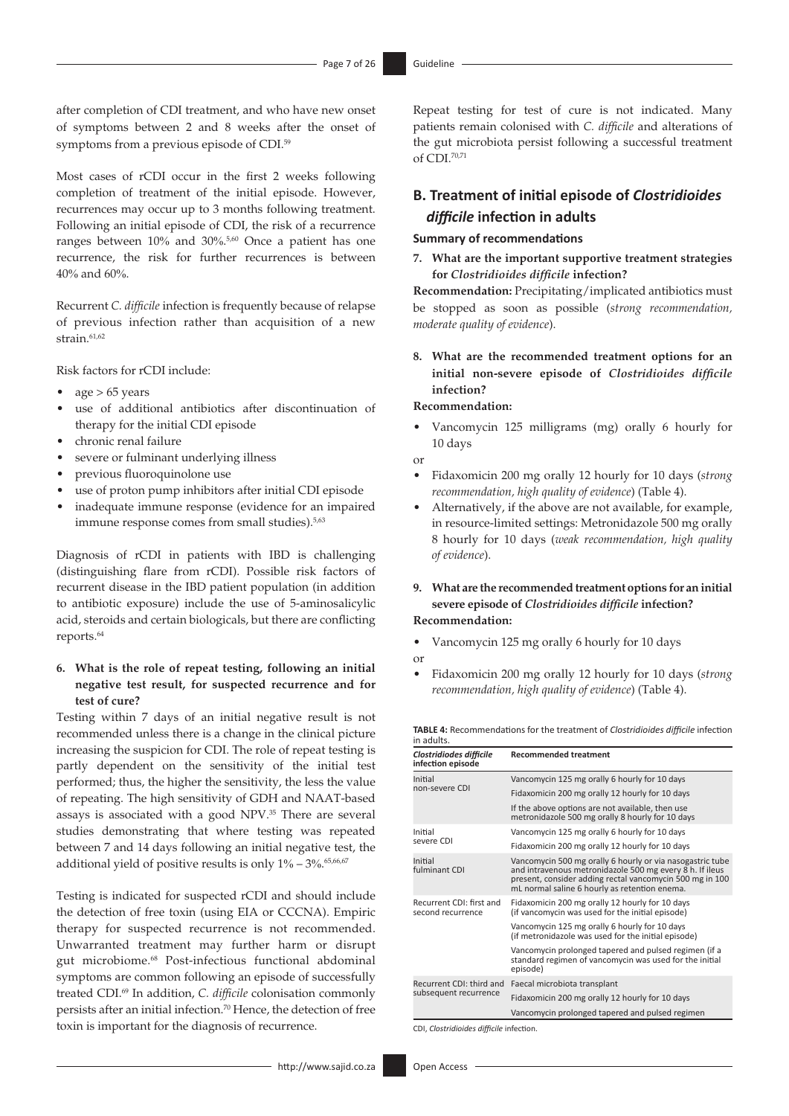<span id="page-6-0"></span>after completion of CDI treatment, and who have new onset of symptoms between 2 and 8 weeks after the onset of symptoms from a previous episode of CDI.<sup>59</sup>

Most cases of rCDI occur in the first 2 weeks following completion of treatment of the initial episode. However, recurrences may occur up to 3 months following treatment. Following an initial episode of CDI, the risk of a recurrence ranges between 10% and 30%. [5](#page-21-4),[60](#page-23-1) Once a patient has one recurrence, the risk for further recurrences is between 40% and 60%.

<span id="page-6-3"></span><span id="page-6-2"></span>Recurrent *C. difficile* infection is frequently because of relapse of previous infection rather than acquisition of a new strain.<sup>61,[62](#page-23-3)</sup>

Risk factors for rCDI include:

- age  $> 65$  years
- use of additional antibiotics after discontinuation of therapy for the initial CDI episode
- chronic renal failure
- severe or fulminant underlying illness
- previous fluoroquinolone use
- use of proton pump inhibitors after initial CDI episode
- inadequate immune response (evidence for an impaired immune response comes from small studies).<sup>5[,63](#page-23-4)</sup>

Diagnosis of rCDI in patients with IBD is challenging (distinguishing flare from rCDI). Possible risk factors of recurrent disease in the IBD patient population (in addition to antibiotic exposure) include the use of 5-aminosalicylic acid, steroids and certain biologicals, but there are conflicting reports[.64](#page-23-5)

### <span id="page-6-5"></span>**6. What is the role of repeat testing, following an initial negative test result, for suspected recurrence and for test of cure?**

Testing within 7 days of an initial negative result is not recommended unless there is a change in the clinical picture increasing the suspicion for CDI. The role of repeat testing is partly dependent on the sensitivity of the initial test performed; thus, the higher the sensitivity, the less the value of repeating. The high sensitivity of GDH and NAAT-based assays is associated with a good NPV[.35](#page-22-24) There are several studies demonstrating that where testing was repeated between 7 and 14 days following an initial negative test, the additional yield of positive results is only 1% – 3%.<sup>[65](#page-23-6)[,66,](#page-23-7)[67](#page-23-8)</sup>

<span id="page-6-10"></span><span id="page-6-9"></span><span id="page-6-8"></span>Testing is indicated for suspected rCDI and should include the detection of free toxin (using EIA or CCCNA). Empiric therapy for suspected recurrence is not recommended. Unwarranted treatment may further harm or disrupt gut microbiome.[68](#page-23-9) Post-infectious functional abdominal symptoms are common following an episode of successfully treated CDI.[69](#page-23-10) In addition, *C. difficile* colonisation commonly persists after an initial infection.<sup>70</sup> Hence, the detection of free toxin is important for the diagnosis of recurrence.

Repeat testing for test of cure is not indicated. Many patients remain colonised with *C. difficile* and alterations of the gut microbiota persist following a successful treatment of CDI.[70](#page-23-11)[,71](#page-23-12)

### <span id="page-6-11"></span>**B. Treatment of initial episode of** *Clostridioides difficile* **infection in adults**

#### <span id="page-6-1"></span>**Summary of recommendations**

**7. What are the important supportive treatment strategies for** *Clostridioides difficile* **infection?**

**Recommendation:** Precipitating/implicated antibiotics must be stopped as soon as possible (*strong recommendation, moderate quality of evidence*).

**8. What are the recommended treatment options for an initial non-severe episode of** *Clostridioides difficile*  **infection?**

### **Recommendation:**

• Vancomycin 125 milligrams (mg) orally 6 hourly for 10 days

### or

- Fidaxomicin 200 mg orally 12 hourly for 10 days (*strong recommendation, high quality of evidence*) (Table 4).
- <span id="page-6-4"></span>• Alternatively, if the above are not available, for example, in resource-limited settings: Metronidazole 500 mg orally 8 hourly for 10 days (*weak recommendation, high quality of evidence*).
- **9. What are the recommended treatment options for aninitial severe episode of** *Clostridioides difficile* **infection? Recommendation:**

- Vancomycin 125 mg orally 6 hourly for 10 days or
- Fidaxomicin 200 mg orally 12 hourly for 10 days (*strong recommendation, high quality of evidence*) (Table 4).

**TABLE 4:** Recommendations for the treatment of *Clostridioides difficile* infection in adults.

<span id="page-6-7"></span><span id="page-6-6"></span>

| Clostridiodes difficile<br>infection episode  | <b>Recommended treatment</b>                                                                                                                                                                                                       |
|-----------------------------------------------|------------------------------------------------------------------------------------------------------------------------------------------------------------------------------------------------------------------------------------|
| Initial                                       | Vancomycin 125 mg orally 6 hourly for 10 days                                                                                                                                                                                      |
| non-severe CDI                                | Fidaxomicin 200 mg orally 12 hourly for 10 days                                                                                                                                                                                    |
|                                               | If the above options are not available, then use<br>metronidazole 500 mg orally 8 hourly for 10 days                                                                                                                               |
| Initial                                       | Vancomycin 125 mg orally 6 hourly for 10 days                                                                                                                                                                                      |
| severe CDI                                    | Fidaxomicin 200 mg orally 12 hourly for 10 days                                                                                                                                                                                    |
| Initial<br>fulminant CDI                      | Vancomycin 500 mg orally 6 hourly or via nasogastric tube<br>and intravenous metronidazole 500 mg every 8 h. If ileus<br>present, consider adding rectal vancomycin 500 mg in 100<br>mL normal saline 6 hourly as retention enema. |
| Recurrent CDI: first and<br>second recurrence | Fidaxomicin 200 mg orally 12 hourly for 10 days<br>(if vancomycin was used for the initial episode)                                                                                                                                |
|                                               | Vancomycin 125 mg orally 6 hourly for 10 days<br>(if metronidazole was used for the initial episode)                                                                                                                               |
|                                               | Vancomycin prolonged tapered and pulsed regimen (if a<br>standard regimen of vancomycin was used for the initial<br>episode)                                                                                                       |
| Recurrent CDI: third and                      | Faecal microbiota transplant                                                                                                                                                                                                       |
| subsequent recurrence                         | Fidaxomicin 200 mg orally 12 hourly for 10 days                                                                                                                                                                                    |
|                                               | Vancomycin prolonged tapered and pulsed regimen                                                                                                                                                                                    |

CDI, *Clostridioides difficile* infection.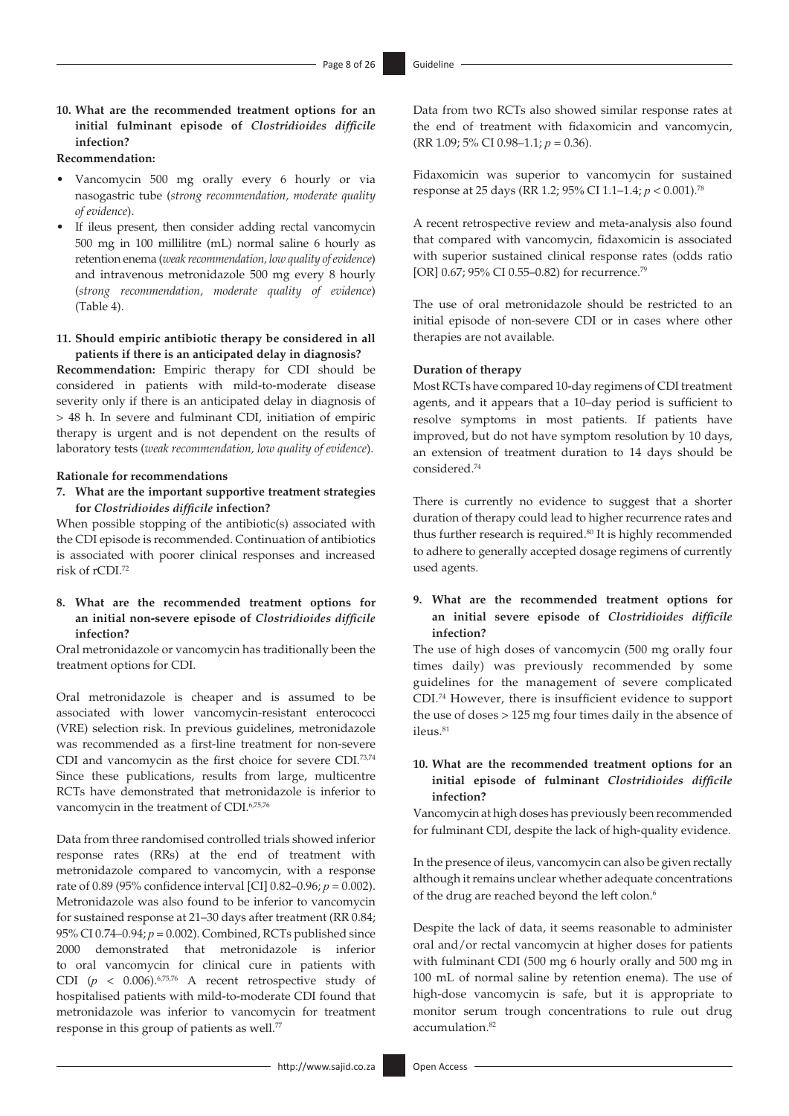### **10. What are the recommended treatment options for an initial fulminant episode of** *Clostridioides difficile*  **infection?**

### **Recommendation:**

- Vancomycin 500 mg orally every 6 hourly or via nasogastric tube (*strong recommendation, moderate quality of evidence*).
- If ileus present, then consider adding rectal vancomycin 500 mg in 100 millilitre (mL) normal saline 6 hourly as retention enema (*weak recommendation, low quality of evidence*) and intravenous metronidazole 500 mg every 8 hourly (*strong recommendation, moderate quality of evidence*) (Table 4).

#### **11. Should empiric antibiotic therapy be considered in all patients if there is an anticipated delay in diagnosis?**

**Recommendation:** Empiric therapy for CDI should be considered in patients with mild-to-moderate disease severity only if there is an anticipated delay in diagnosis of > 48 h. In severe and fulminant CDI, initiation of empiric therapy is urgent and is not dependent on the results of laboratory tests (*weak recommendation, low quality of evidence*).

#### **Rationale for recommendations**

**7. What are the important supportive treatment strategies for** *Clostridioides difficile* **infection?**

When possible stopping of the antibiotic(s) associated with the CDI episode is recommended. Continuation of antibiotics is associated with poorer clinical responses and increased risk of rCDI[.72](#page-23-13)

### <span id="page-7-0"></span>**8. What are the recommended treatment options for an initial non-severe episode of** *Clostridioides difficile* **infection?**

Oral metronidazole or vancomycin has traditionally been the treatment options for CDI.

<span id="page-7-1"></span>Oral metronidazole is cheaper and is assumed to be associated with lower vancomycin-resistant enterococci (VRE) selection risk. In previous guidelines, metronidazole was recommended as a first-line treatment for non-severe CDI and vancomycin as the first choice for severe CDI.[73](#page-23-14)[,74](#page-23-15) Since these publications, results from large, multicentre RCTs have demonstrated that metronidazole is inferior to vancomycin in the treatment of CDI.<sup>[6](#page-21-5),[75](#page-23-16)[,76](#page-23-17)</sup>

Data from three randomised controlled trials showed inferior response rates (RRs) at the end of treatment with metronidazole compared to vancomycin, with a response rate of 0.89 (95% confidence interval [CI] 0.82–0.96; *p* = 0.002). Metronidazole was also found to be inferior to vancomycin for sustained response at 21–30 days after treatment (RR 0.84; 95% CI 0.74–0.94; *p* = 0.002). Combined, RCTs published since 2000 demonstrated that metronidazole is inferior to oral vancomycin for clinical cure in patients with CDI ( $p \le 0.006$  $p \le 0.006$ ).<sup>6,[75,](#page-23-16)[76](#page-23-17)</sup> A recent retrospective study of hospitalised patients with mild-to-moderate CDI found that metronidazole was inferior to vancomycin for treatment response in this group of patients as well.<sup>[77](#page-23-18)</sup>

Data from two RCTs also showed similar response rates at the end of treatment with fidaxomicin and vancomycin, (RR 1.09; 5% CI 0.98–1.1; *p* = 0.36).

<span id="page-7-5"></span>Fidaxomicin was superior to vancomycin for sustained response at 25 days (RR 1.2; 95% CI 1.1–1.4; *p* < 0.001)[.78](#page-23-19)

A recent retrospective review and meta-analysis also found that compared with vancomycin, fidaxomicin is associated with superior sustained clinical response rates (odds ratio [OR] 0.67; 95% CI 0.55–0.82) for recurrence.<sup>79</sup>

<span id="page-7-6"></span>The use of oral metronidazole should be restricted to an initial episode of non-severe CDI or in cases where other therapies are not available.

### **Duration of therapy**

Most RCTs have compared 10-day regimens of CDI treatment agents, and it appears that a 10–day period is sufficient to resolve symptoms in most patients. If patients have improved, but do not have symptom resolution by 10 days, an extension of treatment duration to 14 days should be considered.[74](#page-23-15)

<span id="page-7-7"></span>There is currently no evidence to suggest that a shorter duration of therapy could lead to higher recurrence rates and thus further research is required.<sup>80</sup> It is highly recommended to adhere to generally accepted dosage regimens of currently used agents.

### **9. What are the recommended treatment options for an initial severe episode of** *Clostridioides difficile* **infection?**

The use of high doses of vancomycin (500 mg orally four times daily) was previously recommended by some guidelines for the management of severe complicated CDI.[74](#page-23-15) However, there is insufficient evidence to support the use of doses > 125 mg four times daily in the absence of ileus.[81](#page-23-22)

### <span id="page-7-8"></span><span id="page-7-2"></span>**10. What are the recommended treatment options for an initial episode of fulminant** *Clostridioides difficile*  **infection?**

<span id="page-7-3"></span>Vancomycin at high doses has previously been recommended for fulminant CDI, despite the lack of high-quality evidence.

In the presence of ileus, vancomycin can also be given rectally although it remains unclear whether adequate concentrations of the drug are reached beyond the left colon.<sup>[6](#page-21-5)</sup>

<span id="page-7-9"></span><span id="page-7-4"></span>Despite the lack of data, it seems reasonable to administer oral and/or rectal vancomycin at higher doses for patients with fulminant CDI (500 mg 6 hourly orally and 500 mg in 100 mL of normal saline by retention enema). The use of high-dose vancomycin is safe, but it is appropriate to monitor serum trough concentrations to rule out drug accumulation[.82](#page-23-23)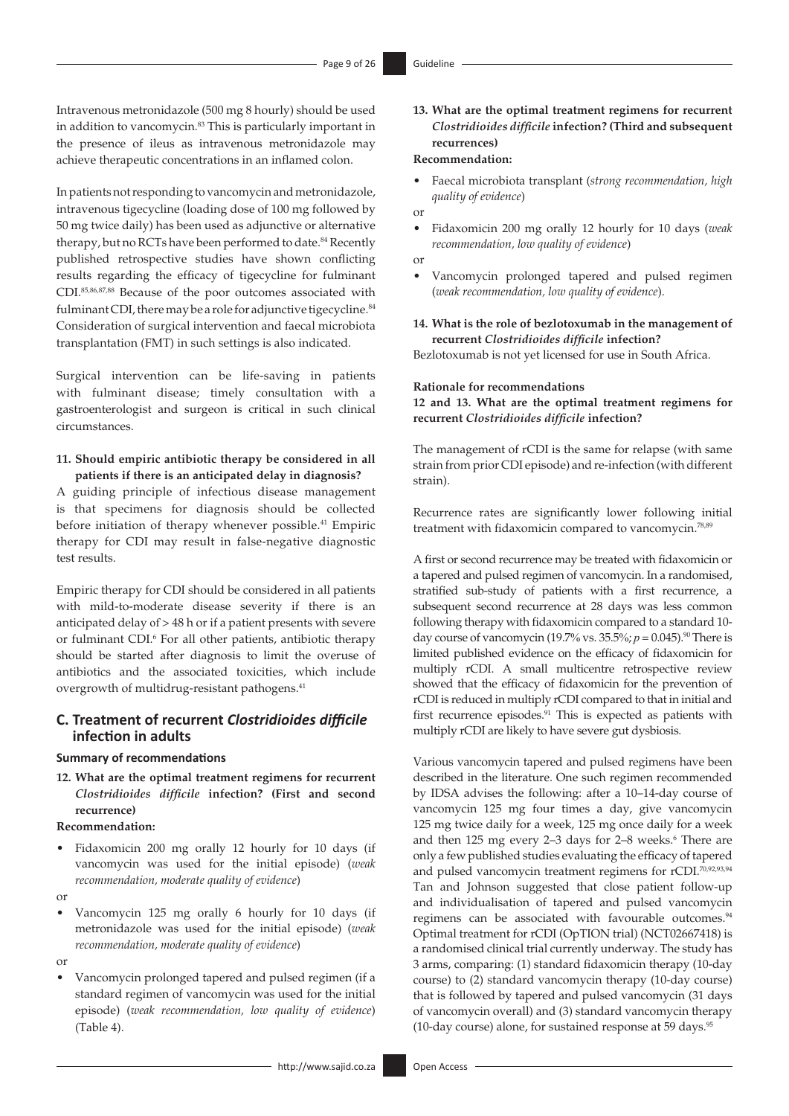Intravenous metronidazole (500 mg 8 hourly) should be used in addition to vancomycin.<sup>83</sup> This is particularly important in the presence of ileus as intravenous metronidazole may achieve therapeutic concentrations in an inflamed colon.

<span id="page-8-1"></span>In patients not responding to vancomycin and metronidazole, intravenous tigecycline (loading dose of 100 mg followed by 50 mg twice daily) has been used as adjunctive or alternative therapy, but no RCTs have been performed to date.<sup>[84](#page-23-25)</sup> Recently published retrospective studies have shown conflicting results regarding the efficacy of tigecycline for fulminant CDI[.85,](#page-23-26)[86](#page-23-27),[87,](#page-23-28)[88](#page-23-29) Because of the poor outcomes associated with fulminant CDI, there may be a role for adjunctive tigecycline.<sup>84</sup> Consideration of surgical intervention and faecal microbiota transplantation (FMT) in such settings is also indicated.

<span id="page-8-3"></span><span id="page-8-2"></span>Surgical intervention can be life-saving in patients with fulminant disease; timely consultation with a gastroenterologist and surgeon is critical in such clinical circumstances.

### **11. Should empiric antibiotic therapy be considered in all patients if there is an anticipated delay in diagnosis?**

A guiding principle of infectious disease management is that specimens for diagnosis should be collected before initiation of therapy whenever possible.<sup>[41](#page-22-30)</sup> Empiric therapy for CDI may result in false-negative diagnostic test results.

Empiric therapy for CDI should be considered in all patients with mild-to-moderate disease severity if there is an anticipated delay of > 48 h or if a patient presents with severe or fulminant CDI.<sup>6</sup> For all other patients, antibiotic therapy should be started after diagnosis to limit the overuse of antibiotics and the associated toxicities, which include overgrowth of multidrug-resistant pathogens.<sup>[41](#page-22-30)</sup>

### **C. Treatment of recurrent** *Clostridioides difficile* **infection in adults**

#### **Summary of recommendations**

**12. What are the optimal treatment regimens for recurrent**  *Clostridioides difficile* **infection? (First and second recurrence)**

### **Recommendation:**

- Fidaxomicin 200 mg orally 12 hourly for 10 days (if vancomycin was used for the initial episode) (*weak recommendation, moderate quality of evidence*)
- or
- Vancomycin 125 mg orally 6 hourly for 10 days (if metronidazole was used for the initial episode) (*weak recommendation, moderate quality of evidence*)

or

• Vancomycin prolonged tapered and pulsed regimen (if a standard regimen of vancomycin was used for the initial episode) (*weak recommendation, low quality of evidence*) (Table 4).

### <span id="page-8-0"></span>**13. What are the optimal treatment regimens for recurrent**  *Clostridioides difficile* **infection? (Third and subsequent recurrences)**

#### **Recommendation:**

- Faecal microbiota transplant (*strong recommendation, high quality of evidence*)
- or • Fidaxomicin 200 mg orally 12 hourly for 10 days (*weak recommendation, low quality of evidence*)
- or
- Vancomycin prolonged tapered and pulsed regimen (*weak recommendation, low quality of evidence*).

**14. What is the role of bezlotoxumab in the management of recurrent** *Clostridioides difficile* **infection?** Bezlotoxumab is not yet licensed for use in South Africa.

#### **Rationale for recommendations**

**12 and 13. What are the optimal treatment regimens for recurrent** *Clostridioides difficile* **infection?**

The management of rCDI is the same for relapse (with same strain from prior CDI episode) and re-infection (with different strain).

<span id="page-8-4"></span>Recurrence rates are significantly lower following initial treatment with fidaxomicin compared to vancomycin[.78](#page-23-19),[89](#page-23-30)

<span id="page-8-5"></span>A first or second recurrence may be treated with fidaxomicin or a tapered and pulsed regimen of vancomycin. In a randomised, stratified sub-study of patients with a first recurrence, a subsequent second recurrence at 28 days was less common following therapy with fidaxomicin compared to a standard 10 day course of vancomycin (19.7% vs. 35.5%;  $p = 0.045$ ).<sup>90</sup> There is limited published evidence on the efficacy of fidaxomicin for multiply rCDI. A small multicentre retrospective review showed that the efficacy of fidaxomicin for the prevention of rCDI is reduced in multiply rCDI compared to that in initial and first recurrence episodes.[91](#page-23-32) This is expected as patients with multiply rCDI are likely to have severe gut dysbiosis.

<span id="page-8-8"></span><span id="page-8-7"></span><span id="page-8-6"></span>Various vancomycin tapered and pulsed regimens have been described in the literature. One such regimen recommended by IDSA advises the following: after a 10–14-day course of vancomycin 125 mg four times a day, give vancomycin 125 mg twice daily for a week, 125 mg once daily for a week and then  $125$  mg every  $2-3$  days for  $2-8$  weeks.<sup>6</sup> There are only a few published studies evaluating the efficacy of tapered and pulsed vancomycin treatment regimens for rCDI.<sup>70,[92,](#page-23-33)[93](#page-23-34),[94](#page-23-35)</sup> Tan and Johnson suggested that close patient follow-up and individualisation of tapered and pulsed vancomycin regimens can be associated with favourable outcomes.<sup>[94](#page-23-35)</sup> Optimal treatment for rCDI (OpTION trial) (NCT02667418) is a randomised clinical trial currently underway. The study has 3 arms, comparing: (1) standard fidaxomicin therapy (10-day course) to (2) standard vancomycin therapy (10-day course) that is followed by tapered and pulsed vancomycin (31 days of vancomycin overall) and (3) standard vancomycin therapy (10-day course) alone, for sustained response at 59 days[.95](#page-23-36)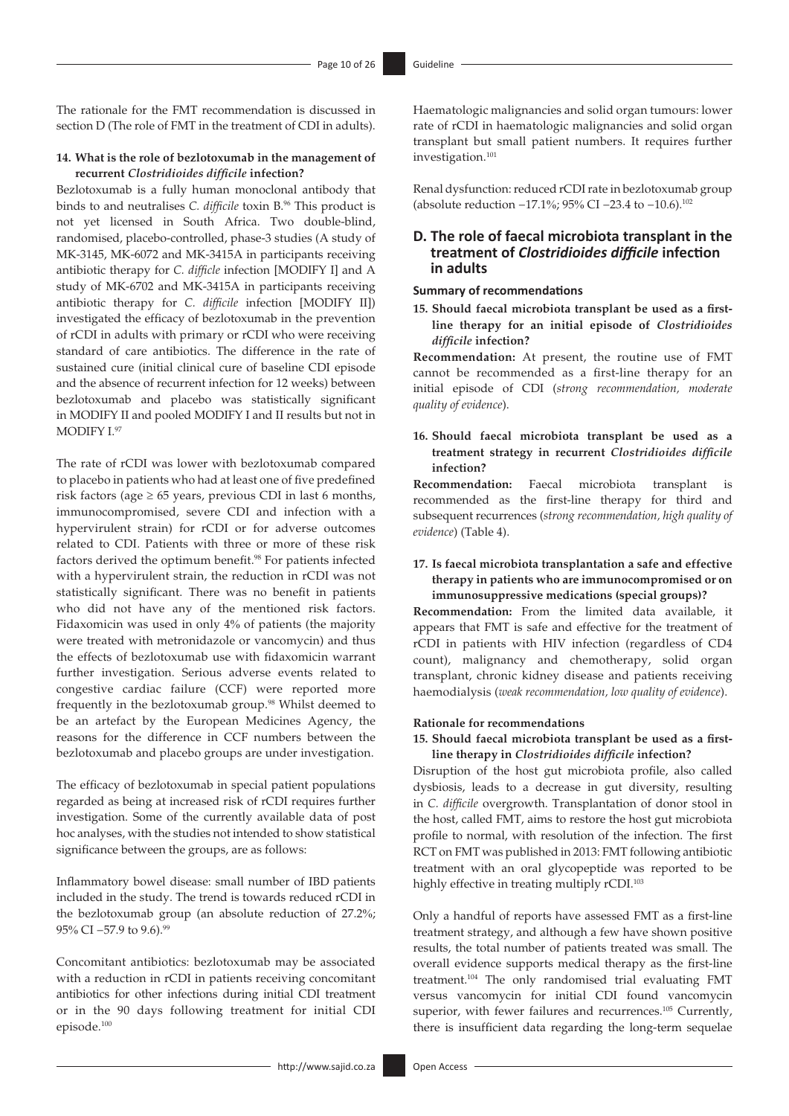The rationale for the FMT recommendation is discussed in section D (The role of FMT in the treatment of CDI in adults).

### **14. What is the role of bezlotoxumab in the management of recurrent** *Clostridioides difficile* **infection?**

Bezlotoxumab is a fully human monoclonal antibody that binds to and neutralises *C. difficile* toxin B[.96](#page-23-37) This product is not yet licensed in South Africa. Two double-blind, randomised, placebo-controlled, phase-3 studies (A study of MK-3145, MK-6072 and MK-3415A in participants receiving antibiotic therapy for *C. difficle* infection [MODIFY I] and A study of MK-6702 and MK-3415A in participants receiving antibiotic therapy for *C. difficile* infection [MODIFY II]) investigated the efficacy of bezlotoxumab in the prevention of rCDI in adults with primary or rCDI who were receiving standard of care antibiotics. The difference in the rate of sustained cure (initial clinical cure of baseline CDI episode and the absence of recurrent infection for 12 weeks) between bezlotoxumab and placebo was statistically significant in MODIFY II and pooled MODIFY I and II results but not in MODIFY I.[97](#page-23-38)

<span id="page-9-2"></span><span id="page-9-1"></span>The rate of rCDI was lower with bezlotoxumab compared to placebo in patients who had at least one of five predefined risk factors (age  $\geq 65$  years, previous CDI in last 6 months, immunocompromised, severe CDI and infection with a hypervirulent strain) for rCDI or for adverse outcomes related to CDI. Patients with three or more of these risk factors derived the optimum benefit.<sup>[98](#page-23-39)</sup> For patients infected with a hypervirulent strain, the reduction in rCDI was not statistically significant. There was no benefit in patients who did not have any of the mentioned risk factors. Fidaxomicin was used in only 4% of patients (the majority were treated with metronidazole or vancomycin) and thus the effects of bezlotoxumab use with fidaxomicin warrant further investigation. Serious adverse events related to congestive cardiac failure (CCF) were reported more frequently in the bezlotoxumab group[.98](#page-23-39) Whilst deemed to be an artefact by the European Medicines Agency, the reasons for the difference in CCF numbers between the bezlotoxumab and placebo groups are under investigation.

The efficacy of bezlotoxumab in special patient populations regarded as being at increased risk of rCDI requires further investigation. Some of the currently available data of post hoc analyses, with the studies not intended to show statistical significance between the groups, are as follows:

Inflammatory bowel disease: small number of IBD patients included in the study. The trend is towards reduced rCDI in the bezlotoxumab group (an absolute reduction of 27.2%; 95% CI –57.9 to 9.6).<sup>[99](#page-23-40)</sup>

<span id="page-9-4"></span><span id="page-9-3"></span>Concomitant antibiotics: bezlotoxumab may be associated with a reduction in rCDI in patients receiving concomitant antibiotics for other infections during initial CDI treatment or in the 90 days following treatment for initial CDI episode[.100](#page-23-41)

Haematologic malignancies and solid organ tumours: lower rate of rCDI in haematologic malignancies and solid organ transplant but small patient numbers. It requires further investigation.<sup>101</sup>

<span id="page-9-6"></span><span id="page-9-5"></span><span id="page-9-0"></span>Renal dysfunction: reduced rCDI rate in bezlotoxumab group (absolute reduction −17.1%; 95% CI −23.4 to −10.6).[102](#page-23-43)

### **D. The role of faecal microbiota transplant in the treatment of** *Clostridioides difficile* **infection in adults**

#### **Summary of recommendations**

**15. Should faecal microbiota transplant be used as a firstline therapy for an initial episode of** *Clostridioides difficile* **infection?**

**Recommendation:** At present, the routine use of FMT cannot be recommended as a first-line therapy for an initial episode of CDI (*strong recommendation, moderate quality of evidence*).

### **16. Should faecal microbiota transplant be used as a treatment strategy in recurrent** *Clostridioides difficile* **infection?**

**Recommendation:** Faecal microbiota transplant is recommended as the first-line therapy for third and subsequent recurrences (*strong recommendation, high quality of evidence*) (Table 4).

### **17. Is faecal microbiota transplantation a safe and effective therapy in patients who are immunocompromised or on immunosuppressive medications (special groups)?**

**Recommendation:** From the limited data available, it appears that FMT is safe and effective for the treatment of rCDI in patients with HIV infection (regardless of CD4 count), malignancy and chemotherapy, solid organ transplant, chronic kidney disease and patients receiving haemodialysis (*weak recommendation, low quality of evidence*).

### **Rationale for recommendations**

### **15. Should faecal microbiota transplant be used as a firstline therapy in** *Clostridioides difficile* **infection?**

Disruption of the host gut microbiota profile, also called dysbiosis, leads to a decrease in gut diversity, resulting in *C. difficile* overgrowth. Transplantation of donor stool in the host, called FMT, aims to restore the host gut microbiota profile to normal, with resolution of the infection. The first RCT on FMT was published in 2013: FMT following antibiotic treatment with an oral glycopeptide was reported to be highly effective in treating multiply rCDI.<sup>103</sup>

<span id="page-9-9"></span><span id="page-9-8"></span><span id="page-9-7"></span>Only a handful of reports have assessed FMT as a first-line treatment strategy, and although a few have shown positive results, the total number of patients treated was small. The overall evidence supports medical therapy as the first-line treatment.[104](#page-23-45) The only randomised trial evaluating FMT versus vancomycin for initial CDI found vancomycin superior, with fewer failures and recurrences.<sup>105</sup> Currently, there is insufficient data regarding the long-term sequelae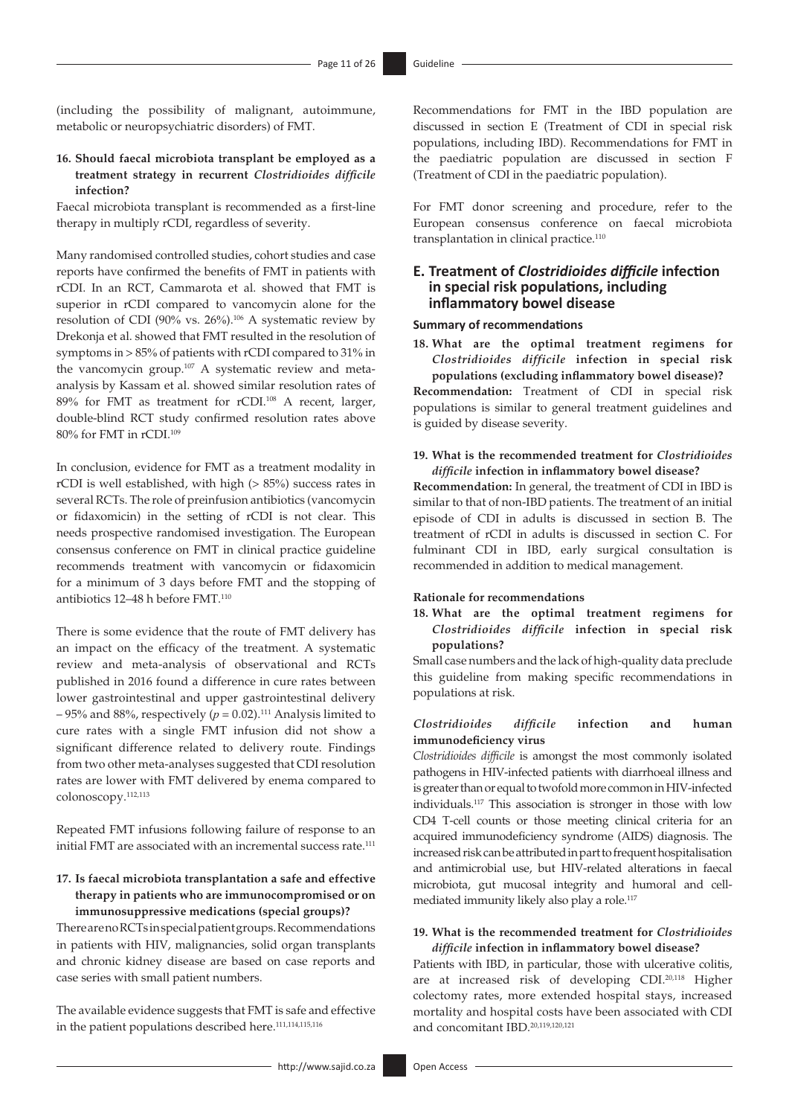(including the possibility of malignant, autoimmune, metabolic or neuropsychiatric disorders) of FMT.

### **16. Should faecal microbiota transplant be employed as a treatment strategy in recurrent** *Clostridioides difficile* **infection?**

Faecal microbiota transplant is recommended as a first-line therapy in multiply rCDI, regardless of severity.

Many randomised controlled studies, cohort studies and case reports have confirmed the benefits of FMT in patients with rCDI. In an RCT, Cammarota et al. showed that FMT is superior in rCDI compared to vancomycin alone for the resolution of CDI (90% vs. 26%).<sup>106</sup> A systematic review by Drekonja et al. showed that FMT resulted in the resolution of symptoms in > 85% of patients with rCDI compared to 31% in the vancomycin group[.107](#page-23-48) A systematic review and metaanalysis by Kassam et al. showed similar resolution rates of 89% for FMT as treatment for rCDI.<sup>108</sup> A recent, larger, double-blind RCT study confirmed resolution rates above 80% for FMT in rCDI.[109](#page-24-1)

<span id="page-10-3"></span><span id="page-10-2"></span><span id="page-10-1"></span>In conclusion, evidence for FMT as a treatment modality in rCDI is well established, with high (> 85%) success rates in several RCTs. The role of preinfusion antibiotics (vancomycin or fidaxomicin) in the setting of rCDI is not clear. This needs prospective randomised investigation. The European consensus conference on FMT in clinical practice guideline recommends treatment with vancomycin or fidaxomicin for a minimum of 3 days before FMT and the stopping of antibiotics 12-48 h before FMT.<sup>[110](#page-24-2)</sup>

<span id="page-10-4"></span>There is some evidence that the route of FMT delivery has an impact on the efficacy of the treatment. A systematic review and meta-analysis of observational and RCTs published in 2016 found a difference in cure rates between lower gastrointestinal and upper gastrointestinal delivery – 95% and 88%, respectively ( $p = 0.02$ ).<sup>111</sup> Analysis limited to cure rates with a single FMT infusion did not show a significant difference related to delivery route. Findings from two other meta-analyses suggested that CDI resolution rates are lower with FMT delivered by enema compared to colonoscopy.[112,](#page-24-4)[113](#page-24-5)

<span id="page-10-7"></span><span id="page-10-6"></span>Repeated FMT infusions following failure of response to an initial FMT are associated with an incremental success rate.<sup>[111](#page-24-3)</sup>

### **17. Is faecal microbiota transplantation a safe and effective therapy in patients who are immunocompromised or on immunosuppressive medications (special groups)?**

There are no RCTs in special patient groups. Recommendations in patients with HIV, malignancies, solid organ transplants and chronic kidney disease are based on case reports and case series with small patient numbers.

The available evidence suggests that FMT is safe and effective in the patient populations described here.<sup>111[,114](#page-24-6)[,115](#page-24-7),[116](#page-24-8)</sup>

Recommendations for FMT in the IBD population are discussed in section E (Treatment of CDI in special risk populations, including IBD). Recommendations for FMT in the paediatric population are discussed in section F (Treatment of CDI in the paediatric population).

For FMT donor screening and procedure, refer to the European consensus conference on faecal microbiota transplantation in clinical practice.<sup>110</sup>

### **E. Treatment of** *Clostridioides difficile* **infection in special risk populations, including inflammatory bowel disease**

### <span id="page-10-0"></span>**Summary of recommendations**

**18. What are the optimal treatment regimens for**  *Clostridioides difficile* **infection in special risk populations (excluding inflammatory bowel disease)?**

**Recommendation:** Treatment of CDI in special risk populations is similar to general treatment guidelines and is guided by disease severity.

### **19. What is the recommended treatment for** *Clostridioides difficile* **infection in inflammatory bowel disease?**

**Recommendation:** In general, the treatment of CDI in IBD is similar to that of non-IBD patients. The treatment of an initial episode of CDI in adults is discussed in section B. The treatment of rCDI in adults is discussed in section C. For fulminant CDI in IBD, early surgical consultation is recommended in addition to medical management.

#### **Rationale for recommendations**

**18. What are the optimal treatment regimens for**  *Clostridioides difficile* **infection in special risk populations?**

Small case numbers and the lack of high-quality data preclude this guideline from making specific recommendations in populations at risk.

#### <span id="page-10-5"></span>*Clostridioides difficile* **infection and human immunodeficiency virus**

<span id="page-10-9"></span>*Clostridioides difficile* is amongst the most commonly isolated pathogens in HIV-infected patients with diarrhoeal illness and is greater than or equal to twofold more common in HIV-infected individuals.[117](#page-24-9) This association is stronger in those with low CD4 T-cell counts or those meeting clinical criteria for an acquired immunodeficiency syndrome (AIDS) diagnosis. The increased risk can be attributed in part to frequent hospitalisation and antimicrobial use, but HIV-related alterations in faecal microbiota, gut mucosal integrity and humoral and cellmediated immunity likely also play a role[.117](#page-24-9)

### **19. What is the recommended treatment for** *Clostridioides difficile* **infection in inflammatory bowel disease?**

<span id="page-10-11"></span><span id="page-10-10"></span><span id="page-10-8"></span>Patients with IBD, in particular, those with ulcerative colitis, are at increased risk of developing CDI[.20,](#page-22-9)[118](#page-24-10) Higher colectomy rates, more extended hospital stays, increased mortality and hospital costs have been associated with CDI and concomitant IBD[.20,](#page-22-9)[119](#page-24-11)[,120](#page-24-12),[121](#page-24-13)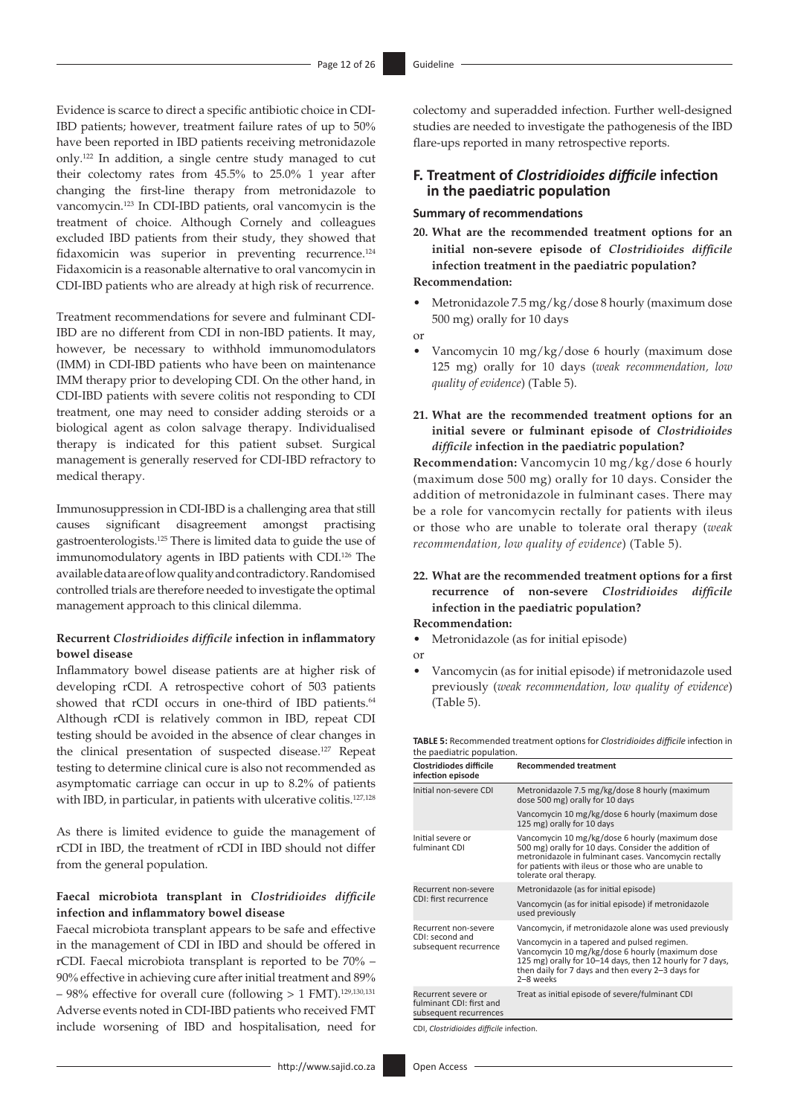<span id="page-11-1"></span><span id="page-11-0"></span>Evidence is scarce to direct a specific antibiotic choice in CDI-IBD patients; however, treatment failure rates of up to 50% have been reported in IBD patients receiving metronidazole only.[122](#page-24-14) In addition, a single centre study managed to cut their colectomy rates from 45.5% to 25.0% 1 year after changing the first-line therapy from metronidazole to vancomycin[.123](#page-24-15) In CDI-IBD patients, oral vancomycin is the treatment of choice. Although Cornely and colleagues excluded IBD patients from their study, they showed that fidaxomicin was superior in preventing recurrence.<sup>[124](#page-24-16)</sup> Fidaxomicin is a reasonable alternative to oral vancomycin in CDI-IBD patients who are already at high risk of recurrence.

<span id="page-11-2"></span>Treatment recommendations for severe and fulminant CDI-IBD are no different from CDI in non-IBD patients. It may, however, be necessary to withhold immunomodulators (IMM) in CDI-IBD patients who have been on maintenance IMM therapy prior to developing CDI. On the other hand, in CDI-IBD patients with severe colitis not responding to CDI treatment, one may need to consider adding steroids or a biological agent as colon salvage therapy. Individualised therapy is indicated for this patient subset. Surgical management is generally reserved for CDI-IBD refractory to medical therapy.

<span id="page-11-4"></span><span id="page-11-3"></span>Immunosuppression in CDI-IBD is a challenging area that still causes significant disagreement amongst practising gastroenterologists.[125](#page-24-17) There is limited data to guide the use of immunomodulatory agents in IBD patients with CDI.[126](#page-24-18) The available data are of low quality and contradictory. Randomised controlled trials are therefore needed to investigate the optimal management approach to this clinical dilemma.

### **Recurrent** *Clostridioides difficile* **infection in inflammatory bowel disease**

<span id="page-11-5"></span>Inflammatory bowel disease patients are at higher risk of developing rCDI. A retrospective cohort of 503 patients showed that rCDI occurs in one-third of IBD patients.<sup>64</sup> Although rCDI is relatively common in IBD, repeat CDI testing should be avoided in the absence of clear changes in the clinical presentation of suspected disease[.127](#page-24-19) Repeat testing to determine clinical cure is also not recommended as asymptomatic carriage can occur in up to 8.2% of patients with IBD, in particular, in patients with ulcerative colitis.<sup>127,[128](#page-24-20)</sup>

As there is limited evidence to guide the management of rCDI in IBD, the treatment of rCDI in IBD should not differ from the general population.

### **Faecal microbiota transplant in** *Clostridioides difficile*  **infection and inflammatory bowel disease**

Faecal microbiota transplant appears to be safe and effective in the management of CDI in IBD and should be offered in rCDI. Faecal microbiota transplant is reported to be 70% – 90% effective in achieving cure after initial treatment and 89%  $-98%$  effective for overall cure (following  $> 1$  FMT).<sup>129[,130](#page-24-22),[131](#page-24-23)</sup> Adverse events noted in CDI-IBD patients who received FMT include worsening of IBD and hospitalisation, need for colectomy and superadded infection. Further well-designed studies are needed to investigate the pathogenesis of the IBD flare-ups reported in many retrospective reports.

### **F. Treatment of** *Clostridioides difficile* **infection in the paediatric population**

### **Summary of recommendations**

**20. What are the recommended treatment options for an initial non-severe episode of** *Clostridioides difficile*  **infection treatment in the paediatric population?** 

### **Recommendation:**

- Metronidazole 7.5 mg/kg/dose 8 hourly (maximum dose 500 mg) orally for 10 days
- or
- Vancomycin 10 mg/kg/dose 6 hourly (maximum dose 125 mg) orally for 10 days (*weak recommendation, low quality of evidence*) (Table 5).
- **21. What are the recommended treatment options for an initial severe or fulminant episode of** *Clostridioides difficile* **infection in the paediatric population?**

**Recommendation:** Vancomycin 10 mg/kg/dose 6 hourly (maximum dose 500 mg) orally for 10 days. Consider the addition of metronidazole in fulminant cases. There may be a role for vancomycin rectally for patients with ileus or those who are unable to tolerate oral therapy (*weak recommendation, low quality of evidence*) (Table 5).

### **22. What are the recommended treatment options for a first recurrence of non-severe** *Clostridioides difficile* **infection in the paediatric population?**

### **Recommendation:**

- Metronidazole (as for initial episode)
- or
- Vancomycin (as for initial episode) if metronidazole used previously (*weak recommendation, low quality of evidence*) (Table 5).

**TABLE 5:** Recommended treatment options for *Clostridioides difficile* infection in the paediatric population.

<span id="page-11-6"></span>

| <b>Clostridiodes difficile</b><br>infection episode                       | <b>Recommended treatment</b>                                                                                                                                                                                                                     |
|---------------------------------------------------------------------------|--------------------------------------------------------------------------------------------------------------------------------------------------------------------------------------------------------------------------------------------------|
| Initial non-severe CDI                                                    | Metronidazole 7.5 mg/kg/dose 8 hourly (maximum<br>dose 500 mg) orally for 10 days                                                                                                                                                                |
|                                                                           | Vancomycin 10 mg/kg/dose 6 hourly (maximum dose<br>125 mg) orally for 10 days                                                                                                                                                                    |
| Initial severe or<br>fulminant CDI                                        | Vancomycin 10 mg/kg/dose 6 hourly (maximum dose<br>500 mg) orally for 10 days. Consider the addition of<br>metronidazole in fulminant cases. Vancomycin rectally<br>for patients with ileus or those who are unable to<br>tolerate oral therapy. |
| Recurrent non-severe                                                      | Metronidazole (as for initial episode)                                                                                                                                                                                                           |
| CDI: first recurrence                                                     | Vancomycin (as for initial episode) if metronidazole<br>used previously                                                                                                                                                                          |
| Recurrent non-severe                                                      | Vancomycin, if metronidazole alone was used previously                                                                                                                                                                                           |
| CDI: second and<br>subsequent recurrence                                  | Vancomycin in a tapered and pulsed regimen.<br>Vancomycin 10 mg/kg/dose 6 hourly (maximum dose<br>125 mg) orally for 10–14 days, then 12 hourly for 7 days,<br>then daily for 7 days and then every 2-3 days for<br>2-8 weeks                    |
| Recurrent severe or<br>fulminant CDI: first and<br>subsequent recurrences | Treat as initial episode of severe/fulminant CDI                                                                                                                                                                                                 |

<span id="page-11-8"></span><span id="page-11-7"></span>CDI, *Clostridioides difficile* infection.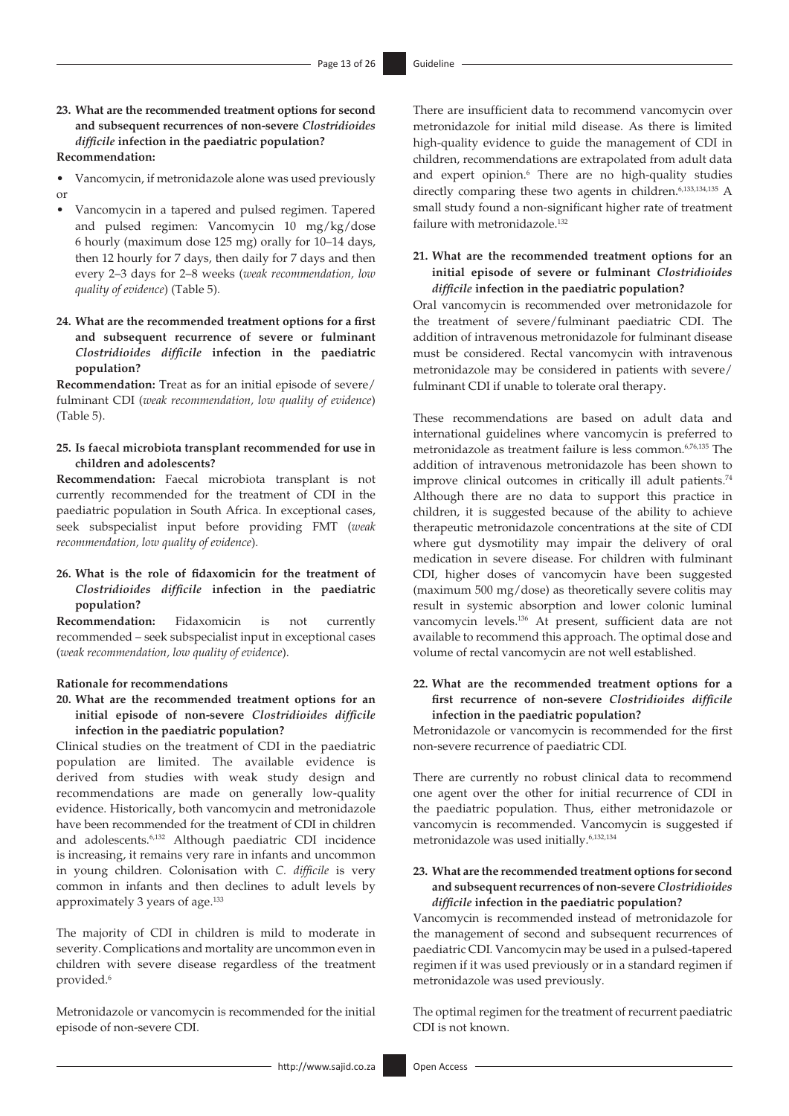### **23. What are the recommended treatment options for second and subsequent recurrences of non-severe** *Clostridioides difficile* **infection in the paediatric population?**

### **Recommendation:**

- Vancomycin, if metronidazole alone was used previously or
- Vancomycin in a tapered and pulsed regimen. Tapered and pulsed regimen: Vancomycin 10 mg/kg/dose 6 hourly (maximum dose 125 mg) orally for 10–14 days, then 12 hourly for 7 days, then daily for 7 days and then every 2–3 days for 2–8 weeks (*weak recommendation, low quality of evidence*) (Table 5).
- **24. What are the recommended treatment options for a first and subsequent recurrence of severe or fulminant**  *Clostridioides difficile* **infection in the paediatric population?**

**Recommendation:** Treat as for an initial episode of severe/ fulminant CDI (*weak recommendation, low quality of evidence*) (Table 5).

### **25. Is faecal microbiota transplant recommended for use in children and adolescents?**

**Recommendation:** Faecal microbiota transplant is not currently recommended for the treatment of CDI in the paediatric population in South Africa. In exceptional cases, seek subspecialist input before providing FMT (*weak recommendation, low quality of evidence*).

### **26. What is the role of fidaxomicin for the treatment of**  *Clostridioides difficile* **infection in the paediatric population?**

**Recommendation:** Fidaxomicin is not currently recommended – seek subspecialist input in exceptional cases (*weak recommendation, low quality of evidence*).

#### **Rationale for recommendations**

**20. What are the recommended treatment options for an initial episode of non-severe** *Clostridioides difficile* **infection in the paediatric population?**

Clinical studies on the treatment of CDI in the paediatric population are limited. The available evidence is derived from studies with weak study design and recommendations are made on generally low-quality evidence. Historically, both vancomycin and metronidazole have been recommended for the treatment of CDI in children and adolescents.[6](#page-21-5),[132](#page-24-24) Although paediatric CDI incidence is increasing, it remains very rare in infants and uncommon in young children. Colonisation with *C. difficile* is very common in infants and then declines to adult levels by approximately 3 years of age.<sup>[133](#page-24-25)</sup>

<span id="page-12-1"></span>The majority of CDI in children is mild to moderate in severity. Complications and mortality are uncommon even in children with severe disease regardless of the treatment provided.<sup>[6](#page-21-5)</sup>

Metronidazole or vancomycin is recommended for the initial episode of non-severe CDI.

There are insufficient data to recommend vancomycin over metronidazole for initial mild disease. As there is limited high-quality evidence to guide the management of CDI in children, recommendations are extrapolated from adult data and expert opinion.<sup>6</sup> There are no high-quality studies directly comparing these two agents in children.<sup>6,[133,](#page-24-25)[134](#page-24-26)[,135](#page-24-27)</sup> A small study found a non-significant higher rate of treatment failure with metronidazole.[132](#page-24-24)

### <span id="page-12-2"></span>**21. What are the recommended treatment options for an initial episode of severe or fulminant** *Clostridioides difficile* **infection in the paediatric population?**

Oral vancomycin is recommended over metronidazole for the treatment of severe/fulminant paediatric CDI. The addition of intravenous metronidazole for fulminant disease must be considered. Rectal vancomycin with intravenous metronidazole may be considered in patients with severe/ fulminant CDI if unable to tolerate oral therapy.

These recommendations are based on adult data and international guidelines where vancomycin is preferred to metronidazole as treatment failure is less common.[6](#page-21-5),[76](#page-23-17)[,135](#page-24-27) The addition of intravenous metronidazole has been shown to improve clinical outcomes in critically ill adult patients.<sup>[74](#page-23-15)</sup> Although there are no data to support this practice in children, it is suggested because of the ability to achieve therapeutic metronidazole concentrations at the site of CDI where gut dysmotility may impair the delivery of oral medication in severe disease. For children with fulminant CDI, higher doses of vancomycin have been suggested (maximum 500 mg/dose) as theoretically severe colitis may result in systemic absorption and lower colonic luminal vancomycin levels.[136](#page-24-28) At present, sufficient data are not available to recommend this approach. The optimal dose and volume of rectal vancomycin are not well established.

### <span id="page-12-3"></span>**22. What are the recommended treatment options for a first recurrence of non-severe** *Clostridioides difficile* **infection in the paediatric population?**

Metronidazole or vancomycin is recommended for the first non-severe recurrence of paediatric CDI*.*

There are currently no robust clinical data to recommend one agent over the other for initial recurrence of CDI in the paediatric population. Thus, either metronidazole or vancomycin is recommended. Vancomycin is suggested if metronidazole was used initially.<sup>6[,132](#page-24-24)[,134](#page-24-26)</sup>

### <span id="page-12-0"></span>**23. What are the recommended treatment options for second and subsequent recurrences of non-severe** *Clostridioides difficile* **infection in the paediatric population?**

Vancomycin is recommended instead of metronidazole for the management of second and subsequent recurrences of paediatric CDI*.* Vancomycin may be used in a pulsed-tapered regimen if it was used previously or in a standard regimen if metronidazole was used previously.

The optimal regimen for the treatment of recurrent paediatric CDI is not known.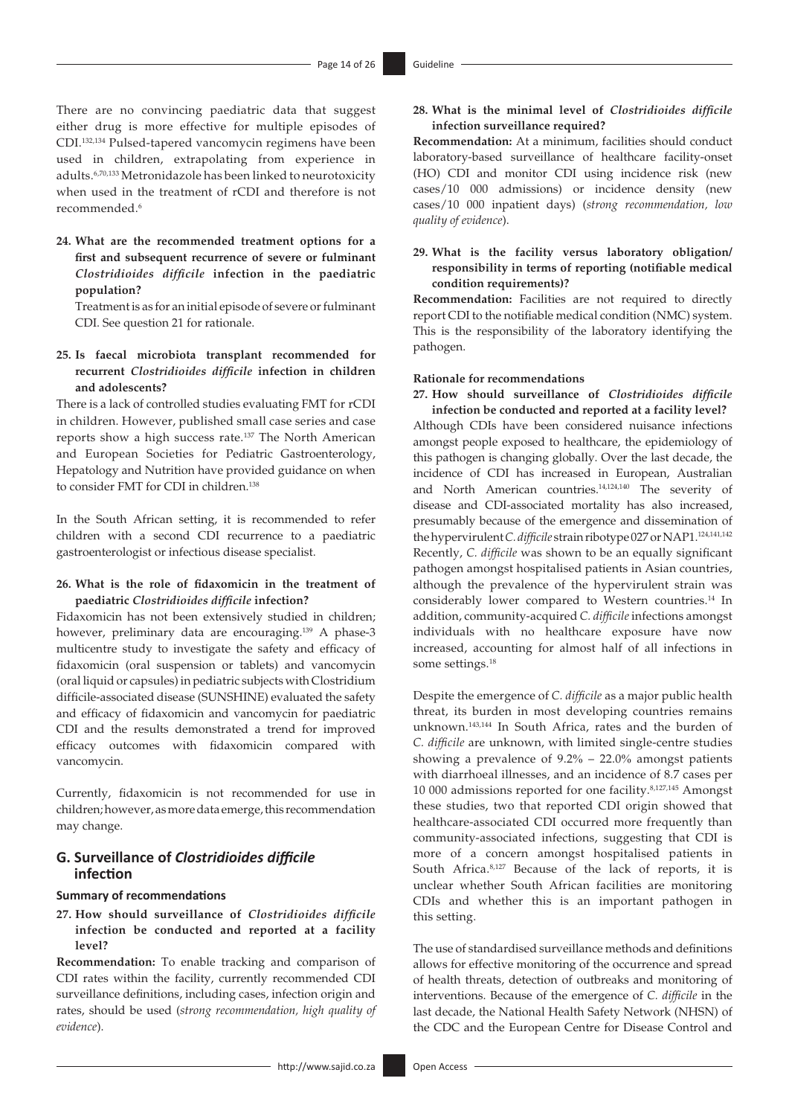There are no convincing paediatric data that suggest either drug is more effective for multiple episodes of CDI.[132](#page-24-24)[,134](#page-24-26) Pulsed-tapered vancomycin regimens have been used in children, extrapolating from experience in adults.[6,](#page-21-5)[70](#page-23-11),[133](#page-24-25) Metronidazole has been linked to neurotoxicity when used in the treatment of rCDI and therefore is not recommended[.6](#page-21-5)

**24. What are the recommended treatment options for a first and subsequent recurrence of severe or fulminant**  *Clostridioides difficile* **infection in the paediatric population?**

Treatment is as for an initial episode of severe or fulminant CDI. See question 21 for rationale.

**25. Is faecal microbiota transplant recommended for recurrent** *Clostridioides difficile* **infection in children and adolescents?**

<span id="page-13-0"></span>There is a lack of controlled studies evaluating FMT for rCDI in children. However, published small case series and case reports show a high success rate.[137](#page-24-29) The North American and European Societies for Pediatric Gastroenterology, Hepatology and Nutrition have provided guidance on when to consider FMT for CDI in children.<sup>[138](#page-24-30)</sup>

<span id="page-13-1"></span>In the South African setting, it is recommended to refer children with a second CDI recurrence to a paediatric gastroenterologist or infectious disease specialist.

### **26. What is the role of fidaxomicin in the treatment of paediatric** *Clostridioides difficile* **infection?**

<span id="page-13-2"></span>Fidaxomicin has not been extensively studied in children; however, preliminary data are encouraging.<sup>139</sup> A phase-3 multicentre study to investigate the safety and efficacy of fidaxomicin (oral suspension or tablets) and vancomycin (oral liquid or capsules) in pediatric subjects with Clostridium difficile-associated disease (SUNSHINE) evaluated the safety and efficacy of fidaxomicin and vancomycin for paediatric CDI and the results demonstrated a trend for improved efficacy outcomes with fidaxomicin compared with vancomycin.

Currently, fidaxomicin is not recommended for use in children; however, as more data emerge, this recommendation may change.

### **G. Surveillance of** *Clostridioides difficile* **infection**

### **Summary of recommendations**

**27. How should surveillance of** *Clostridioides difficile*  **infection be conducted and reported at a facility level?**

**Recommendation:** To enable tracking and comparison of CDI rates within the facility, currently recommended CDI surveillance definitions, including cases, infection origin and rates, should be used (*strong recommendation, high quality of evidence*).

### **28. What is the minimal level of** *Clostridioides difficile*  **infection surveillance required?**

**Recommendation:** At a minimum, facilities should conduct laboratory-based surveillance of healthcare facility-onset (HO) CDI and monitor CDI using incidence risk (new cases/10 000 admissions) or incidence density (new cases/10 000 inpatient days) (*strong recommendation, low quality of evidence*).

### **29. What is the facility versus laboratory obligation/ responsibility in terms of reporting (notifiable medical condition requirements)?**

**Recommendation:** Facilities are not required to directly report CDI to the notifiable medical condition (NMC) system. This is the responsibility of the laboratory identifying the pathogen.

#### **Rationale for recommendations**

# **27. How should surveillance of** *Clostridioides difficile*

<span id="page-13-4"></span><span id="page-13-3"></span>**infection be conducted and reported at a facility level?** Although CDIs have been considered nuisance infections amongst people exposed to healthcare, the epidemiology of this pathogen is changing globally. Over the last decade, the incidence of CDI has increased in European, Australian and North American countries.[14](#page-22-3)[,124](#page-24-16)[,140](#page-24-32) The severity of disease and CDI-associated mortality has also increased, presumably because of the emergence and dissemination of the hypervirulent *C. difficile* strain ribotype 027 or NAP1.[124,](#page-24-16)[141,](#page-24-33)[142](#page-24-34) Recently, *C. difficile* was shown to be an equally significant pathogen amongst hospitalised patients in Asian countries, although the prevalence of the hypervirulent strain was considerably lower compared to Western countries.<sup>14</sup> In addition, community-acquired *C. difficile* infections amongst individuals with no healthcare exposure have now increased, accounting for almost half of all infections in some settings[.18](#page-22-7)

<span id="page-13-7"></span><span id="page-13-6"></span><span id="page-13-5"></span>Despite the emergence of *C. difficile* as a major public health threat, its burden in most developing countries remains unknown.[143,](#page-24-35)[144](#page-24-36) In South Africa, rates and the burden of *C. difficile* are unknown, with limited single-centre studies showing a prevalence of 9.2% – 22.0% amongst patients with diarrhoeal illnesses, and an incidence of 8.7 cases per 10 000 admissions reported for one facility.[8](#page-21-7),[127](#page-24-19)[,145](#page-24-37) Amongst these studies, two that reported CDI origin showed that healthcare-associated CDI occurred more frequently than community-associated infections, suggesting that CDI is more of a concern amongst hospitalised patients in South Africa.[8](#page-21-7),[127](#page-24-19) Because of the lack of reports, it is unclear whether South African facilities are monitoring CDIs and whether this is an important pathogen in this setting.

The use of standardised surveillance methods and definitions allows for effective monitoring of the occurrence and spread of health threats, detection of outbreaks and monitoring of interventions. Because of the emergence of *C. difficile* in the last decade, the National Health Safety Network (NHSN) of the CDC and the European Centre for Disease Control and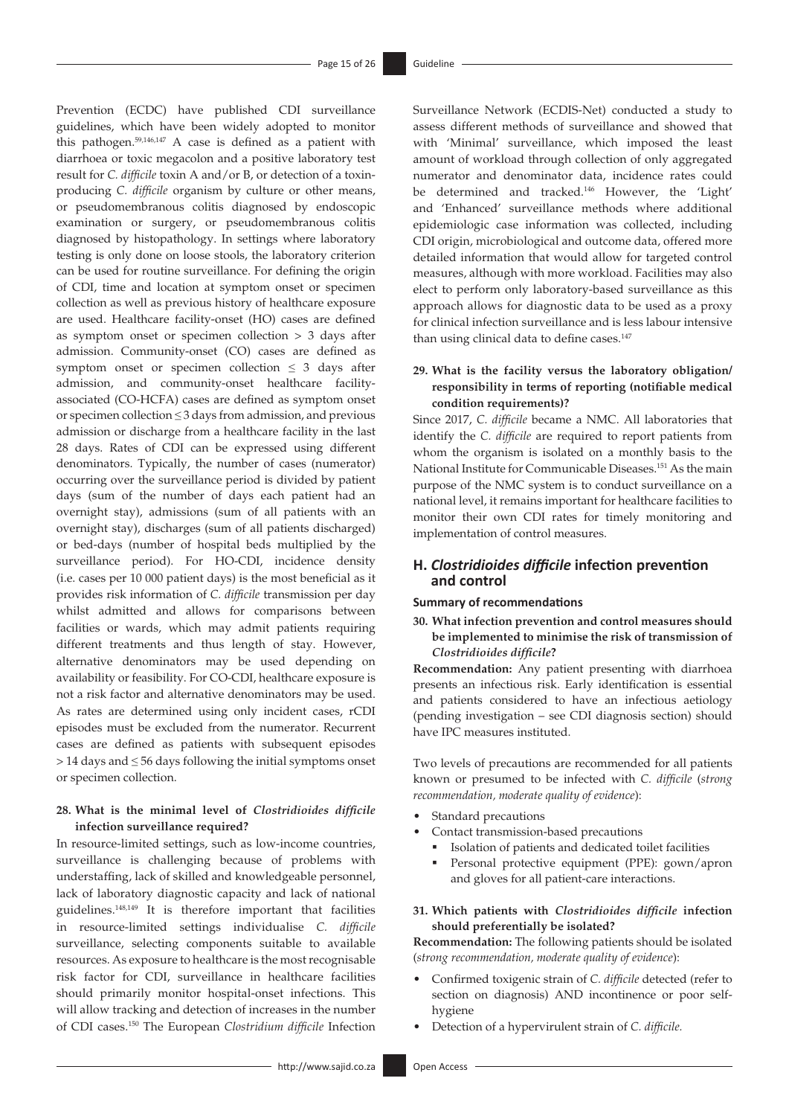<span id="page-14-0"></span>Prevention (ECDC) have published CDI surveillance guidelines, which have been widely adopted to monitor this pathogen.[59](#page-23-0)[,146](#page-24-38)[,147](#page-24-39) A case is defined as a patient with diarrhoea or toxic megacolon and a positive laboratory test result for *C. difficile* toxin A and/or B, or detection of a toxinproducing *C. difficile* organism by culture or other means, or pseudomembranous colitis diagnosed by endoscopic examination or surgery, or pseudomembranous colitis diagnosed by histopathology. In settings where laboratory testing is only done on loose stools, the laboratory criterion can be used for routine surveillance. For defining the origin of CDI, time and location at symptom onset or specimen collection as well as previous history of healthcare exposure are used. Healthcare facility-onset (HO) cases are defined as symptom onset or specimen collection > 3 days after admission. Community-onset (CO) cases are defined as symptom onset or specimen collection  $\leq$  3 days after admission, and community-onset healthcare facilityassociated (CO-HCFA) cases are defined as symptom onset or specimen collection ≤ 3 days from admission, and previous admission or discharge from a healthcare facility in the last 28 days. Rates of CDI can be expressed using different denominators. Typically, the number of cases (numerator) occurring over the surveillance period is divided by patient days (sum of the number of days each patient had an overnight stay), admissions (sum of all patients with an overnight stay), discharges (sum of all patients discharged) or bed-days (number of hospital beds multiplied by the surveillance period). For HO-CDI, incidence density (i.e. cases per 10 000 patient days) is the most beneficial as it provides risk information of *C. difficile* transmission per day whilst admitted and allows for comparisons between facilities or wards, which may admit patients requiring different treatments and thus length of stay. However, alternative denominators may be used depending on availability or feasibility. For CO-CDI, healthcare exposure is not a risk factor and alternative denominators may be used. As rates are determined using only incident cases, rCDI episodes must be excluded from the numerator. Recurrent cases are defined as patients with subsequent episodes > 14 days and ≤ 56 days following the initial symptoms onset or specimen collection.

### **28. What is the minimal level of** *Clostridioides difficile*  **infection surveillance required?**

<span id="page-14-3"></span><span id="page-14-2"></span><span id="page-14-1"></span>In resource-limited settings, such as low-income countries, surveillance is challenging because of problems with understaffing, lack of skilled and knowledgeable personnel, lack of laboratory diagnostic capacity and lack of national guidelines.[148](#page-24-40)[,149](#page-24-41) It is therefore important that facilities in resource-limited settings individualise *C. difficile*  surveillance, selecting components suitable to available resources. As exposure to healthcare is the most recognisable risk factor for CDI, surveillance in healthcare facilities should primarily monitor hospital-onset infections. This will allow tracking and detection of increases in the number of CDI cases.[150](#page-24-42) The European *Clostridium difficile* Infection Surveillance Network (ECDIS-Net) conducted a study to assess different methods of surveillance and showed that with 'Minimal' surveillance, which imposed the least amount of workload through collection of only aggregated numerator and denominator data, incidence rates could be determined and tracked.[146](#page-24-38) However, the 'Light' and 'Enhanced' surveillance methods where additional epidemiologic case information was collected, including CDI origin, microbiological and outcome data, offered more detailed information that would allow for targeted control measures, although with more workload. Facilities may also elect to perform only laboratory-based surveillance as this approach allows for diagnostic data to be used as a proxy for clinical infection surveillance and is less labour intensive than using clinical data to define cases.<sup>[147](#page-24-39)</sup>

### **29. What is the facility versus the laboratory obligation/ responsibility in terms of reporting (notifiable medical condition requirements)?**

<span id="page-14-4"></span>Since 2017, *C. difficile* became a NMC. All laboratories that identify the *C. difficile* are required to report patients from whom the organism is isolated on a monthly basis to the National Institute for Communicable Diseases.[151](#page-24-43) As the main purpose of the NMC system is to conduct surveillance on a national level, it remains important for healthcare facilities to monitor their own CDI rates for timely monitoring and implementation of control measures.

### **H.** *Clostridioides difficile* **infection prevention and control**

#### **Summary of recommendations**

**30. What infection prevention and control measures should be implemented to minimise the risk of transmission of**  *Clostridioides difficile***?**

**Recommendation:** Any patient presenting with diarrhoea presents an infectious risk. Early identification is essential and patients considered to have an infectious aetiology (pending investigation – see CDI diagnosis section) should have IPC measures instituted.

Two levels of precautions are recommended for all patients known or presumed to be infected with *C. difficile* (*strong recommendation, moderate quality of evidence*):

- Standard precautions
	- Contact transmission-based precautions
		- Isolation of patients and dedicated toilet facilities
		- Personal protective equipment (PPE): gown/apron and gloves for all patient-care interactions.
- **31. Which patients with** *Clostridioides difficile* **infection should preferentially be isolated?**

**Recommendation:** The following patients should be isolated (*strong recommendation, moderate quality of evidence*):

- Confirmed toxigenic strain of *C. difficile* detected (refer to section on diagnosis) AND incontinence or poor selfhygiene
- Detection of a hypervirulent strain of *C. difficile.*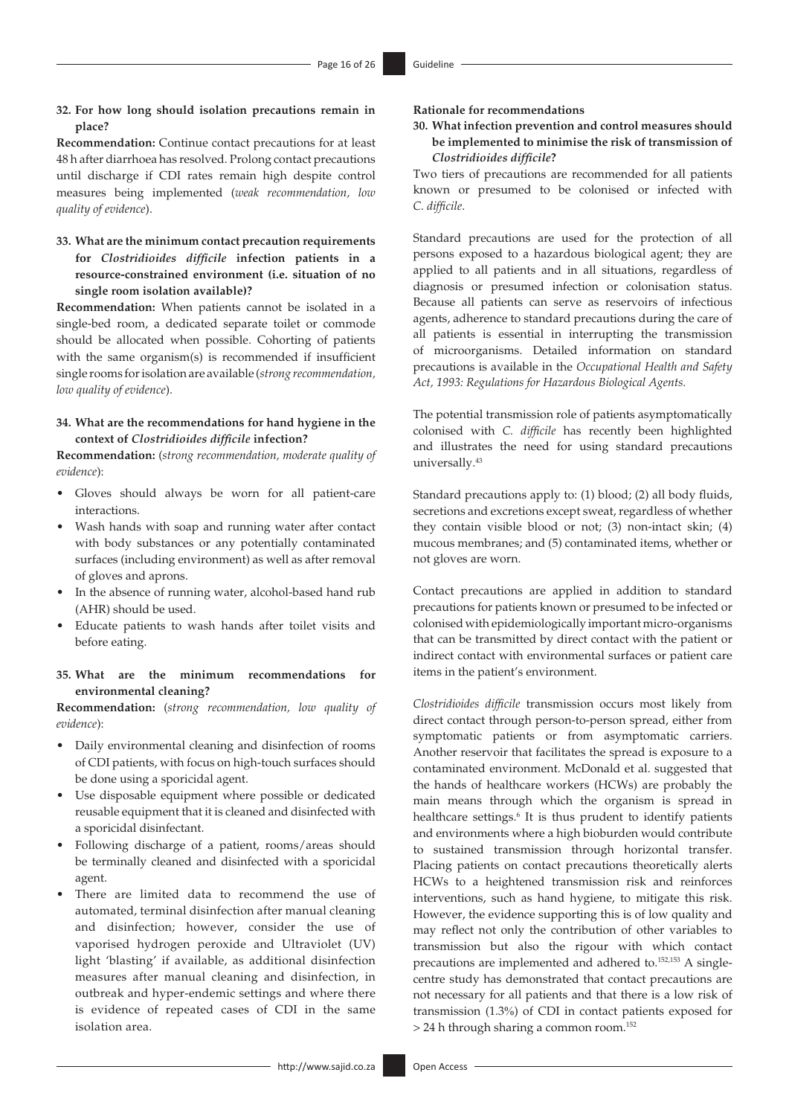**32. For how long should isolation precautions remain in place?**

**Recommendation:** Continue contact precautions for at least 48 h after diarrhoea has resolved. Prolong contact precautions until discharge if CDI rates remain high despite control measures being implemented (*weak recommendation, low quality of evidence*).

**33. What are the minimum contact precaution requirements for** *Clostridioides difficile* **infection patients in a resource-constrained environment (i.e. situation of no single room isolation available)?**

**Recommendation:** When patients cannot be isolated in a single-bed room, a dedicated separate toilet or commode should be allocated when possible. Cohorting of patients with the same organism(s) is recommended if insufficient single rooms for isolation are available (*strong recommendation, low quality of evidence*).

### **34. What are the recommendations for hand hygiene in the context of** *Clostridioides difficile* **infection?**

**Recommendation:** (*strong recommendation, moderate quality of evidence*):

- Gloves should always be worn for all patient-care interactions.
- Wash hands with soap and running water after contact with body substances or any potentially contaminated surfaces (including environment) as well as after removal of gloves and aprons.
- In the absence of running water, alcohol-based hand rub (AHR) should be used.
- Educate patients to wash hands after toilet visits and before eating.

### **35. What are the minimum recommendations for environmental cleaning?**

**Recommendation:** (*strong recommendation, low quality of evidence*):

- Daily environmental cleaning and disinfection of rooms of CDI patients, with focus on high-touch surfaces should be done using a sporicidal agent.
- Use disposable equipment where possible or dedicated reusable equipment that it is cleaned and disinfected with a sporicidal disinfectant.
- Following discharge of a patient, rooms/areas should be terminally cleaned and disinfected with a sporicidal agent.
- There are limited data to recommend the use of automated, terminal disinfection after manual cleaning and disinfection; however, consider the use of vaporised hydrogen peroxide and Ultraviolet (UV) light 'blasting' if available, as additional disinfection measures after manual cleaning and disinfection, in outbreak and hyper-endemic settings and where there is evidence of repeated cases of CDI in the same isolation area.

#### **Rationale for recommendations**

**30. What infection prevention and control measures should be implemented to minimise the risk of transmission of**  *Clostridioides difficile***?**

Two tiers of precautions are recommended for all patients known or presumed to be colonised or infected with *C. difficile*.

Standard precautions are used for the protection of all persons exposed to a hazardous biological agent; they are applied to all patients and in all situations, regardless of diagnosis or presumed infection or colonisation status. Because all patients can serve as reservoirs of infectious agents, adherence to standard precautions during the care of all patients is essential in interrupting the transmission of microorganisms. Detailed information on standard precautions is available in the *Occupational Health and Safety Act, 1993: Regulations for Hazardous Biological Agents.* 

The potential transmission role of patients asymptomatically colonised with *C. difficile* has recently been highlighted and illustrates the need for using standard precautions universally.[43](#page-22-32)

Standard precautions apply to: (1) blood; (2) all body fluids, secretions and excretions except sweat, regardless of whether they contain visible blood or not; (3) non-intact skin; (4) mucous membranes; and (5) contaminated items, whether or not gloves are worn.

Contact precautions are applied in addition to standard precautions for patients known or presumed to be infected or colonised with epidemiologically important micro-organisms that can be transmitted by direct contact with the patient or indirect contact with environmental surfaces or patient care items in the patient's environment.

<span id="page-15-1"></span><span id="page-15-0"></span>*Clostridioides difficile* transmission occurs most likely from direct contact through person-to-person spread, either from symptomatic patients or from asymptomatic carriers. Another reservoir that facilitates the spread is exposure to a contaminated environment. McDonald et al. suggested that the hands of healthcare workers (HCWs) are probably the main means through which the organism is spread in healthcare settings.<sup>[6](#page-21-5)</sup> It is thus prudent to identify patients and environments where a high bioburden would contribute to sustained transmission through horizontal transfer. Placing patients on contact precautions theoretically alerts HCWs to a heightened transmission risk and reinforces interventions, such as hand hygiene, to mitigate this risk. However, the evidence supporting this is of low quality and may reflect not only the contribution of other variables to transmission but also the rigour with which contact precautions are implemented and adhered to.<sup>152,[153](#page-24-45)</sup> A singlecentre study has demonstrated that contact precautions are not necessary for all patients and that there is a low risk of transmission (1.3%) of CDI in contact patients exposed for > 24 h through sharing a common room.[152](#page-24-44)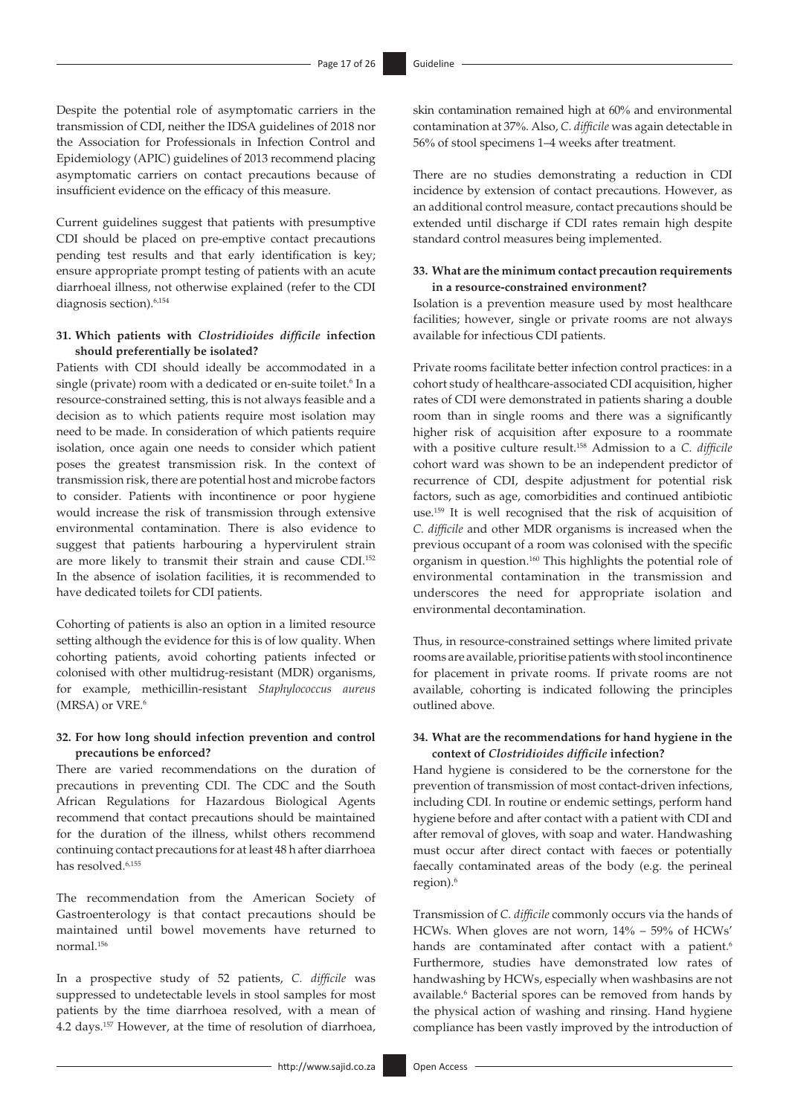Despite the potential role of asymptomatic carriers in the transmission of CDI, neither the IDSA guidelines of 2018 nor the Association for Professionals in Infection Control and Epidemiology (APIC) guidelines of 2013 recommend placing asymptomatic carriers on contact precautions because of insufficient evidence on the efficacy of this measure.

Current guidelines suggest that patients with presumptive CDI should be placed on pre-emptive contact precautions pending test results and that early identification is key; ensure appropriate prompt testing of patients with an acute diarrhoeal illness, not otherwise explained (refer to the CDI diagnosis section).<sup>[6](#page-21-5),[154](#page-24-46)</sup>

### **31. Which patients with** *Clostridioides difficile* **infection should preferentially be isolated?**

Patients with CDI should ideally be accommodated in a single (private) room with a dedicated or en-suite toilet.<sup>[6](#page-21-5)</sup> In a resource-constrained setting, this is not always feasible and a decision as to which patients require most isolation may need to be made. In consideration of which patients require isolation, once again one needs to consider which patient poses the greatest transmission risk. In the context of transmission risk, there are potential host and microbe factors to consider. Patients with incontinence or poor hygiene would increase the risk of transmission through extensive environmental contamination. There is also evidence to suggest that patients harbouring a hypervirulent strain are more likely to transmit their strain and cause CDI.[152](#page-24-44) In the absence of isolation facilities, it is recommended to have dedicated toilets for CDI patients.

Cohorting of patients is also an option in a limited resource setting although the evidence for this is of low quality. When cohorting patients, avoid cohorting patients infected or colonised with other multidrug-resistant (MDR) organisms, for example, methicillin-resistant *Staphylococcus aureus* (MRSA) or VRE.[6](#page-21-5)

### **32. For how long should infection prevention and control precautions be enforced?**

There are varied recommendations on the duration of precautions in preventing CDI. The CDC and the South African Regulations for Hazardous Biological Agents recommend that contact precautions should be maintained for the duration of the illness, whilst others recommend continuing contact precautions for at least 48 h after diarrhoea has resolved.<sup>[6](#page-21-5),[155](#page-24-47)</sup>

<span id="page-16-1"></span>The recommendation from the American Society of Gastroenterology is that contact precautions should be maintained until bowel movements have returned to normal.[156](#page-24-48)

<span id="page-16-3"></span><span id="page-16-2"></span>In a prospective study of 52 patients, *C. difficile* was suppressed to undetectable levels in stool samples for most patients by the time diarrhoea resolved, with a mean of 4.2 days.[157](#page-25-0) However, at the time of resolution of diarrhoea,

skin contamination remained high at 60% and environmental contamination at 37%. Also, *C. difficile* was again detectable in 56% of stool specimens 1–4 weeks after treatment.

There are no studies demonstrating a reduction in CDI incidence by extension of contact precautions. However, as an additional control measure, contact precautions should be extended until discharge if CDI rates remain high despite standard control measures being implemented.

#### **33. What are the minimum contact precaution requirements in a resource-constrained environment?**

<span id="page-16-0"></span>Isolation is a prevention measure used by most healthcare facilities; however, single or private rooms are not always available for infectious CDI patients.

<span id="page-16-4"></span>Private rooms facilitate better infection control practices: in a cohort study of healthcare-associated CDI acquisition, higher rates of CDI were demonstrated in patients sharing a double room than in single rooms and there was a significantly higher risk of acquisition after exposure to a roommate with a positive culture result[.158](#page-25-1) Admission to a *C. difficile*  cohort ward was shown to be an independent predictor of recurrence of CDI, despite adjustment for potential risk factors, such as age, comorbidities and continued antibiotic use.[159](#page-25-2) It is well recognised that the risk of acquisition of *C. difficile* and other MDR organisms is increased when the previous occupant of a room was colonised with the specific organism in question[.160](#page-25-3) This highlights the potential role of environmental contamination in the transmission and underscores the need for appropriate isolation and environmental decontamination.

<span id="page-16-6"></span><span id="page-16-5"></span>Thus, in resource-constrained settings where limited private rooms are available, prioritise patients with stool incontinence for placement in private rooms. If private rooms are not available, cohorting is indicated following the principles outlined above.

### **34. What are the recommendations for hand hygiene in the context of** *Clostridioides difficile* **infection?**

Hand hygiene is considered to be the cornerstone for the prevention of transmission of most contact-driven infections, including CDI. In routine or endemic settings, perform hand hygiene before and after contact with a patient with CDI and after removal of gloves, with soap and water. Handwashing must occur after direct contact with faeces or potentially faecally contaminated areas of the body (e.g. the perineal region).<sup>[6](#page-21-5)</sup>

Transmission of *C. difficile* commonly occurs via the hands of HCWs. When gloves are not worn, 14% – 59% of HCWs' hands are contaminated after contact with a patient.<sup>6</sup> Furthermore, studies have demonstrated low rates of handwashing by HCWs, especially when washbasins are not available.<sup>[6](#page-21-5)</sup> Bacterial spores can be removed from hands by the physical action of washing and rinsing. Hand hygiene compliance has been vastly improved by the introduction of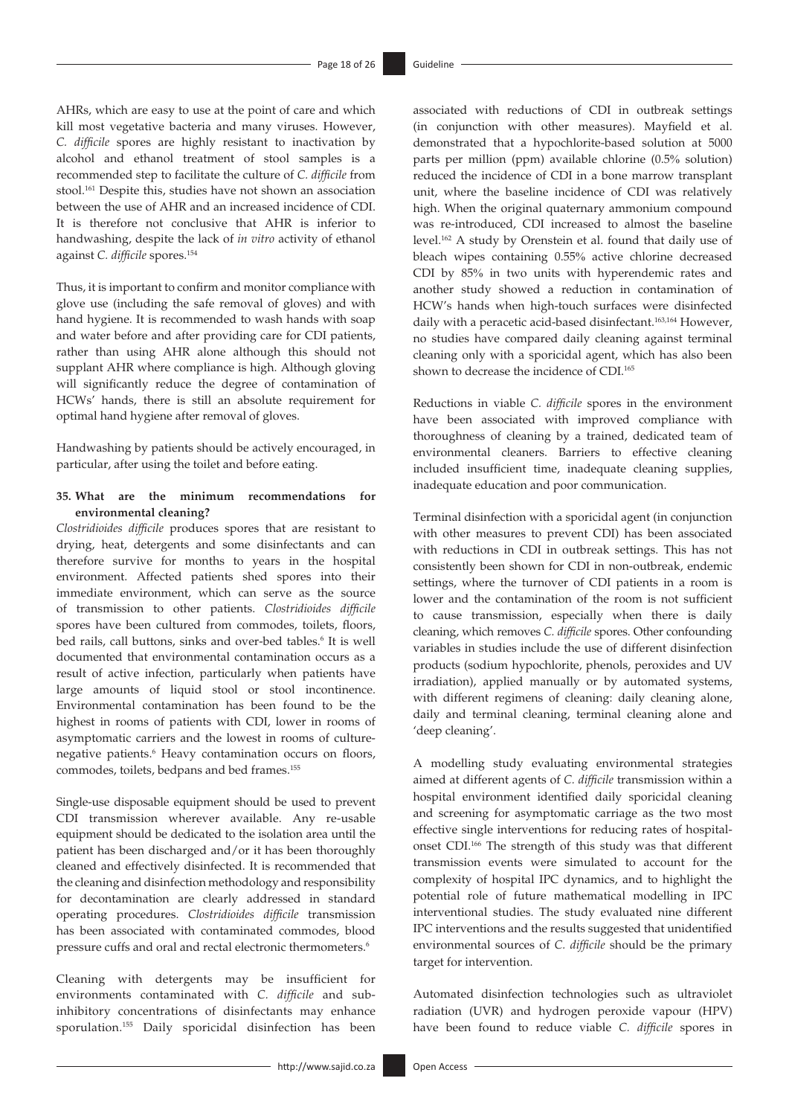<span id="page-17-0"></span>AHRs, which are easy to use at the point of care and which kill most vegetative bacteria and many viruses. However, *C. difficile* spores are highly resistant to inactivation by alcohol and ethanol treatment of stool samples is a recommended step to facilitate the culture of *C. difficile* from stool.<sup>161</sup> Despite this, studies have not shown an association between the use of AHR and an increased incidence of CDI. It is therefore not conclusive that AHR is inferior to handwashing, despite the lack of *in vitro* activity of ethanol against *C. difficile* spores[.154](#page-24-46)

Thus, it is important to confirm and monitor compliance with glove use (including the safe removal of gloves) and with hand hygiene. It is recommended to wash hands with soap and water before and after providing care for CDI patients, rather than using AHR alone although this should not supplant AHR where compliance is high. Although gloving will significantly reduce the degree of contamination of HCWs' hands, there is still an absolute requirement for optimal hand hygiene after removal of gloves.

Handwashing by patients should be actively encouraged, in particular, after using the toilet and before eating.

### **35. What are the minimum recommendations for environmental cleaning?**

*Clostridioides difficile* produces spores that are resistant to drying, heat, detergents and some disinfectants and can therefore survive for months to years in the hospital environment. Affected patients shed spores into their immediate environment, which can serve as the source of transmission to other patients. *Clostridioides difficile* spores have been cultured from commodes, toilets, floors, bed rails, call buttons, sinks and over-bed tables.<sup>[6](#page-21-5)</sup> It is well documented that environmental contamination occurs as a result of active infection, particularly when patients have large amounts of liquid stool or stool incontinence. Environmental contamination has been found to be the highest in rooms of patients with CDI, lower in rooms of asymptomatic carriers and the lowest in rooms of culture-negative patients.<sup>[6](#page-21-5)</sup> Heavy contamination occurs on floors, commodes, toilets, bedpans and bed frames.[155](#page-24-47)

Single-use disposable equipment should be used to prevent CDI transmission wherever available. Any re-usable equipment should be dedicated to the isolation area until the patient has been discharged and/or it has been thoroughly cleaned and effectively disinfected. It is recommended that the cleaning and disinfection methodology and responsibility for decontamination are clearly addressed in standard operating procedures. *Clostridioides difficile* transmission has been associated with contaminated commodes, blood pressure cuffs and oral and rectal electronic thermometers.<sup>6</sup>

Cleaning with detergents may be insufficient for environments contaminated with *C. difficile* and subinhibitory concentrations of disinfectants may enhance sporulation[.155](#page-24-47) Daily sporicidal disinfection has been <span id="page-17-1"></span>associated with reductions of CDI in outbreak settings (in conjunction with other measures). Mayfield et al. demonstrated that a hypochlorite-based solution at 5000 parts per million (ppm) available chlorine (0.5% solution) reduced the incidence of CDI in a bone marrow transplant unit, where the baseline incidence of CDI was relatively high. When the original quaternary ammonium compound was re-introduced, CDI increased to almost the baseline level[.162](#page-25-5) A study by Orenstein et al. found that daily use of bleach wipes containing 0.55% active chlorine decreased CDI by 85% in two units with hyperendemic rates and another study showed a reduction in contamination of HCW's hands when high-touch surfaces were disinfected daily with a peracetic acid-based disinfectant.<sup>[163,](#page-25-6)164</sup> However, no studies have compared daily cleaning against terminal cleaning only with a sporicidal agent, which has also been shown to decrease the incidence of CDI.<sup>165</sup>

<span id="page-17-4"></span><span id="page-17-3"></span><span id="page-17-2"></span>Reductions in viable *C. difficile* spores in the environment have been associated with improved compliance with thoroughness of cleaning by a trained, dedicated team of environmental cleaners. Barriers to effective cleaning included insufficient time, inadequate cleaning supplies, inadequate education and poor communication.

Terminal disinfection with a sporicidal agent (in conjunction with other measures to prevent CDI) has been associated with reductions in CDI in outbreak settings. This has not consistently been shown for CDI in non-outbreak, endemic settings, where the turnover of CDI patients in a room is lower and the contamination of the room is not sufficient to cause transmission, especially when there is daily cleaning, which removes *C. difficile* spores. Other confounding variables in studies include the use of different disinfection products (sodium hypochlorite, phenols, peroxides and UV irradiation), applied manually or by automated systems, with different regimens of cleaning: daily cleaning alone, daily and terminal cleaning, terminal cleaning alone and 'deep cleaning'.

<span id="page-17-5"></span>A modelling study evaluating environmental strategies aimed at different agents of *C. difficile* transmission within a hospital environment identified daily sporicidal cleaning and screening for asymptomatic carriage as the two most effective single interventions for reducing rates of hospitalonset CDI[.166](#page-25-9) The strength of this study was that different transmission events were simulated to account for the complexity of hospital IPC dynamics, and to highlight the potential role of future mathematical modelling in IPC interventional studies. The study evaluated nine different IPC interventions and the results suggested that unidentified environmental sources of *C. difficile* should be the primary target for intervention.

Automated disinfection technologies such as ultraviolet radiation (UVR) and hydrogen peroxide vapour (HPV) have been found to reduce viable *C. difficile* spores in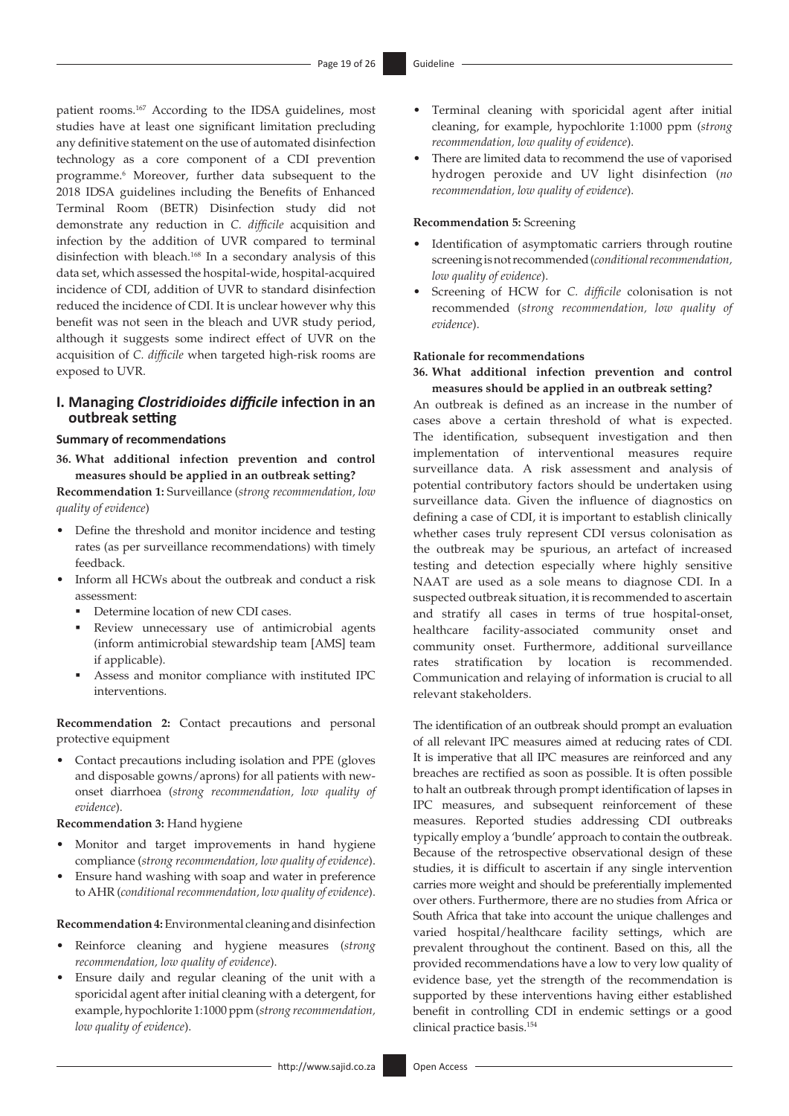<span id="page-18-1"></span><span id="page-18-0"></span>patient rooms[.167](#page-25-10) According to the IDSA guidelines, most studies have at least one significant limitation precluding any definitive statement on the use of automated disinfection technology as a core component of a CDI prevention programme[.6](#page-21-5) Moreover, further data subsequent to the 2018 IDSA guidelines including the Benefits of Enhanced Terminal Room (BETR) Disinfection study did not demonstrate any reduction in *C. difficile* acquisition and infection by the addition of UVR compared to terminal disinfection with bleach.[168](#page-25-11) In a secondary analysis of this data set, which assessed the hospital-wide, hospital-acquired incidence of CDI, addition of UVR to standard disinfection reduced the incidence of CDI. It is unclear however why this benefit was not seen in the bleach and UVR study period, although it suggests some indirect effect of UVR on the acquisition of *C. difficile* when targeted high-risk rooms are exposed to UVR.

### **I. Managing** *Clostridioides difficile* **infection in an outbreak setting**

### **Summary of recommendations**

**36. What additional infection prevention and control measures should be applied in an outbreak setting?**

**Recommendation 1:** Surveillance (*strong recommendation, low quality of evidence*)

- Define the threshold and monitor incidence and testing rates (as per surveillance recommendations) with timely feedback.
- Inform all HCWs about the outbreak and conduct a risk assessment:
	- Determine location of new CDI cases.
	- Review unnecessary use of antimicrobial agents (inform antimicrobial stewardship team [AMS] team if applicable).
	- Assess and monitor compliance with instituted IPC interventions.

**Recommendation 2:** Contact precautions and personal protective equipment

• Contact precautions including isolation and PPE (gloves and disposable gowns/aprons) for all patients with newonset diarrhoea (*strong recommendation, low quality of evidence*).

### **Recommendation 3:** Hand hygiene

- Monitor and target improvements in hand hygiene compliance (*strong recommendation, low quality of evidence*).
- Ensure hand washing with soap and water in preference to AHR (*conditional recommendation, low quality of evidence*).

### **Recommendation 4:** Environmental cleaning and disinfection

- Reinforce cleaning and hygiene measures (*strong recommendation, low quality of evidence*).
- Ensure daily and regular cleaning of the unit with a sporicidal agent after initial cleaning with a detergent, for example, hypochlorite 1:1000 ppm (*strong recommendation, low quality of evidence*).
- Terminal cleaning with sporicidal agent after initial cleaning, for example, hypochlorite 1:1000 ppm (*strong recommendation, low quality of evidence*).
- There are limited data to recommend the use of vaporised hydrogen peroxide and UV light disinfection (*no recommendation, low quality of evidence*).

### **Recommendation 5:** Screening

- Identification of asymptomatic carriers through routine screening is not recommended (*conditional recommendation, low quality of evidence*).
- Screening of HCW for *C. difficile* colonisation is not recommended (*strong recommendation, low quality of evidence*).

#### **Rationale for recommendations**

**36. What additional infection prevention and control measures should be applied in an outbreak setting?**

An outbreak is defined as an increase in the number of cases above a certain threshold of what is expected. The identification, subsequent investigation and then implementation of interventional measures require surveillance data. A risk assessment and analysis of potential contributory factors should be undertaken using surveillance data. Given the influence of diagnostics on defining a case of CDI, it is important to establish clinically whether cases truly represent CDI versus colonisation as the outbreak may be spurious, an artefact of increased testing and detection especially where highly sensitive NAAT are used as a sole means to diagnose CDI. In a suspected outbreak situation, it is recommended to ascertain and stratify all cases in terms of true hospital-onset, healthcare facility-associated community onset and community onset. Furthermore, additional surveillance rates stratification by location is recommended. Communication and relaying of information is crucial to all relevant stakeholders.

The identification of an outbreak should prompt an evaluation of all relevant IPC measures aimed at reducing rates of CDI. It is imperative that all IPC measures are reinforced and any breaches are rectified as soon as possible. It is often possible to halt an outbreak through prompt identification of lapses in IPC measures, and subsequent reinforcement of these measures. Reported studies addressing CDI outbreaks typically employ a 'bundle' approach to contain the outbreak. Because of the retrospective observational design of these studies, it is difficult to ascertain if any single intervention carries more weight and should be preferentially implemented over others. Furthermore, there are no studies from Africa or South Africa that take into account the unique challenges and varied hospital/healthcare facility settings, which are prevalent throughout the continent. Based on this, all the provided recommendations have a low to very low quality of evidence base, yet the strength of the recommendation is supported by these interventions having either established benefit in controlling CDI in endemic settings or a good clinical practice basis.[154](#page-24-46)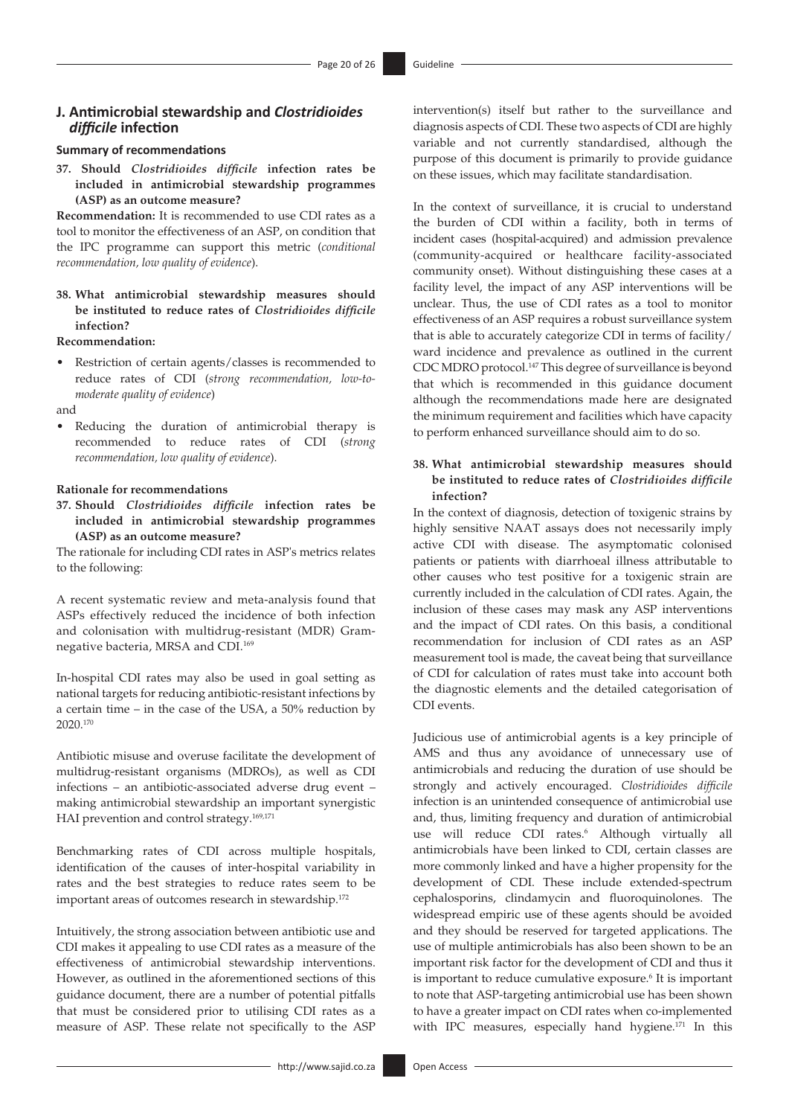### **J. Antimicrobial stewardship and** *Clostridioides difficile* **infection**

#### **Summary of recommendations**

**37. Should** *Clostridioides difficile* **infection rates be included in antimicrobial stewardship programmes (ASP) as an outcome measure?**

**Recommendation:** It is recommended to use CDI rates as a tool to monitor the effectiveness of an ASP, on condition that the IPC programme can support this metric (*conditional recommendation, low quality of evidence*).

**38. What antimicrobial stewardship measures should be instituted to reduce rates of** *Clostridioides difficile* **infection?**

#### **Recommendation:**

• Restriction of certain agents/classes is recommended to reduce rates of CDI (*strong recommendation, low-tomoderate quality of evidence*)

and

Reducing the duration of antimicrobial therapy is recommended to reduce rates of CDI (*strong recommendation, low quality of evidence*).

#### **Rationale for recommendations**

**37. Should** *Clostridioides difficile* **infection rates be included in antimicrobial stewardship programmes (ASP) as an outcome measure?**

The rationale for including CDI rates in ASP's metrics relates to the following:

A recent systematic review and meta-analysis found that ASPs effectively reduced the incidence of both infection and colonisation with multidrug-resistant (MDR) Gramnegative bacteria, MRSA and CDI.[169](#page-25-12)

<span id="page-19-0"></span>In-hospital CDI rates may also be used in goal setting as national targets for reducing antibiotic-resistant infections by a certain time – in the case of the USA, a 50% reduction by 2020.[170](#page-25-13)

<span id="page-19-1"></span>Antibiotic misuse and overuse facilitate the development of multidrug-resistant organisms (MDROs), as well as CDI infections – an antibiotic-associated adverse drug event – making antimicrobial stewardship an important synergistic HAI prevention and control strategy.<sup>169,[171](#page-25-14)</sup>

Benchmarking rates of CDI across multiple hospitals, identification of the causes of inter-hospital variability in rates and the best strategies to reduce rates seem to be important areas of outcomes research in stewardship.<sup>[172](#page-25-15)</sup>

<span id="page-19-3"></span>Intuitively, the strong association between antibiotic use and CDI makes it appealing to use CDI rates as a measure of the effectiveness of antimicrobial stewardship interventions. However, as outlined in the aforementioned sections of this guidance document, there are a number of potential pitfalls that must be considered prior to utilising CDI rates as a measure of ASP. These relate not specifically to the ASP

intervention(s) itself but rather to the surveillance and diagnosis aspects of CDI. These two aspects of CDI are highly variable and not currently standardised, although the purpose of this document is primarily to provide guidance on these issues, which may facilitate standardisation.

In the context of surveillance, it is crucial to understand the burden of CDI within a facility, both in terms of incident cases (hospital-acquired) and admission prevalence (community-acquired or healthcare facility-associated community onset). Without distinguishing these cases at a facility level, the impact of any ASP interventions will be unclear. Thus, the use of CDI rates as a tool to monitor effectiveness of an ASP requires a robust surveillance system that is able to accurately categorize CDI in terms of facility/ ward incidence and prevalence as outlined in the current CDC MDRO protocol.[147](#page-24-39) This degree of surveillance is beyond that which is recommended in this guidance document although the recommendations made here are designated the minimum requirement and facilities which have capacity to perform enhanced surveillance should aim to do so.

### **38. What antimicrobial stewardship measures should be instituted to reduce rates of** *Clostridioides difficile* **infection?**

In the context of diagnosis, detection of toxigenic strains by highly sensitive NAAT assays does not necessarily imply active CDI with disease. The asymptomatic colonised patients or patients with diarrhoeal illness attributable to other causes who test positive for a toxigenic strain are currently included in the calculation of CDI rates. Again, the inclusion of these cases may mask any ASP interventions and the impact of CDI rates. On this basis, a conditional recommendation for inclusion of CDI rates as an ASP measurement tool is made, the caveat being that surveillance of CDI for calculation of rates must take into account both the diagnostic elements and the detailed categorisation of CDI events.

<span id="page-19-2"></span>Judicious use of antimicrobial agents is a key principle of AMS and thus any avoidance of unnecessary use of antimicrobials and reducing the duration of use should be strongly and actively encouraged. *Clostridioides difficile* infection is an unintended consequence of antimicrobial use and, thus, limiting frequency and duration of antimicrobial use will reduce CDI rates.<sup>6</sup> Although virtually all antimicrobials have been linked to CDI, certain classes are more commonly linked and have a higher propensity for the development of CDI. These include extended-spectrum cephalosporins, clindamycin and fluoroquinolones. The widespread empiric use of these agents should be avoided and they should be reserved for targeted applications. The use of multiple antimicrobials has also been shown to be an important risk factor for the development of CDI and thus it is important to reduce cumulative exposure.<sup>[6](#page-21-5)</sup> It is important to note that ASP-targeting antimicrobial use has been shown to have a greater impact on CDI rates when co-implemented with IPC measures, especially hand hygiene.<sup>[171](#page-25-14)</sup> In this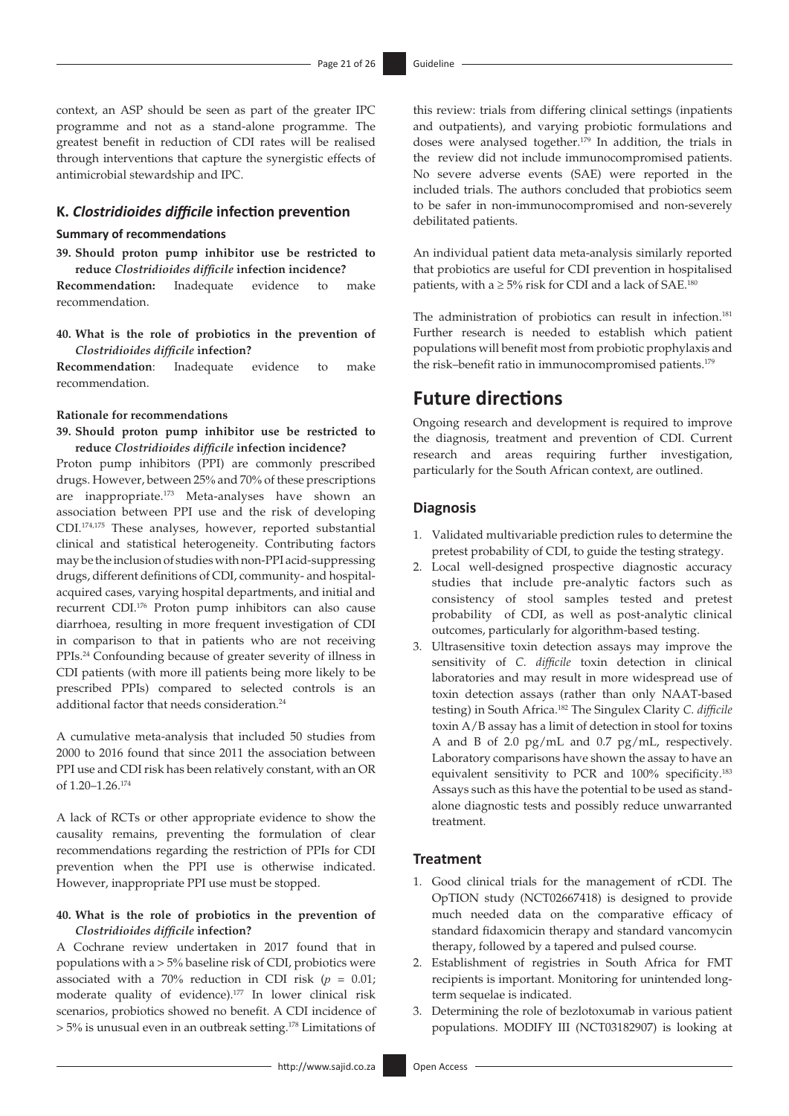context, an ASP should be seen as part of the greater IPC programme and not as a stand-alone programme. The greatest benefit in reduction of CDI rates will be realised through interventions that capture the synergistic effects of antimicrobial stewardship and IPC.

### **K.** *Clostridioides difficile* **infection prevention**

#### **Summary of recommendations**

**39. Should proton pump inhibitor use be restricted to reduce** *Clostridioides difficile* **infection incidence?**

**Recommendation:** Inadequate evidence to make recommendation.

**40. What is the role of probiotics in the prevention of**  *Clostridioides difficile* **infection?**

**Recommendation**: Inadequate evidence to make recommendation.

#### **Rationale for recommendations**

**39. Should proton pump inhibitor use be restricted to reduce** *Clostridioides difficile* **infection incidence?**

<span id="page-20-2"></span><span id="page-20-0"></span>Proton pump inhibitors (PPI) are commonly prescribed drugs. However, between 25% and 70% of these prescriptions are inappropriate[.173](#page-25-16) Meta-analyses have shown an association between PPI use and the risk of developing CDI.[174,](#page-25-17)[175](#page-25-18) These analyses, however, reported substantial clinical and statistical heterogeneity. Contributing factors may be the inclusion of studies with non-PPI acid-suppressing drugs, different definitions of CDI, community- and hospitalacquired cases, varying hospital departments, and initial and recurrent CDI[.176](#page-25-19) Proton pump inhibitors can also cause diarrhoea, resulting in more frequent investigation of CDI in comparison to that in patients who are not receiving PPIs[.24](#page-22-13) Confounding because of greater severity of illness in CDI patients (with more ill patients being more likely to be prescribed PPIs) compared to selected controls is an additional factor that needs consideration.<sup>[24](#page-22-13)</sup>

<span id="page-20-3"></span>A cumulative meta-analysis that included 50 studies from 2000 to 2016 found that since 2011 the association between PPI use and CDI risk has been relatively constant, with an OR of 1.20–1.26.[174](#page-25-17)

<span id="page-20-1"></span>A lack of RCTs or other appropriate evidence to show the causality remains, preventing the formulation of clear recommendations regarding the restriction of PPIs for CDI prevention when the PPI use is otherwise indicated. However, inappropriate PPI use must be stopped.

### **40. What is the role of probiotics in the prevention of**  *Clostridioides difficile* **infection?**

<span id="page-20-5"></span><span id="page-20-4"></span>A Cochrane review undertaken in 2017 found that in populations with a > 5% baseline risk of CDI, probiotics were associated with a 70% reduction in CDI risk  $(p = 0.01;$ moderate quality of evidence)[.177](#page-25-20) In lower clinical risk scenarios, probiotics showed no benefit. A CDI incidence of > 5% is unusual even in an outbreak setting.[178](#page-25-21) Limitations of this review: trials from differing clinical settings (inpatients and outpatients), and varying probiotic formulations and doses were analysed together[.179](#page-25-22) In addition, the trials in the review did not include immunocompromised patients. No severe adverse events (SAE) were reported in the included trials. The authors concluded that probiotics seem to be safer in non-immunocompromised and non-severely debilitated patients.

<span id="page-20-7"></span>An individual patient data meta-analysis similarly reported that probiotics are useful for CDI prevention in hospitalised patients, with a  $\geq$  5% risk for CDI and a lack of SAE.<sup>[180](#page-25-23)</sup>

<span id="page-20-8"></span>The administration of probiotics can result in infection.<sup>[181](#page-25-24)</sup> Further research is needed to establish which patient populations will benefit most from probiotic prophylaxis and the risk-benefit ratio in immunocompromised patients.<sup>[179](#page-25-22)</sup>

# <span id="page-20-6"></span>**Future directions**

Ongoing research and development is required to improve the diagnosis, treatment and prevention of CDI. Current research and areas requiring further investigation, particularly for the South African context, are outlined.

### **Diagnosis**

- 1. Validated multivariable prediction rules to determine the pretest probability of CDI, to guide the testing strategy.
- 2. Local well-designed prospective diagnostic accuracy studies that include pre-analytic factors such as consistency of stool samples tested and pretest probability of CDI, as well as post-analytic clinical outcomes, particularly for algorithm-based testing.
- <span id="page-20-9"></span>3. Ultrasensitive toxin detection assays may improve the sensitivity of *C. difficile* toxin detection in clinical laboratories and may result in more widespread use of toxin detection assays (rather than only NAAT-based testing) in South Africa[.182](#page-25-25) The Singulex Clarity *C. difficile* toxin A/B assay has a limit of detection in stool for toxins A and B of 2.0 pg/mL and 0.7 pg/mL, respectively. Laboratory comparisons have shown the assay to have an equivalent sensitivity to PCR and 100% specificity.<sup>[183](#page-25-26)</sup> Assays such as this have the potential to be used as standalone diagnostic tests and possibly reduce unwarranted treatment.

### <span id="page-20-10"></span>**Treatment**

- 1. Good clinical trials for the management of rCDI. The OpTION study (NCT02667418) is designed to provide much needed data on the comparative efficacy of standard fidaxomicin therapy and standard vancomycin therapy, followed by a tapered and pulsed course.
- 2. Establishment of registries in South Africa for FMT recipients is important. Monitoring for unintended longterm sequelae is indicated.
- 3. Determining the role of bezlotoxumab in various patient populations. MODIFY III (NCT03182907) is looking at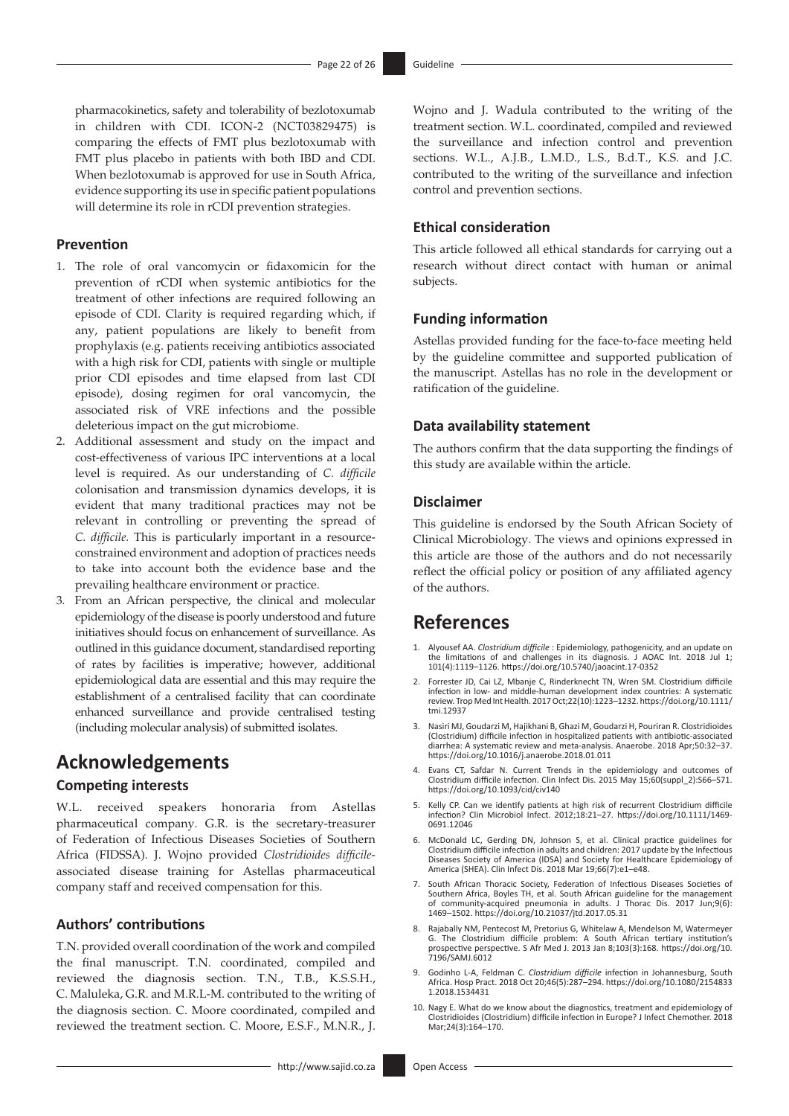pharmacokinetics, safety and tolerability of bezlotoxumab in children with CDI. ICON-2 (NCT03829475) is comparing the effects of FMT plus bezlotoxumab with FMT plus placebo in patients with both IBD and CDI. When bezlotoxumab is approved for use in South Africa, evidence supporting its use in specific patient populations will determine its role in rCDI prevention strategies.

#### **Prevention**

- 1. The role of oral vancomycin or fidaxomicin for the prevention of rCDI when systemic antibiotics for the treatment of other infections are required following an episode of CDI. Clarity is required regarding which, if any, patient populations are likely to benefit from prophylaxis (e.g. patients receiving antibiotics associated with a high risk for CDI, patients with single or multiple prior CDI episodes and time elapsed from last CDI episode), dosing regimen for oral vancomycin, the associated risk of VRE infections and the possible deleterious impact on the gut microbiome.
- 2. Additional assessment and study on the impact and cost-effectiveness of various IPC interventions at a local level is required. As our understanding of *C. difficile* colonisation and transmission dynamics develops, it is evident that many traditional practices may not be relevant in controlling or preventing the spread of *C. difficile.* This is particularly important in a resourceconstrained environment and adoption of practices needs to take into account both the evidence base and the prevailing healthcare environment or practice.
- 3. From an African perspective, the clinical and molecular epidemiology of the disease is poorly understood and future initiatives should focus on enhancement of surveillance. As outlined in this guidance document, standardised reporting of rates by facilities is imperative; however, additional epidemiological data are essential and this may require the establishment of a centralised facility that can coordinate enhanced surveillance and provide centralised testing (including molecular analysis) of submitted isolates.

### **Acknowledgements**

### **Competing interests**

W.L. received speakers honoraria from Astellas pharmaceutical company. G.R. is the secretary-treasurer of Federation of Infectious Diseases Societies of Southern Africa (FIDSSA). J. Wojno provided *Clostridioides difficile*associated disease training for Astellas pharmaceutical company staff and received compensation for this.

### **Authors' contributions**

T.N. provided overall coordination of the work and compiled the final manuscript. T.N. coordinated, compiled and reviewed the diagnosis section. T.N., T.B., K.S.S.H., C. Maluleka, G.R. and M.R.L-M. contributed to the writing of the diagnosis section. C. Moore coordinated, compiled and reviewed the treatment section. C. Moore, E.S.F., M.N.R., J.

Wojno and J. Wadula contributed to the writing of the treatment section. W.L. coordinated, compiled and reviewed the surveillance and infection control and prevention sections. W.L., A.J.B., L.M.D., L.S., B.d.T., K.S. and J.C. contributed to the writing of the surveillance and infection control and prevention sections.

### **Ethical consideration**

This article followed all ethical standards for carrying out a research without direct contact with human or animal subjects.

#### **Funding information**

Astellas provided funding for the face-to-face meeting held by the guideline committee and supported publication of the manuscript. Astellas has no role in the development or ratification of the guideline.

### **Data availability statement**

The authors confirm that the data supporting the findings of this study are available within the article.

### **Disclaimer**

This guideline is endorsed by the South African Society of Clinical Microbiology. The views and opinions expressed in this article are those of the authors and do not necessarily reflect the official policy or position of any affiliated agency of the authors.

### **References**

- <span id="page-21-0"></span>[1.](#page-0-0) Alyousef AA. *Clostridium difficile* : Epidemiology, pathogenicity, and an update on the limitations of and challenges in its diagnosis. J AOAC Int. 2018 Jul 1; 101(4):1119–1126. <https://doi.org/10.5740/jaoacint.17-0352>
- <span id="page-21-1"></span>[2.](#page-0-1) Forrester JD, Cai LZ, Mbanje C, Rinderknecht TN, Wren SM. Clostridium difficile infection in low- and middle-human development index countries: A systematic review. Trop Med Int Health. 2017 Oct;22(10):1223–1232. [https://doi.org/10.1111/](https://doi.org/10.1111/tmi.12937) [tmi.12937](https://doi.org/10.1111/tmi.12937)
- <span id="page-21-2"></span>[3.](#page-0-1) Nasiri MJ, Goudarzi M, Hajikhani B, Ghazi M, Goudarzi H, Pouriran R. Clostridioides (Clostridium) difficile infection in hospitalized patients with antibiotic-associated diarrhea: A systematic review and meta-analysis. Anaerobe. 2018 Apr;50:32–37. <https://doi.org/10.1016/j.anaerobe.2018.01.011>
- <span id="page-21-3"></span>[4.](#page-0-2) Evans CT, Safdar N. Current Trends in the epidemiology and outcomes of Clostridium difficile infection. Clin Infect Dis. 2015 May 15;60(suppl\_2):S66–S71. <https://doi.org/10.1093/cid/civ140>
- <span id="page-21-4"></span>[5.](#page-0-3) Kelly CP. Can we identify patients at high risk of recurrent Clostridium difficile infection? Clin Microbiol Infect. 2012;18:21–27. [https://doi.org/10.1111/1469-](https://doi.org/10.1111/1469-0691.12046) [0691.12046](https://doi.org/10.1111/1469-0691.12046)
- <span id="page-21-5"></span>[6.](#page-0-4) McDonald LC, Gerding DN, Johnson S, et al. Clinical practice guidelines for Clostridium difficile infection in adults and children: 2017 update by the Infectious Diseases Society of America (IDSA) and Society for Healthcare Epidemiology of America (SHEA). Clin Infect Dis. 2018 Mar 19;66(7):e1–e48.
- <span id="page-21-6"></span>[7.](#page-1-0) South African Thoracic Society, Federation of Infectious Diseases Societies of Southern Africa, Boyles TH, et al. South African guideline for the management of community-acquired pneumonia in adults. J Thorac Dis. 2017 Jun;9(6): 1469–1502.<https://doi.org/10.21037/jtd.2017.05.31>
- <span id="page-21-7"></span>[8.](#page-1-1) Rajabally NM, Pentecost M, Pretorius G, Whitelaw A, Mendelson M, Watermeyer G. The Clostridium difficile problem: A South African tertiary institution's prospective perspective. S Afr Med J. 2013 Jan 8;103(3):168. https
- <span id="page-21-8"></span>[9.](#page-1-2) Godinho L-A, Feldman C. *Clostridium difficile* infection in Johannesburg, South Africa. Hosp Pract. 2018 Oct 20;46(5):287–294. [https://doi.org/10.1080/2154833](https://doi.org/10.1080/21548331.2018.1534431) [1.2018.1534431](https://doi.org/10.1080/21548331.2018.1534431)
- <span id="page-21-9"></span>[10.](#page-1-3) Nagy E. What do we know about the diagnostics, treatment and epidemiology of Clostridioides (Clostridium) difficile infection in Europe? J Infect Chemother. 2018 Mar;24(3):164–170.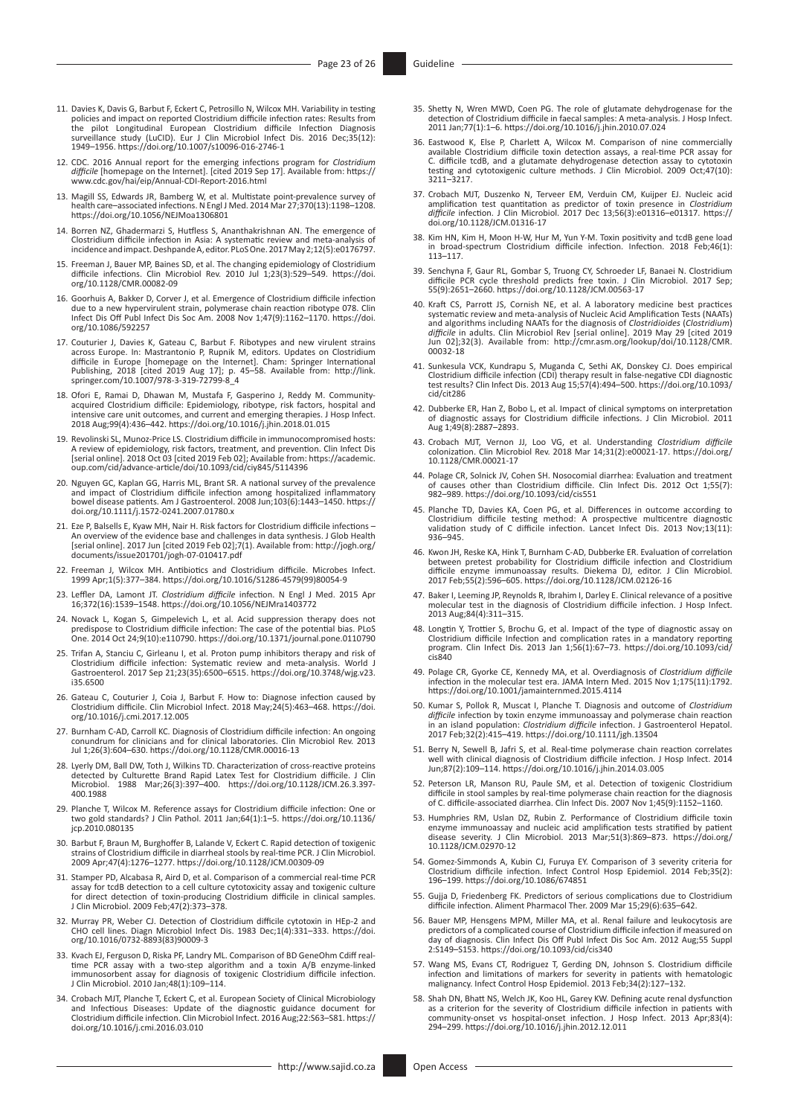- <span id="page-22-0"></span>[11.](#page-1-4) Davies K, Davis G, Barbut F, Eckert C, Petrosillo N, Wilcox MH. Variability in testing policies and impact on reported Clostridium difficile infection rates: Results from the pilot Longitudinal European Clostridium difficile Infection Diagnosis surveillance study (LuCID). Eur J Clin Microbiol Infect Dis. 2016 Dec;35(12): 1949–1956.<https://doi.org/10.1007/s10096-016-2746-1>
- <span id="page-22-1"></span>[12.](#page-1-5) CDC. 2016 Annual report for the emerging infections program for *Clostridium difficile* [homepage on the Internet]. [cited 2019 Sep 17]. Available from: [https://](https://www.cdc.gov/hai/eip/Annual-CDI-Report-2016.html) [www.cdc.gov/hai/eip/Annual-CDI-Report-2016.html](https://www.cdc.gov/hai/eip/Annual-CDI-Report-2016.html)
- <span id="page-22-2"></span>[13.](#page-1-6) Magill SS, Edwards JR, Bamberg W, et al. Multistate point-prevalence survey of health care–associated infections. N Engl J Med. 2014 Mar 27;370(13):1198–1208. <https://doi.org/10.1056/NEJMoa1306801>
- <span id="page-22-3"></span>[14.](#page-1-7) Borren NZ, Ghadermarzi S, Hutfless S, Ananthakrishnan AN. The emergence of Clostridium difficile infection in Asia: A systematic review and meta-analysis of incidence and impact. Deshpande A, editor. PLoS One. 2017 May 2;12(5):e0176797.
- <span id="page-22-4"></span>[15.](#page-1-8) Freeman J, Bauer MP, Baines SD, et al. The changing epidemiology of Clostridium difficile infections. Clin Microbiol Rev. 2010 Jul 1;23(3):529–549. [https://doi.](https://doi.org/10.1128/CMR.00082-09) [org/10.1128/CMR.00082-09](https://doi.org/10.1128/CMR.00082-09)
- <span id="page-22-5"></span>[16.](#page-1-9) Goorhuis A, Bakker D, Corver J, et al. Emergence of Clostridium difficile infection due to a new hypervirulent strain, polymerase chain reaction ribotype 078. Clin Infect Dis Off Publ Infect Dis Soc Am. 2008 Nov 1;47(9):1162–1170. [https://doi.](https://doi.org/10.1086/592257) [org/10.1086/592257](https://doi.org/10.1086/592257)
- <span id="page-22-6"></span>[17.](#page-1-10) Couturier J, Davies K, Gateau C, Barbut F. Ribotypes and new virulent strains<br>across Europe. In: Mastrantonio P, Rupnik M, editors. Updates on Clostridium<br>difficile in Europe [homepage on the Internet]. Cham: Springer
- <span id="page-22-7"></span>[18.](#page-1-11) Ofori E, Ramai D, Dhawan M, Mustafa F, Gasperino J, Reddy M. Communityacquired Clostridium difficile: Epidemiology, ribotype, risk factors, hospital and intensive care unit outcomes, and current and emerging therapies. J Hosp Infect. 2018 Aug;99(4):436–442.<https://doi.org/10.1016/j.jhin.2018.01.015>
- <span id="page-22-8"></span>[19.](#page-2-0) Revolinski SL, Munoz-Price LS. Clostridium difficile in immunocompromised hosts: A review of epidemiology, risk factors, treatment, and prevention. Clin Infect Dis [serial online]. 2018 Oct 03 [cited 2019 Feb 02]; Available from: [https://academic.](https://academic.oup.com/cid/advance-article/doi/10.1093/cid/ciy845/5114396) [oup.com/cid/advance-article/doi/10.1093/cid/ciy845/5114396](https://academic.oup.com/cid/advance-article/doi/10.1093/cid/ciy845/5114396)
- <span id="page-22-9"></span>[20.](#page-2-1) Nguyen GC, Kaplan GG, Harris ML, Brant SR. A national survey of the prevalence and impact of Clostridium difficile infection among hospitalized inflammatory bowel disease patients. Am J Gastroenterol. 2008 Jun;103(6):1443–1450. [https://](https://doi.org/10.1111/j.1572-0241.2007.01780.x) [doi.org/10.1111/j.1572-0241.2007.01780.x](https://doi.org/10.1111/j.1572-0241.2007.01780.x)
- <span id="page-22-10"></span>[21.](#page-2-2) Eze P, Balsells E, Kyaw MH, Nair H. Risk factors for Clostridium difficile infections – An overview of the evidence base and challenges in data synthesis. J Glob Health [serial online]. 2017 Jun [cited 2019 Feb 02];7(1). Available from: [http://jogh.org/](http://jogh.org/documents/issue201701/jogh-07-010417.pdf) [documents/issue201701/jogh-07-010417.pdf](http://jogh.org/documents/issue201701/jogh-07-010417.pdf)
- <span id="page-22-11"></span>[22.](#page-3-0) Freeman J, Wilcox MH. Antibiotics and Clostridium difficile. Microbes Infect. 1999 Apr;1(5):377–384. [https://doi.org/10.1016/S1286-4579\(99\)80054-9](https://doi.org/10.1016/S1286-4579(99)80054-9)
- <span id="page-22-12"></span>[23.](#page-3-1) Leffler DA, Lamont JT. *Clostridium difficile* infection. N Engl J Med. 2015 Apr 16;372(16):1539–1548. <https://doi.org/10.1056/NEJMra1403772>
- <span id="page-22-13"></span>[24.](#page-3-2) Novack L, Kogan S, Gimpelevich L, et al. Acid suppression therapy does not predispose to Clostridium difficile infection: The case of the potential bias. PLoS One. 2014 Oct 24;9(10):e110790.<https://doi.org/10.1371/journal.pone.0110790>
- <span id="page-22-14"></span>[25.](#page-3-3) Trifan A, Stanciu C, Girleanu I, et al. Proton pump inhibitors therapy and risk of Clostridium difficile infection: Systematic review and meta-analysis. World J Gastroenterol. 2017 Sep 21;23(35):6500–6515. [https://doi.org/10.3748/wjg.v23.](https://doi.org/10.3748/wjg.v23.i35.6500) [i35.6500](https://doi.org/10.3748/wjg.v23.i35.6500)
- <span id="page-22-15"></span>[26.](#page-4-0) Gateau C, Couturier J, Coia J, Barbut F. How to: Diagnose infection caused by Clostridium difficile. Clin Microbiol Infect. 2018 May;24(5):463–468. [https://doi.](https://doi.org/10.1016/j.cmi.2017.12.005) [org/10.1016/j.cmi.2017.12.005](https://doi.org/10.1016/j.cmi.2017.12.005)
- <span id="page-22-16"></span>[27.](#page-4-1) Burnham C-AD, Carroll KC. Diagnosis of Clostridium difficile infection: An ongoing conundrum for clinicians and for clinical laboratories. Clin Microbiol Rev. 2013 Jul 1;26(3):604–630.<https://doi.org/10.1128/CMR.00016-13>
- <span id="page-22-17"></span>[28.](#page-4-2) Lyerly DM, Ball DW, Toth J, Wilkins TD. Characterization of cross-reactive proteins detected by Culturette Brand Rapid Latex Test for Clostridium difficile. J Clin Microbiol. 1988 Mar;26(3):397–400. [https://doi.org/10.1128/JCM.26.3.397-](https://doi.org/10.1128/JCM.26.3.397-400.1988) [400.1988](https://doi.org/10.1128/JCM.26.3.397-400.1988)
- <span id="page-22-18"></span>[29.](#page-4-2) Planche T, Wilcox M. Reference assays for Clostridium difficile infection: One or two gold standards? J Clin Pathol. 2011 Jan;64(1):1–5. [https://doi.org/10.1136/](https://doi.org/10.1136/jcp.2010.080135) [jcp.2010.080135](https://doi.org/10.1136/jcp.2010.080135)
- <span id="page-22-19"></span>[30.](#page-4-2) Barbut F, Braun M, Burghoffer B, Lalande V, Eckert C. Rapid detection of toxigenic strains of Clostridium difficile in diarrheal stools by real-time PCR. J Clin Microbiol. 2009 Apr;47(4):1276–1277. <https://doi.org/10.1128/JCM.00309-09>
- <span id="page-22-20"></span>[31.](#page-4-2) Stamper PD, Alcabasa R, Aird D, et al. Comparison of a commercial real-time PCR assay for tcdB detection to a cell culture cytotoxicity assay and toxigenic culture for direct detection of toxin-producing Clostridium difficile in clinical samples. J Clin Microbiol. 2009 Feb;47(2):373–378.
- <span id="page-22-21"></span>[32.](#page-4-2) Murray PR, Weber CJ. Detection of Clostridium difficile cytotoxin in HEp-2 and CHO cell lines. Diagn Microbiol Infect Dis. 1983 Dec;1(4):331–333. [https://doi.](https://doi.org/10.1016/0732-8893(83)90009-3) [org/10.1016/0732-8893\(83\)90009-3](https://doi.org/10.1016/0732-8893(83)90009-3)
- <span id="page-22-22"></span>[33.](#page-4-2) Kvach EJ, Ferguson D, Riska PF, Landry ML. Comparison of BD GeneOhm Cdiff real-<br>time PCR assay with a two-step algorithm and a toxin A/B enzyme-linked<br>immunosorbent assay for diagnosis of toxigenic Clostridium difficil
- <span id="page-22-23"></span>[34.](#page-4-3) Crobach MJT, Planche T, Eckert C, et al. European Society of Clinical Microbiology and Infectious Diseases: Update of the diagnostic guidance document for Clostridium difficile infection. Clin Microbiol Infect. 2016 Aug;22:S63–S81. [https://](https://doi.org/10.1016/j.cmi.2016.03.010) [doi.org/10.1016/j.cmi.2016.03.010](https://doi.org/10.1016/j.cmi.2016.03.010)
- <span id="page-22-24"></span>[35.](#page-4-4) Shetty N, Wren MWD, Coen PG. The role of glutamate dehydrogenase for the detection of Clostridium difficile in faecal samples: A meta-analysis. J Hosp Infect. 2011 Jan;77(1):1–6. <https://doi.org/10.1016/j.jhin.2010.07.024>
- <span id="page-22-25"></span>[36.](#page-4-5) Eastwood K, Else P, Charlett A, Wilcox M. Comparison of nine commercially available Clostridium difficile toxin detection assays, a real-time PCR assay for C. difficile tcdB, and a glutamate dehydrogenase detection assay to cytotoxin testing and cytotoxigenic culture methods. J Clin Microbiol. 2009 Oct;47(10): 3211–3217.
- <span id="page-22-26"></span>[37.](#page-4-6) Crobach MJT, Duszenko N, Terveer EM, Verduin CM, Kuijper EJ. Nucleic acid<br>amplification test quantitation as predictor of toxin presence in Clostridium<br>difficile infection. J Clin Microbiol. 2017 Dec 13;56(3):e01316–e0 [doi.org/10.1128/JCM.01316-17](https://doi.org/10.1128/JCM.01316-17)
- <span id="page-22-27"></span>[38.](#page-4-7) Kim HN, Kim H, Moon H-W, Hur M, Yun Y-M. Toxin positivity and tcdB gene load in broad-spectrum Clostridium difficile infection. Infection. 2018 Feb;46(1): 113–117.
- <span id="page-22-28"></span>[39.](#page-4-7) Senchyna F, Gaur RL, Gombar S, Truong CY, Schroeder LF, Banaei N. Clostridium difficile PCR cycle threshold predicts free toxin. J Clin Microbiol. 2017 Sep; 55(9):2651–2660.<https://doi.org/10.1128/JCM.00563-17>
- <span id="page-22-29"></span>[40.](#page-4-8) Kraft CS, Parrott JS, Cornish NE, et al. A laboratory medicine best practices systematic review and meta-analysis of Nucleic Acid Amplification Tests (NAATs) and algorithms including NAATs for the diagnosis of *Clostridioides* (*Clostridium*) *difficile* in adults. Clin Microbiol Rev [serial online]. 2019 May 29 [cited 2019 Jun 02];32(3). Available from: [http://cmr.asm.org/lookup/doi/10.1128/CMR.](http://cmr.asm.org/lookup/doi/10.1128/CMR.00032-18) [00032-18](http://cmr.asm.org/lookup/doi/10.1128/CMR.00032-18)
- <span id="page-22-30"></span>[41.](#page-4-9) Sunkesula VCK, Kundrapu S, Muganda C, Sethi AK, Donskey CJ. Does empirical Clostridium difficile infection (CDI) therapy result in false-negative CDI diagnostic test results? Clin Infect Dis. 2013 Aug 15;57(4):494–500. [https://doi.org/10.1093/](https://doi.org/10.1093/cid/cit286) [cid/cit286](https://doi.org/10.1093/cid/cit286)
- <span id="page-22-31"></span>[42.](#page-5-0) Dubberke ER, Han Z, Bobo L, et al. Impact of clinical symptoms on interpretation of diagnostic assays for Clostridium difficile infections. J Clin Microbiol. 2011 Aug 1;49(8):2887–2893.
- <span id="page-22-32"></span>[43.](#page-5-1) Crobach MJT, Vernon JJ, Loo VG, et al. Understanding *Clostridium difficile* colonization. Clin Microbiol Rev. 2018 Mar 14;31(2):e00021-17. [https://doi.org/](https://doi.org/10.1128/CMR.00021-17) [10.1128/CMR.00021-17](https://doi.org/10.1128/CMR.00021-17)
- <span id="page-22-33"></span>[44.](#page-5-2) Polage CR, Solnick JV, Cohen SH. Nosocomial diarrhea: Evaluation and treatment of causes other than Clostridium difficile. Clin Infect Dis. 2012 Oct 1;55(7): 982–989.<https://doi.org/10.1093/cid/cis551>
- <span id="page-22-34"></span>[45.](#page-5-3) Planche TD, Davies KA, Coen PG, et al. Differences in outcome according to<br>Clostridium difficile testing method: A prospective multicentre diagnostic<br>validation study of C difficile infection. Lancet Infect Dis. 2013 N 936–945.
- <span id="page-22-35"></span>[46.](#page-5-4) Kwon JH, Reske KA, Hink T, Burnham C-AD, Dubberke ER. Evaluation of correlation<br>between pretest probability for Clostridium difficile infection and Clostridium<br>difficile enzyme immunoassay results. Diekema DJ, editor.
- <span id="page-22-36"></span>[47.](#page-5-5) Baker I, Leeming JP, Reynolds R, Ibrahim I, Darley E. Clinical relevance of a positive molecular test in the diagnosis of Clostridium difficile infection. J Hosp Infect. 2013 Aug;84(4):311–315.
- <span id="page-22-37"></span>[48.](#page-5-5) Longtin Y, Trottier S, Brochu G, et al. Impact of the type of diagnostic assay on Clostridium difficile Infection and complication rates in a mandatory reporting program. Clin Infect Dis. 2013 Jan 1;56(1):67–73. [https://doi.org/10.1093/cid/](https://doi.org/10.1093/cid/cis840)  $r = 840$
- <span id="page-22-38"></span>[49.](#page-5-5) Polage CR, Gyorke CE, Kennedy MA, et al. Overdiagnosis of *Clostridium difficile* infection in the molecular test era. JAMA Intern Med. 2015 Nov 1;175(11):1792. <https://doi.org/10.1001/jamainternmed.2015.4114>
- <span id="page-22-39"></span>[50.](#page-5-6) Kumar S, Pollok R, Muscat I, Planche T. Diagnosis and outcome of *Clostridium difficile* infection by toxin enzyme immunoassay and polymerase chain reaction in an island population: *Clostridium difficile* infection. J Gastroenterol Hepatol. 2017 Feb;32(2):415–419. <https://doi.org/10.1111/jgh.13504>
- <span id="page-22-40"></span>[51.](#page-5-7) Berry N, Sewell B, Jafri S, et al. Real-time polymerase chain reaction correlates well with clinical diagnosis of Clostridium difficile infection. J Hosp Infect. 2014 Jun;87(2):109–114.<https://doi.org/10.1016/j.jhin.2014.03.005>
- <span id="page-22-41"></span>[52.](#page-5-8) Peterson LR, Manson RU, Paule SM, et al. Detection of toxigenic Clostridium difficile in stool samples by real-time polymerase chain reaction for the diagnosis of C. difficile-associated diarrhea. Clin Infect Dis. 2007 Nov 1;45(9):1152–1160.
- <span id="page-22-42"></span>[53.](#page-5-9) Humphries RM, Uslan DZ, Rubin Z. Performance of Clostridium difficile toxin enzyme immunoassay and nucleic acid amplification tests stratified by patient disease severity. J Clin Microbiol. 2013 Mar;51(3):869–873. [https://doi.org/](https://doi.org/10.1128/JCM.02970-12) [10.1128/JCM.02970-12](https://doi.org/10.1128/JCM.02970-12)
- <span id="page-22-43"></span>[54.](#page-5-10) Gomez-Simmonds A, Kubin CJ, Furuya EY. Comparison of 3 severity criteria for Clostridium difficile infection. Infect Control Hosp Epidemiol. 2014 Feb;35(2): 196–199.<https://doi.org/10.1086/674851>
- <span id="page-22-44"></span>[55.](#page-5-11) Gujja D, Friedenberg FK. Predictors of serious complications due to Clostridium difficile infection. Aliment Pharmacol Ther. 2009 Mar 15;29(6):635–642.
- <span id="page-22-45"></span>[56.](#page-5-12) Bauer MP, Hensgens MPM, Miller MA, et al. Renal failure and leukocytosis are predictors of a complicated course of Clostridium difficile infection if measured on day of diagnosis. Clin Infect Dis Off Publ Infect Dis Soc Am. 2012 Aug;55 Suppl 2:S149–S153.<https://doi.org/10.1093/cid/cis340>
- <span id="page-22-46"></span>[57.](#page-5-13) Wang MS, Evans CT, Rodriguez T, Gerding DN, Johnson S. Clostridium difficile infection and limitations of markers for severity in patients with hematologic malignancy. Infect Control Hosp Epidemiol. 2013 Feb;34(2):127-132.
- <span id="page-22-47"></span>[58.](#page-5-14) Shah DN, Bhatt NS, Welch JK, Koo HL, Garey KW. Defining acute renal dysfunction as a criterion for the severity of Clostridium difficile infection in patients with community-onset vs hospital-onset infection. J Hosp In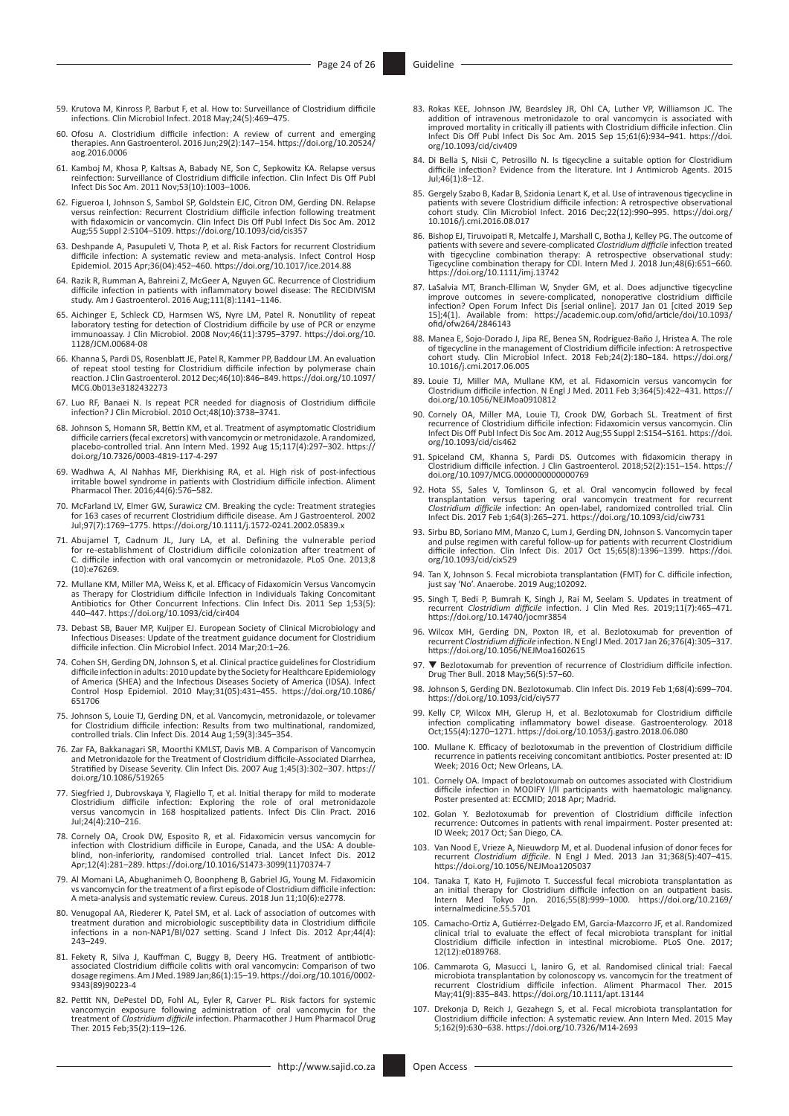- <span id="page-23-0"></span>[59.](#page-6-0) Krutova M, Kinross P, Barbut F, et al. How to: Surveillance of Clostridium difficile infections. Clin Microbiol Infect. 2018 May;24(5):469–475.
- <span id="page-23-1"></span>[60.](#page-6-1) Ofosu A. Clostridium difficile infection: A review of current and emerging therapies. Ann Gastroenterol. 2016 Jun;29(2):147–154. [https://doi.org/10.20524/](https://doi.org/10.20524/aog.2016.0006) [aog.2016.0006](https://doi.org/10.20524/aog.2016.0006)
- <span id="page-23-2"></span>[61.](#page-6-2) Kamboj M, Khosa P, Kaltsas A, Babady NE, Son C, Sepkowitz KA. Relapse versus reinfection: Surveillance of Clostridium difficile infection. Clin Infect Dis Off Publ Infect Dis Soc Am. 2011 Nov;53(10):1003–1006.
- <span id="page-23-3"></span>[62.](#page-6-3) Figueroa I, Johnson S, Sambol SP, Goldstein EJC, Citron DM, Gerding DN. Relapse versus reinfection: Recurrent Clostridium difficile infection following treatment with fidaxomicin or vancomycin. Clin Infect Dis Off Publ Infect Dis Soc Am. 2012 Aug;55 Suppl 2:S104–S109. <https://doi.org/10.1093/cid/cis357>
- <span id="page-23-4"></span>[63.](#page-6-4) Deshpande A, Pasupuleti V, Thota P, et al. Risk Factors for recurrent Clostridium difficile infection: A systematic review and meta-analysis. Infect Control Hosp Epidemiol. 2015 Apr;36(04):452–460. <https://doi.org/10.1017/ice.2014.88>
- <span id="page-23-5"></span>[64.](#page-6-5) Razik R, Rumman A, Bahreini Z, McGeer A, Nguyen GC. Recurrence of Clostridium difficile infection in patients with inflammatory bowel disease: The RECIDIVISM study. Am J Gastroenterol. 2016 Aug;111(8):1141–1146.
- <span id="page-23-6"></span>[65.](#page-6-6) Aichinger E, Schleck CD, Harmsen WS, Nyre LM, Patel R. Nonutility of repeat laboratory testing for detection of Clostridium difficile by use of PCR or enzyme immunoassay. J Clin Microbiol. 2008 Nov;46(11):3795–3797. ht [1128/JCM.00684-08](https://doi.org/10.1128/JCM.00684-08)
- <span id="page-23-7"></span>[66.](#page-6-7) Khanna S, Pardi DS, Rosenblatt JE, Patel R, Kammer PP, Baddour LM. An evaluation of repeat stool testing for Clostridium difficile infection by polymerase chain reaction. J Clin Gastroenterol. 2012 Dec;46(10):846–849. [https://doi.org/10.1097/](https://doi.org/10.1097/MCG.0b013e3182432273) [MCG.0b013e3182432273](https://doi.org/10.1097/MCG.0b013e3182432273)
- <span id="page-23-8"></span>[67.](#page-6-7) Luo RF, Banaei N. Is repeat PCR needed for diagnosis of Clostridium difficile infection? J Clin Microbiol. 2010 Oct;48(10):3738–3741.
- <span id="page-23-9"></span>[68.](#page-6-8) Johnson S, Homann SR, Bettin KM, et al. Treatment of asymptomatic Clostridium difficile carriers (fecal excretors) with vancomycin or metronidazole. A randomized,<br>placebo-controlled trial. Ann Intern Med. 1992 Aug 15;117(4):297–302. [https://](https://doi.org/10.7326/0003-4819-117-4-297) [doi.org/10.7326/0003-4819-117-4-297](https://doi.org/10.7326/0003-4819-117-4-297)
- <span id="page-23-10"></span>[69.](#page-6-9) Wadhwa A, Al Nahhas MF, Dierkhising RA, et al. High risk of post-infectious irritable bowel syndrome in patients with Clostridium difficile infection. Aliment Pharmacol Ther. 2016;44(6):576–582.
- <span id="page-23-11"></span>[70.](#page-6-10) McFarland LV, Elmer GW, Surawicz CM. Breaking the cycle: Treatment strategies for 163 cases of recurrent Clostridium difficile disease. Am J Gastroenterol. 2002 Jul;97(7):1769–1775.<https://doi.org/10.1111/j.1572-0241.2002.05839.x>
- <span id="page-23-12"></span>[71.](#page-6-11) Abujamel T, Cadnum JL, Jury LA, et al. Defining the vulnerable period for re-establishment of Clostridium difficile colonization after treatment of C. difficile infection with oral vancomycin or metronidazole. PLoS One. 2013;8 (10):e76269.
- <span id="page-23-13"></span>[72.](#page-7-0) Mullane KM, Miller MA, Weiss K, et al. Efficacy of Fidaxomicin Versus Vancomycin as Therapy for Clostridium difficile Infection in Individuals Taking Concomitant Antibiotics for Other Concurrent Infections. Clin Infect Dis. 2011 Sep 1;53(5): 440–447. <https://doi.org/10.1093/cid/cir404>
- <span id="page-23-14"></span>[73.](#page-7-1) Debast SB, Bauer MP, Kuijper EJ. European Society of Clinical Microbiology and Infectious Diseases: Update of the treatment guidance document for Clostridium difficile infection. Clin Microbiol Infect. 2014 Mar;20:1–26.
- <span id="page-23-15"></span>[74.](#page-7-2) Cohen SH, Gerding DN, Johnson S, et al. Clinical practice guidelines for Clostridium difficile infection in adults: 2010 update by the Society for Healthcare Epidemiology of America (SHEA) and the Infectious Diseases Society of America (IDSA). Infect Control Hosp Epidemiol. 2010 May;31(05):431–455. [https://doi.org/10.1086/](https://doi.org/10.1086/651706) [651706](https://doi.org/10.1086/651706)
- <span id="page-23-16"></span>[75.](#page-7-3) Johnson S, Louie TJ, Gerding DN, et al. Vancomycin, metronidazole, or tolevamer for Clostridium difficile infection: Results from two multinational, randomized, controlled trials. Clin Infect Dis. 2014 Aug 1;59(3):345–354.
- <span id="page-23-17"></span>[76.](#page-7-3) Zar FA, Bakkanagari SR, Moorthi KMLST, Davis MB. A Comparison of Vancomycin and Metronidazole for the Treatment of Clostridium difficile-Associated Diarrhea, Stratified by Disease Severity. Clin Infect Dis. 2007 Aug 1;45(3):302–307. [https://](https://doi.org/10.1086/519265) [doi.org/10.1086/519265](https://doi.org/10.1086/519265)
- <span id="page-23-18"></span>[77.](#page-7-4) Siegfried J, Dubrovskaya Y, Flagiello T, et al. Initial therapy for mild to moderate<br>Clostridium difficile infection: Exploring the role of oral metronidazole<br>versus vancomycin in 168 hospitalized patients. Infect Dis Jul;24(4):210–216.
- <span id="page-23-19"></span>[78.](#page-7-5) Cornely OA, Crook DW, Esposito R, et al. Fidaxomicin versus vancomycin for<br>infection with Clostridium difficile in Europe, Canada, and the USA: A double-<br>blind, non-inferiority, randomised controlled trial. Lancet Infe
- <span id="page-23-20"></span>[79.](#page-7-6) Al Momani LA, Abughanimeh O, Boonpheng B, Gabriel JG, Young M. Fidaxomicin vs vancomycin for the treatment of a first episode of Clostridium difficile infection: A meta-analysis and systematic review. Cureus. 2018 Jun 11;10(6):e2778.
- <span id="page-23-21"></span>[80.](#page-7-7) Venugopal AA, Riederer K, Patel SM, et al. Lack of association of outcomes with<br>treatment duration and microbiologic susceptibility data in Clostridium difficile<br>infections in a non-NAP1/BI/027 setting. Scand J Infect 243–249.
- <span id="page-23-22"></span>[81.](#page-7-8) Fekety R, Silva J, Kauffman C, Buggy B, Deery HG. Treatment of antibiotic-associated Clostridium difficile colitis with oral vancomycin: Comparison of two dosage regimens. Am J Med. 1989 Jan;86(1):15–19. [https://doi.org/10.1016/0002-](https://doi.org/10.1016/0002-9343(89)90223-4) [9343\(89\)90223-4](https://doi.org/10.1016/0002-9343(89)90223-4)
- <span id="page-23-23"></span>[82.](#page-7-9) Pettit NN, DePestel DD, Fohl AL, Eyler R, Carver PL. Risk factors for systemic vancomycin exposure following administration of oral vancomycin for the treatment of Clostridium difficile infection. Pharmacother J Hum Ph Ther. 2015 Feb;35(2):119–126.
- <span id="page-23-24"></span>[83.](#page-8-0) Rokas KEE, Johnson JW, Beardsley JR, Ohl CA, Luther VP, Williamson JC. The<br>addition of intravenous metronidazole to oral vancomycin is associated with<br>improved mortality in critically ill patients with Clostridium diff Infect Dis Off Publ Infect Dis Soc Am. 2015 Sep 15;61(6):934–941. [https://doi.](https://doi.org/10.1093/cid/civ409) [org/10.1093/cid/civ409](https://doi.org/10.1093/cid/civ409)
- <span id="page-23-25"></span>[84.](#page-8-1) Di Bella S, Nisii C, Petrosillo N. Is tigecycline a suitable option for Clostridium difficile infection? Evidence from the literature. Int J Antimicrob Agents. 2015 Jul;46(1):8–12.
- <span id="page-23-26"></span>[85.](#page-8-2) Gergely Szabo B, Kadar B, Szidonia Lenart K, et al. Use of intravenous tigecycline in<br>patients with severe Clostridium difficile infection: A retrospective observational<br>/cohort study. Clin Microbiol Infect. 2016 Dec;2 [10.1016/j.cmi.2016.08.017](https://doi.org/10.1016/j.cmi.2016.08.017)
- <span id="page-23-27"></span>[86.](#page-8-3) Bishop EJ, Tiruvoipati R, Metcalfe J, Marshall C, Botha J, Kelley PG. The outcome of patients with severe and severe-complicated Clostridium difficile infection treated with tigecycline combination therapy: A retrospec <https://doi.org/10.1111/imj.13742>
- <span id="page-23-28"></span>[87.](#page-8-3) LaSalvia MT, Branch-Elliman W, Snyder GM, et al. Does adjunctive tigecycline improve outcomes in severe-complicated, nonoperative clostridium difficile infection? Open Forum Infect Dis [serial online]. 2017 Jan 01 [cit [ofid/ofw264/2846143](https://academic.oup.com/ofid/article/doi/10.1093/ofid/ofw264/2846143)
- <span id="page-23-29"></span>[88.](#page-8-3) Manea E, Sojo-Dorado J, Jipa RE, Benea SN, Rodríguez-Baño J, Hristea A. The role of tigecycline in the management of Clostridium difficile infection: A retrospective cohort study. Clin Microbiol Infect. 2018 Feb;24(2):180–184. [https://doi.org/](https://doi.org/10.1016/j.cmi.2017.06.005) [10.1016/j.cmi.2017.06.005](https://doi.org/10.1016/j.cmi.2017.06.005)
- <span id="page-23-30"></span>[89.](#page-8-4) Louie TJ, Miller MA, Mullane KM, et al. Fidaxomicin versus vancomycin for Clostridium difficile infection. N Engl J Med. 2011 Feb 3;364(5):422–431. [https://](https://doi.org/10.1056/NEJMoa0910812) [doi.org/10.1056/NEJMoa0910812](https://doi.org/10.1056/NEJMoa0910812)
- <span id="page-23-31"></span>[90.](#page-8-5) Cornely OA, Miller MA, Louie TJ, Crook DW, Gorbach SL. Treatment of first recurrence of Clostridium difficile infection: Fidaxomicin versus vancomycin. Clin Infect Dis Off Publ Infect Dis Soc Am. 2012 Aug;55 Suppl 2:S154–S161. [https://doi.](https://doi.org/10.1093/cid/cis462) [org/10.1093/cid/cis462](https://doi.org/10.1093/cid/cis462)
- <span id="page-23-32"></span>[91.](#page-8-6) Spiceland CM, Khanna S, Pardi DS. Outcomes with fidaxomicin therapy in Clostridium difficile infection. J Clin Gastroenterol. 2018;52(2):151–154. [https://](https://doi.org/10.1097/MCG.0000000000000769) [doi.org/10.1097/MCG.0000000000000769](https://doi.org/10.1097/MCG.0000000000000769)
- <span id="page-23-33"></span>[92.](#page-8-7) Hota SS, Sales V, Tomlinson G, et al. Oral vancomycin followed by fecal transplantation versus tapering oral vancomycin treatment for recurrent<br>*Clostridium difficile* infection: An open-label, randomized controlled trial. Clin<br>Infect Dis. 2017 Feb 1;64(3):265–271. https://doi.org/10.1093/cid/
- <span id="page-23-34"></span>[93.](#page-8-7) Sirbu BD, Soriano MM, Manzo C, Lum J, Gerding DN, Johnson S. Vancomycin taper and pulse regimen with careful follow-up for patients with recurrent Clostridium difficile infection. Clin Infect Dis. 2017 Oct 15;65(8):1396–1399. [https://doi.](https://doi.org/10.1093/cid/cix529) [org/10.1093/cid/cix529](https://doi.org/10.1093/cid/cix529)
- <span id="page-23-35"></span>[94.](#page-8-7) Tan X, Johnson S. Fecal microbiota transplantation (FMT) for C. difficile infection, just say 'No'. Anaerobe. 2019 Aug;102092.
- <span id="page-23-36"></span>[95.](#page-8-8) Singh T, Bedi P, Bumrah K, Singh J, Rai M, Seelam S. Updates in treatment of recurrent *Clostridium difficile* infection. J Clin Med Res. 2019;11(7):465–471. <https://doi.org/10.14740/jocmr3854>
- <span id="page-23-37"></span>[96.](#page-9-0) Wilcox MH, Gerding DN, Poxton IR, et al. Bezlotoxumab for prevention of recurrent *Clostridium difficile* infection. N Engl J Med. 2017 Jan 26;376(4):305–317. <https://doi.org/10.1056/NEJMoa1602615>
- <span id="page-23-38"></span>[97.](#page-9-1) ▼ Bezlotoxumab for prevention of recurrence of Clostridium difficile infection.<br>Drug Ther Bull. 2018 May;56(5):57–60.
- <span id="page-23-39"></span>[98.](#page-9-2) Johnson S, Gerding DN. Bezlotoxumab. Clin Infect Dis. 2019 Feb 1;68(4):699–704. <https://doi.org/10.1093/cid/ciy577>
- <span id="page-23-40"></span>[99.](#page-9-3) Kelly CP, Wilcox MH, Glerup H, et al. Bezlotoxumab for Clostridium difficile infection complicating inflammatory bowel disease. Gastroenterology. 2018 Oct;155(4):1270–1271.<https://doi.org/10.1053/j.gastro.2018.06.080>
- <span id="page-23-41"></span>[100.](#page-9-4) Mullane K. Efficacy of bezlotoxumab in the prevention of Clostridium difficile recurrence in patients receiving concomitant antibiotics. Poster presented at: ID Week; 2016 Oct; New Orleans, LA.
- <span id="page-23-42"></span>[101.](#page-9-5) Cornely OA. Impact of bezlotoxumab on outcomes associated with Clostridium difficile infection in MODIFY l/ll participants with haematologic malignancy. Poster presented at: ECCMID; 2018 Apr; Madrid.
- <span id="page-23-43"></span>[102.](#page-9-6) Golan Y. Bezlotoxumab for prevention of Clostridium difficile infection recurrence: Outcomes in patients with renal impairment. Poster presented at: ID Week; 2017 Oct; San Diego, CA.
- <span id="page-23-44"></span>[103.](#page-9-7) Van Nood E, Vrieze A, Nieuwdorp M, et al. Duodenal infusion of donor feces for recurrent *Clostridium difficile*. N Engl J Med. 2013 Jan 31;368(5):407–415. <https://doi.org/10.1056/NEJMoa1205037>
- <span id="page-23-45"></span>[104.](#page-9-8) Tanaka T, Kato H, Fujimoto T. Successful fecal microbiota transplantation as<br>an initial therapy for Clostridium difficile infection on an outpatient basis.<br>Intern Med Tokyo Jpn. 2016;55(8):999-1000. https://doi.org/10 [internalmedicine.55.5701](https://doi.org/10.2169/internalmedicine.55.5701)
- <span id="page-23-46"></span>[105.](#page-9-9) Camacho-Ortiz A, Gutiérrez-Delgado EM, Garcia-Mazcorro JF, et al. Randomized<br>clinical trial to evaluate the effect of fecal microbiota transplant for initial<br>Clostridium difficile infection in intestinal microbiome. P 12(12):e0189768.
- <span id="page-23-47"></span>[106.](#page-10-0) Cammarota G, Masucci L, Ianiro G, et al. Randomised clinical trial: Faecal microbiota transplantation by colonoscopy vs. vancomycin for the treatment of recurrent Clostridium difficile infection. Aliment Pharmacol Ther. 2015 May;41(9):835–843. <https://doi.org/10.1111/apt.13144>
- <span id="page-23-48"></span>[107.](#page-10-1) Drekonja D, Reich J, Gezahegn S, et al. Fecal microbiota transplantation for Clostridium difficile infection: A systematic review. Ann Intern Med. 2015 May 5;162(9):630–638. <https://doi.org/10.7326/M14-2693>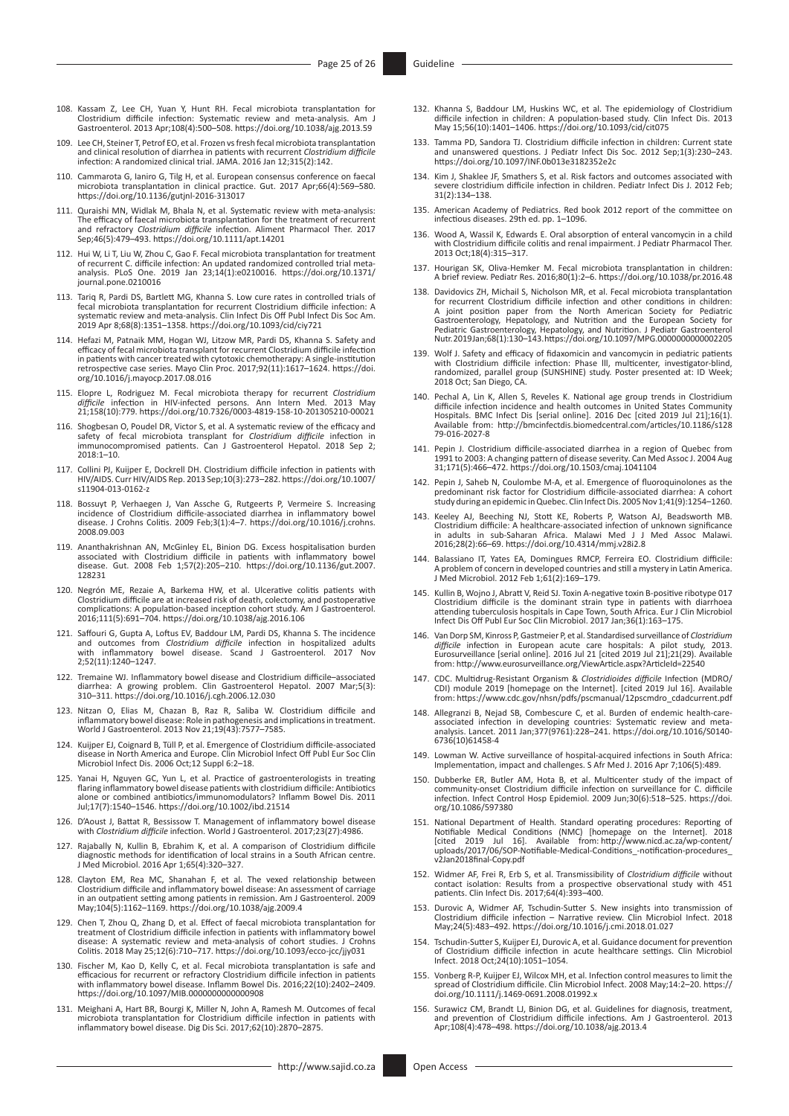- <span id="page-24-0"></span>[108.](#page-10-2) Kassam Z, Lee CH, Yuan Y, Hunt RH. Fecal microbiota transplantation for Clostridium difficile infection: Systematic review and meta-analysis. Am J Gastroenterol. 2013 Apr;108(4):500–508.<https://doi.org/10.1038/ajg.2013.59>
- <span id="page-24-1"></span>[109.](#page-10-3) Lee CH, Steiner T, Petrof EO, et al. Frozen vs fresh fecal microbiota transplantation and clinical resolution of diarrhea in patients with recurrent *Clostridium difficile* infection: A randomized clinical trial. JAMA. 2016 Jan 12;315(2):142.
- <span id="page-24-2"></span>[110.](#page-10-4) Cammarota G, Ianiro G, Tilg H, et al. European consensus conference on faecal microbiota transplantation in clinical practice. Gut. 2017 Apr;66(4):569–580. <https://doi.org/10.1136/gutjnl-2016-313017>
- <span id="page-24-3"></span>[111.](#page-10-5) Quraishi MN, Widlak M, Bhala N, et al. Systematic review with meta-analysis: The efficacy of faecal microbiota transplantation for the treatment of recurrent and refractory *Clostridium difficile* infection. Aliment Pharmacol Ther. 2017 Sep;46(5):479–493. <https://doi.org/10.1111/apt.14201>
- <span id="page-24-4"></span>[112.](#page-10-6) Hui W, Li T, Liu W, Zhou C, Gao F. Fecal microbiota transplantation for treatment of recurrent C. difficile infection: An updated randomized controlled trial meta-analysis. PLoS One. 2019 Jan 23;14(1):e0210016. [https://doi.org/10.1371/](https://doi.org/10.1371/journal.pone.0210016) [journal.pone.0210016](https://doi.org/10.1371/journal.pone.0210016)
- <span id="page-24-5"></span>[113.](#page-10-7) Tariq R, Pardi DS, Bartlett MG, Khanna S. Low cure rates in controlled trials of fecal microbiota transplantation for recurrent Clostridium difficile infection: A systematic review and meta-analysis. Clin Infect Dis Off Publ Infect Dis Soc Am. 2019 Apr 8;68(8):1351–1358.<https://doi.org/10.1093/cid/ciy721>
- <span id="page-24-6"></span>[114.](#page-10-8) Hefazi M, Patnaik MM, Hogan WJ, Litzow MR, Pardi DS, Khanna S. Safety and efficacy of fecal microbiota transplant for recurrent Clostridium difficile infection in patients with cancer treated with cytotoxic chemotherapy: A single-institution retrospective case series. Mayo Clin Proc. 2017;92(11):1617–1624. [https://doi.](https://doi.org/10.1016/j.mayocp.2017.08.016) [org/10.1016/j.mayocp.2017.08.016](https://doi.org/10.1016/j.mayocp.2017.08.016)
- <span id="page-24-7"></span>[115.](#page-10-8) Elopre L, Rodriguez M. Fecal microbiota therapy for recurrent Clostridium<br>difficile infection in HIV-infected persons. Ann Intern Med. 2013 May<br>21;158(10):779.<https://doi.org/10.7326/0003-4819-158-10-201305210-00021>
- <span id="page-24-8"></span>[116.](#page-10-8) Shogbesan O, Poudel DR, Victor S, et al. A systematic review of the efficacy and safety of fecal microbiota transplant for *Clostridium difficile* infection in immunocompromised patients. Can J Gastroenterol Hepatol. 2018 Sep 2; 2018:1–10.
- <span id="page-24-9"></span>[117.](#page-10-9) Collini PJ, Kuijper E, Dockrell DH. Clostridium difficile infection in patients with HIV/AIDS. Curr HIV/AIDS Rep. 2013 Sep;10(3):273–282. [https://doi.org/10.1007/](https://doi.org/10.1007/s11904-013-0162-z) [s11904-013-0162-z](https://doi.org/10.1007/s11904-013-0162-z)
- <span id="page-24-10"></span>[118.](#page-10-10) Bossuyt P, Verhaegen J, Van Assche G, Rutgeerts P, Vermeire S. Increasing<br>incidence of Clostridium difficile-associated diarrhea in inflammatory bowel<br>disease. J Crohns Colitis. 2009 Feb;3(1):4–7. https://doi.org/10.1 [2008.09.003](https://doi.org/10.1016/j.crohns.2008.09.003)
- <span id="page-24-11"></span>[119.](#page-10-11) Ananthakrishnan AN, McGinley EL, Binion DG. Excess hospitalisation burden<br>associated with Clostridium difficile in patients with inflammatory bowel<br>disease. Gut. 2008 Feb 1;57(2):205–210. https://doi.org/10.1136/gut.2 [128231](https://doi.org/10.1136/gut.2007.128231)
- <span id="page-24-12"></span>[120.](#page-10-11) Negrón ME, Rezaie A, Barkema HW, et al. Ulcerative colitis patients with Clostridium difficile are at increased risk of death, colectomy, and postoperative complications: A population-based inception cohort study. Am J Gastroenterol. 2016;111(5):691–704.<https://doi.org/10.1038/ajg.2016.106>
- <span id="page-24-13"></span>[121.](#page-10-11) Saffouri G, Gupta A, Loftus EV, Baddour LM, Pardi DS, Khanna S. The incidence and outcomes from *Clostridium difficile* infection in hospitalized adults with inflammatory bowel disease. Scand J Gastroenterol. 2017 Nov 2;52(11):1240–1247.
- <span id="page-24-14"></span>[122.](#page-11-0) Tremaine WJ. Inflammatory bowel disease and Clostridium difficile–associated diarrhea: A growing problem. Clin Gastroenterol Hepatol. 2007 Mar;5(3): 310–311. <https://doi.org/10.1016/j.cgh.2006.12.030>
- <span id="page-24-15"></span>[123.](#page-11-1) Nitzan O, Elias M, Chazan B, Raz R, Saliba W. Clostridium difficile and inflammatory bowel disease: Role in pathogenesis and implications in treatment. World J Gastroenterol. 2013 Nov 21;19(43):7577–7585.
- <span id="page-24-16"></span>[124.](#page-11-2) Kuijper EJ, Coignard B, Tüll P, et al. Emergence of Clostridium difficile-associated disease in North America and Europe. Clin Microbiol Infect Off Publ Eur Soc Clin Microbiol Infect Dis. 2006 Oct;12 Suppl 6:2–18.
- <span id="page-24-17"></span>[125.](#page-11-3) Yanai H, Nguyen GC, Yun L, et al. Practice of gastroenterologists in treating flaring inflammatory bowel disease patients with clostridium difficile: Antibiotics alone or combined antibiotics/immunomodulators? Inflamm Bowel Dis. 2011 Jul;17(7):1540–1546. <https://doi.org/10.1002/ibd.21514>
- <span id="page-24-18"></span>[126.](#page-11-4) D'Aoust J, Battat R, Bessissow T. Management of inflammatory bowel disease with *Clostridium difficile* infection. World J Gastroenterol. 2017;23(27):4986.
- <span id="page-24-19"></span>[127.](#page-11-5) Rajabally N, Kullin B, Ebrahim K, et al. A comparison of Clostridium difficile diagnostic methods for identification of local strains in a South African centre. J Med Microbiol. 2016 Apr 1;65(4):320–327.
- <span id="page-24-20"></span>[128.](#page-11-6) Clayton EM, Rea MC, Shanahan F, et al. The vexed relationship between Clostridium difficile and inflammatory bowel disease: An assessment of carriage in an outpatient setting among patients in remission. Am J Gastroenterol. 2009 May;104(5):1162–1169.<https://doi.org/10.1038/ajg.2009.4>
- <span id="page-24-21"></span>[129.](#page-11-7) Chen T, Zhou Q, Zhang D, et al. Effect of faecal microbiota transplantation for treatment of Clostridium difficile infection in patients with inflammatory bowel disease: A systematic review and meta-analysis of cohort studies. J Crohns Colitis. 2018 May 25;12(6):710–717. <https://doi.org/10.1093/ecco-jcc/jjy031>
- <span id="page-24-22"></span>[130.](#page-11-8) Fischer M, Kao D, Kelly C, et al. Fecal microbiota transplantation is safe and efficacious for recurrent or refractory Clostridium difficile infection in patients with inflammatory bowel disease. Inflamm Bowel Dis. 2016;22(10):2402–2409. <https://doi.org/10.1097/MIB.0000000000000908>
- <span id="page-24-23"></span>[131.](#page-11-8) Meighani A, Hart BR, Bourgi K, Miller N, John A, Ramesh M. Outcomes of fecal microbiota transplantation for Clostridium difficile infection in patients with inflammatory bowel disease. Dig Dis Sci. 2017;62(10):2870–2875.
- <span id="page-24-24"></span>[132.](#page-12-0) Khanna S, Baddour LM, Huskins WC, et al. The epidemiology of Clostridium difficile infection in children: A population-based study. Clin Infect Dis. 2013 May 15;56(10):1401–1406.<https://doi.org/10.1093/cid/cit075>
- <span id="page-24-25"></span>[133.](#page-12-1) Tamma PD, Sandora TJ. Clostridium difficile infection in children: Current state and unanswered questions. J Pediatr Infect Dis Soc. 2012 Sep;1(3):230–243. <https://doi.org/10.1097/INF.0b013e3182352e2c>
- <span id="page-24-26"></span>[134.](#page-12-2) Kim J, Shaklee JF, Smathers S, et al. Risk factors and outcomes associated with severe clostridium difficile infection in children. Pediatr Infect Dis J. 2012 Feb; 31(2):134–138.
- <span id="page-24-27"></span>[135.](#page-12-2) American Academy of Pediatrics. Red book 2012 report of the committee on infectious diseases. 29th ed. pp. 1–1096.
- <span id="page-24-28"></span>[136.](#page-12-3) Wood A, Wassil K, Edwards E. Oral absorption of enteral vancomycin in a child with Clostridium difficile colitis and renal impairment. J Pediatr Pharmacol Ther. 2013 Oct;18(4):315–317.
- <span id="page-24-29"></span>[137.](#page-13-0) Hourigan SK, Oliva-Hemker M. Fecal microbiota transplantation in children: A brief review. Pediatr Res. 2016;80(1):2–6.<https://doi.org/10.1038/pr.2016.48>
- <span id="page-24-30"></span>[138.](#page-13-1) Davidovics ZH, Michail S, Nicholson MR, et al. Fecal microbiota transplantation for recurrent Clostridium difficile infection and other conditions in children: A joint position paper from the North American Society for Pediatric Gastroenterology, Hepatology, and Nutrition and the European Society for Pediatric Gastroenterology, Hepatology, and Nutrition. J Pediatr Gastroenterol Nutr. 2019 Jan;68(1):130–143.<https://doi.org/10.1097/MPG.0000000000002205>
- <span id="page-24-31"></span>[139.](#page-13-2) Wolf J. Safety and efficacy of fidaxomicin and vancomycin in pediatric patients with Clostridium difficile infection: Phase lll, multicenter, investigator-blind, randomized, parallel group (SUNSHINE) study. Poster presented at: ID Week; 2018 Oct; San Diego, CA.
- <span id="page-24-32"></span>[140.](#page-13-3) Pechal A, Lin K, Allen S, Reveles K. National age group trends in Clostridium difficile infection incidence and health outcomes in United States Community Hospitals. BMC Infect Dis [serial online]. 2016 Dec [cited 2019 Jul 21];16(1). Available from: [http://bmcinfectdis.biomedcentral.com/articles/10.1186/s128](http://bmcinfectdis.biomedcentral.com/articles/10.1186/s12879-016-2027-8) [79-016-2027-8](http://bmcinfectdis.biomedcentral.com/articles/10.1186/s12879-016-2027-8)
- <span id="page-24-33"></span>[141.](#page-13-4) Pepin J. Clostridium difficile-associated diarrhea in a region of Quebec from 1991 to 2003: A changing pattern of disease severity. Can Med Assoc J. 2004 Aug 31;171(5):466–472.<https://doi.org/10.1503/cmaj.1041104>
- <span id="page-24-34"></span>[142.](#page-13-4) Pepin J, Saheb N, Coulombe M-A, et al. Emergence of fluoroquinolones as the predominant risk factor for Clostridium difficile-associated diarrhea: A cohort study during an epidemic in Quebec. Clin Infect Dis. 2005 Nov 1;41(9):1254–1260.
- <span id="page-24-35"></span>[143.](#page-13-5) Keeley AJ, Beeching NJ, Stott KE, Roberts P, Watson AJ, Beadsworth MB.<br>Clostridium difficile: A healthcare-associated infection of unknown significance<br>in adults in sub-Saharan Africa. Malawi Med J J Med Assoc Malawi.
- <span id="page-24-36"></span>[144.](#page-13-6) Balassiano IT, Yates EA, Domingues RMCP, Ferreira EO. Clostridium difficile: A problem of concern in developed countries and still a mystery in Latin America. J Med Microbiol. 2012 Feb 1;61(2):169–179.
- <span id="page-24-37"></span>[145.](#page-13-7) Kullin B, Wojno J, Abratt V, Reid SJ. Toxin A-negative toxin B-positive ribotype 017 Clostridium difficile is the dominant strain type in patients with diarrhoea attending tuberculosis hospitals in Cape Town, South Africa. Eur J Clin Microbiol Infect Dis Off Publ Eur Soc Clin Microbiol. 2017 Jan;36(1):163–175.
- <span id="page-24-38"></span>[146.](#page-14-0) Van Dorp SM, Kinross P, Gastmeier P, et al. Standardised surveillance of *Clostridium difficile* infection in European acute care hospitals: A pilot study, 2013. Eurosurveillance [serial online]. 2016 Jul 21 [cited 2019 Jul 21];21(29). Available from: <http://www.eurosurveillance.org/ViewArticle.aspx?ArticleId=22540>
- <span id="page-24-39"></span>[147.](#page-14-0) CDC. Multidrug-Resistant Organism & *Clostridioides difficile* Infection (MDRO/ CDI) module 2019 [homepage on the Internet]. [cited 2019 Jul 16]. Available from: [https://www.cdc.gov/nhsn/pdfs/pscmanual/12pscmdro\\_cdadcurrent.pdf](https://www.cdc.gov/nhsn/pdfs/pscmanual/12pscmdro_cdadcurrent.pdf)
- <span id="page-24-40"></span>[148.](#page-14-1) Allegranzi B, Nejad SB, Combescure C, et al. Burden of endemic health-careassociated infection in developing countries: Systematic review and meta-<br>associated infection in developing countries: Systematic review andys [6736\(10\)61458-4](https://doi.org/10.1016/S0140-6736(10)61458-4)
- <span id="page-24-41"></span>[149.](#page-14-2) Lowman W. Active surveillance of hospital-acquired infections in South Africa: Implementation, impact and challenges. S Afr Med J. 2016 Apr 7;106(5):489.
- <span id="page-24-42"></span>[150.](#page-14-3) Dubberke ER, Butler AM, Hota B, et al. Multicenter study of the impact of<br>community-onset Clostridium difficile infection on surveillance for C. difficile<br>infection. Infect Control Hosp Epidemiol. 2009 Jun;30(6):518-5 [org/10.1086/597380](https://doi.org/10.1086/597380)
- <span id="page-24-43"></span>[151.](#page-14-4) National Department of Health. Standard operating procedures: Reporting of Notifiable Medical Conditions (NMC) [homepage on the Internet]. 2018 [cited 2019 Jul 16]. Available from: [http://www.nicd.ac.za/wp-content/](http://www.nicd.ac.za/wp-content/uploads/2017/06/SOP-Notifiable-Medical-Conditions_-notification-procedures_v2Jan2018final-Copy.pdf)<br>up
- <span id="page-24-44"></span>[152.](#page-15-0) Widmer AF, Frei R, Erb S, et al. Transmissibility of *Clostridium difficile* without contact isolation: Results from a prospective observational study with 451 patients. Clin Infect Dis. 2017;64(4):393–400.
- <span id="page-24-45"></span>[153.](#page-15-1) Durovic A, Widmer AF, Tschudin-Sutter S. New insights into transmission of Clostridium difficile infection – Narrative review. Clin Microbiol Infect. 2018 May;24(5):483–492. <https://doi.org/10.1016/j.cmi.2018.01.027>
- <span id="page-24-46"></span>[154.](#page-16-0) Tschudin-Sutter S, Kuijper EJ, Durovic A, et al. Guidance document for prevention of Clostridium difficile infection in acute healthcare settings. Clin Microbiol Infect. 2018 Oct;24(10):1051–1054.
- <span id="page-24-47"></span>[155.](#page-16-1) Vonberg R-P, Kuijper EJ, Wilcox MH, et al. Infection control measures to limit the spread of Clostridium difficile. Clin Microbiol Infect. 2008 May;14:2–20. [https://](https://doi.org/10.1111/j.1469-0691.2008.01992.x) [doi.org/10.1111/j.1469-0691.2008.01992.x](https://doi.org/10.1111/j.1469-0691.2008.01992.x)
- <span id="page-24-48"></span>[156.](#page-16-2) Surawicz CM, Brandt LJ, Binion DG, et al. Guidelines for diagnosis, treatment, and prevention of Clostridium difficile infections. Am J Gastroenterol. 2013 Apr;108(4):478–498.<https://doi.org/10.1038/ajg.2013.4>